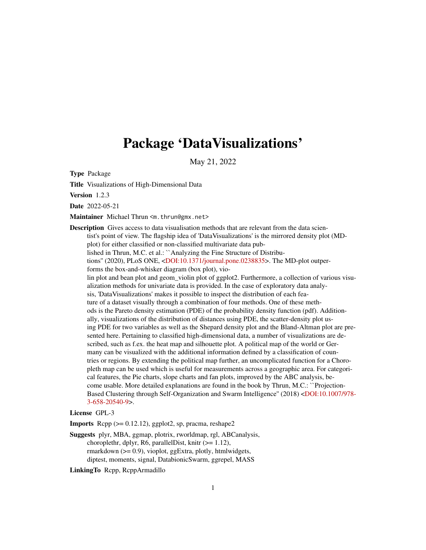# <span id="page-0-0"></span>Package 'DataVisualizations'

May 21, 2022

Type Package

Title Visualizations of High-Dimensional Data

Version 1.2.3

Date 2022-05-21

Maintainer Michael Thrun <m.thrun@gmx.net>

Description Gives access to data visualisation methods that are relevant from the data scientist's point of view. The flagship idea of 'DataVisualizations' is the mirrored density plot (MDplot) for either classified or non-classified multivariate data published in Thrun, M.C. et al.: ``Analyzing the Fine Structure of Distributions'' (2020), PLoS ONE, [<DOI:10.1371/journal.pone.0238835>](https://doi.org/10.1371/journal.pone.0238835). The MD-plot outperforms the box-and-whisker diagram (box plot), violin plot and bean plot and geom\_violin plot of ggplot2. Furthermore, a collection of various visualization methods for univariate data is provided. In the case of exploratory data analysis, 'DataVisualizations' makes it possible to inspect the distribution of each feature of a dataset visually through a combination of four methods. One of these methods is the Pareto density estimation (PDE) of the probability density function (pdf). Additionally, visualizations of the distribution of distances using PDE, the scatter-density plot using PDE for two variables as well as the Shepard density plot and the Bland-Altman plot are presented here. Pertaining to classified high-dimensional data, a number of visualizations are described, such as f.ex. the heat map and silhouette plot. A political map of the world or Germany can be visualized with the additional information defined by a classification of countries or regions. By extending the political map further, an uncomplicated function for a Choropleth map can be used which is useful for measurements across a geographic area. For categorical features, the Pie charts, slope charts and fan plots, improved by the ABC analysis, become usable. More detailed explanations are found in the book by Thrun, M.C.: ``Projection-Based Clustering through Self-Organization and Swarm Intelligence'' (2018) [<DOI:10.1007/978-](https://doi.org/10.1007/978-3-658-20540-9) [3-658-20540-9>](https://doi.org/10.1007/978-3-658-20540-9).

License GPL-3

**Imports** Rcpp  $(>= 0.12.12)$ , ggplot2, sp, pracma, reshape2

Suggests plyr, MBA, ggmap, plotrix, rworldmap, rgl, ABCanalysis, choroplethr, dplyr, R6, parallelDist, knitr  $(>= 1.12)$ , rmarkdown (>= 0.9), vioplot, ggExtra, plotly, htmlwidgets, diptest, moments, signal, DatabionicSwarm, ggrepel, MASS

LinkingTo Rcpp, RcppArmadillo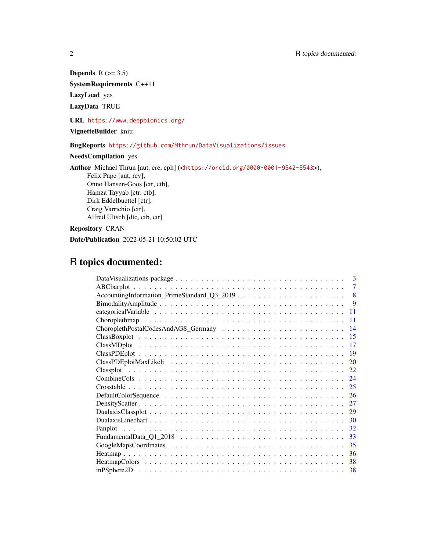# Depends  $R$  ( $> = 3.5$ )

SystemRequirements C++11

LazyLoad yes

LazyData TRUE

URL <https://www.deepbionics.org/>

# VignetteBuilder knitr

# BugReports <https://github.com/Mthrun/DataVisualizations/issues>

# NeedsCompilation yes

Author Michael Thrun [aut, cre, cph] (<<https://orcid.org/0000-0001-9542-5543>>), Felix Pape [aut, rev], Onno Hansen-Goos [ctr, ctb], Hamza Tayyab [ctr, ctb], Dirk Eddelbuettel [ctr], Craig Varrichio [ctr], Alfred Ultsch [dtc, ctb, ctr]

# Repository CRAN

Date/Publication 2022-05-21 10:50:02 UTC

# R topics documented:

| $\mathbf{3}$    |
|-----------------|
| 7               |
| 8               |
| 9               |
| 11              |
| 11              |
| $\overline{14}$ |
| -15             |
| -17             |
| -19             |
| 20              |
| 22.             |
| 24              |
|                 |
| 26              |
| 27              |
| 29              |
| 30              |
| 32<br>Fanplot   |
| 33              |
| 35              |
| 36              |
| -38             |
|                 |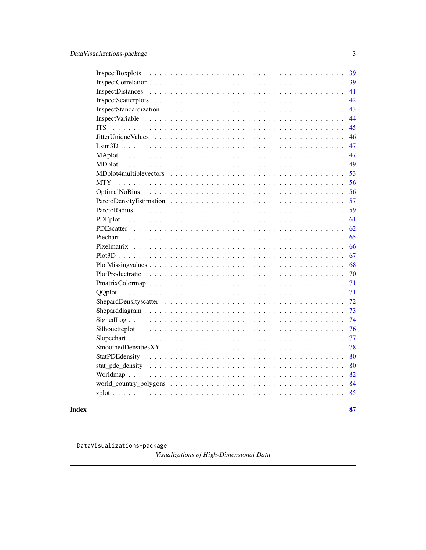<span id="page-2-0"></span>

| 39               |
|------------------|
| 39               |
| 41               |
| 42               |
| 43               |
| 44               |
| 45<br><b>ITS</b> |
| 46               |
| 47               |
| 47               |
| 49               |
| 53               |
| 56               |
| 56               |
| 57               |
| 59               |
| 61               |
| 62               |
| 65               |
| 66               |
| 67               |
| 68               |
| 70               |
| 71               |
| 71               |
| 72               |
| 73               |
| 74               |
| 76               |
| 77               |
| 78               |
| 80               |
| 80               |
| 82               |
| 84               |
| 85               |
|                  |

#### **Index [87](#page-86-0) (2008)** 2014 2022 2023 2024 2022 2023 2024 2022 2023 2024 2022 2023 2024 2022 2023 2024 2022 2023 2024 20

DataVisualizations-package

*Visualizations of High-Dimensional Data*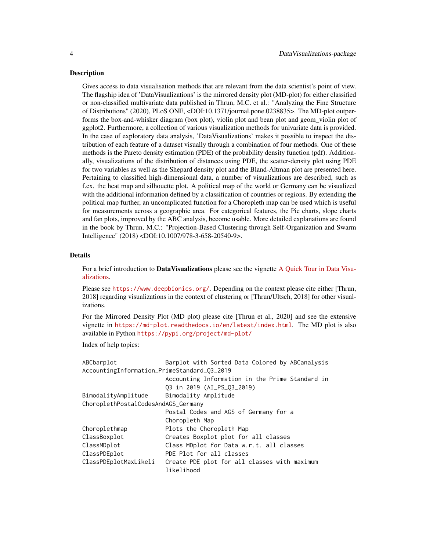#### Description

Gives access to data visualisation methods that are relevant from the data scientist's point of view. The flagship idea of 'DataVisualizations' is the mirrored density plot (MD-plot) for either classified or non-classified multivariate data published in Thrun, M.C. et al.: "Analyzing the Fine Structure of Distributions" (2020), PLoS ONE, <DOI:10.1371/journal.pone.0238835>. The MD-plot outperforms the box-and-whisker diagram (box plot), violin plot and bean plot and geom\_violin plot of ggplot2. Furthermore, a collection of various visualization methods for univariate data is provided. In the case of exploratory data analysis, 'DataVisualizations' makes it possible to inspect the distribution of each feature of a dataset visually through a combination of four methods. One of these methods is the Pareto density estimation (PDE) of the probability density function (pdf). Additionally, visualizations of the distribution of distances using PDE, the scatter-density plot using PDE for two variables as well as the Shepard density plot and the Bland-Altman plot are presented here. Pertaining to classified high-dimensional data, a number of visualizations are described, such as f.ex. the heat map and silhouette plot. A political map of the world or Germany can be visualized with the additional information defined by a classification of countries or regions. By extending the political map further, an uncomplicated function for a Choropleth map can be used which is useful for measurements across a geographic area. For categorical features, the Pie charts, slope charts and fan plots, improved by the ABC analysis, become usable. More detailed explanations are found in the book by Thrun, M.C.: "Projection-Based Clustering through Self-Organization and Swarm Intelligence" (2018) <DOI:10.1007/978-3-658-20540-9>.

# Details

For a brief introduction to DataVisualizations please see the vignette [A Quick Tour in Data Visu](../doc/DataVisualizations.html)[alizations.](../doc/DataVisualizations.html)

Please see <https://www.deepbionics.org/>. Depending on the context please cite either [Thrun, 2018] regarding visualizations in the context of clustering or [Thrun/Ultsch, 2018] for other visualizations.

For the Mirrored Density Plot (MD plot) please cite [Thrun et al., 2020] and see the extensive vignette in <https://md-plot.readthedocs.io/en/latest/index.html>. The MD plot is also available in Python <https://pypi.org/project/md-plot/>

Index of help topics:

| ABCbarplot                                  | Barplot with Sorted Data Colored by ABCanalysis |
|---------------------------------------------|-------------------------------------------------|
| AccountingInformation_PrimeStandard_03_2019 |                                                 |
|                                             | Accounting Information in the Prime Standard in |
|                                             | Q3 in 2019 (AI_PS_Q3_2019)                      |
| BimodalityAmplitude                         | Bimodality Amplitude                            |
| ChoroplethPostalCodesAndAGS_Germany         |                                                 |
|                                             | Postal Codes and AGS of Germany for a           |
|                                             | Choropleth Map                                  |
| Choroplethmap                               | Plots the Choropleth Map                        |
| ClassBoxplot                                | Creates Boxplot plot for all classes            |
| ClassMDplot                                 | Class MDplot for Data w.r.t. all classes        |
| ClassPDEplot                                | PDE Plot for all classes                        |
| ClassPDEplotMaxLikeli                       | Create PDE plot for all classes with maximum    |
|                                             | likelihood                                      |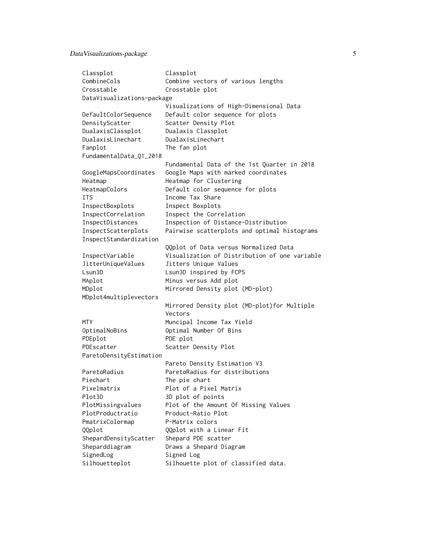# Data Visualizations-package 5

| Classplot                  | Classplot                                     |  |  |  |  |
|----------------------------|-----------------------------------------------|--|--|--|--|
| CombineCols                | Combine vectors of various lengths            |  |  |  |  |
| Crosstable                 | Crosstable plot                               |  |  |  |  |
| DataVisualizations-package |                                               |  |  |  |  |
|                            | Visualizations of High-Dimensional Data       |  |  |  |  |
| DefaultColorSequence       | Default color sequence for plots              |  |  |  |  |
| DensityScatter             | Scatter Density Plot                          |  |  |  |  |
| DualaxisClassplot          | Dualaxis Classplot                            |  |  |  |  |
| DualaxisLinechart          | DualaxisLinechart                             |  |  |  |  |
| Fanplot                    | The fan plot                                  |  |  |  |  |
| FundamentalData_Q1_2018    |                                               |  |  |  |  |
|                            | Fundamental Data of the 1st Quarter in 2018   |  |  |  |  |
| GoogleMapsCoordinates      | Google Maps with marked coordinates           |  |  |  |  |
| Heatmap                    | Heatmap for Clustering                        |  |  |  |  |
| HeatmapColors              | Default color sequence for plots              |  |  |  |  |
| <b>ITS</b>                 | Income Tax Share                              |  |  |  |  |
| InspectBoxplots            | Inspect Boxplots                              |  |  |  |  |
| InspectCorrelation         | Inspect the Correlation                       |  |  |  |  |
| InspectDistances           | Inspection of Distance-Distribution           |  |  |  |  |
| InspectScatterplots        | Pairwise scatterplots and optimal histograms  |  |  |  |  |
| InspectStandardization     |                                               |  |  |  |  |
|                            | QQplot of Data versus Normalized Data         |  |  |  |  |
| InspectVariable            | Visualization of Distribution of one variable |  |  |  |  |
| JitterUniqueValues         | Jitters Unique Values                         |  |  |  |  |
| Lsun3D                     | Lsun3D inspired by FCPS                       |  |  |  |  |
| MAplot                     | Minus versus Add plot                         |  |  |  |  |
| MDplot                     | Mirrored Density plot (MD-plot)               |  |  |  |  |
| MDplot4multiplevectors     |                                               |  |  |  |  |
|                            | Mirrored Density plot (MD-plot) for Multiple  |  |  |  |  |
|                            | Vectors                                       |  |  |  |  |
| <b>MTY</b>                 | Muncipal Income Tax Yield                     |  |  |  |  |
| OptimalNoBins              | Optimal Number Of Bins                        |  |  |  |  |
| PDEplot                    | PDE plot                                      |  |  |  |  |
| PDEscatter                 | Scatter Density Plot                          |  |  |  |  |
| ParetoDensityEstimation    |                                               |  |  |  |  |
|                            | Pareto Density Estimation V3                  |  |  |  |  |
| ParetoRadius               | ParetoRadius for distributions                |  |  |  |  |
| Piechart                   | The pie chart                                 |  |  |  |  |
| Pixelmatrix                | Plot of a Pixel Matrix                        |  |  |  |  |
| Plot3D                     | 3D plot of points                             |  |  |  |  |
| PlotMissingvalues          | Plot of the Amount Of Missing Values          |  |  |  |  |
| PlotProductratio           | Product-Ratio Plot                            |  |  |  |  |
| PmatrixColormap            | P-Matrix colors                               |  |  |  |  |
| QQplot                     | QQplot with a Linear Fit                      |  |  |  |  |
| ShepardDensityScatter      | Shepard PDE scatter                           |  |  |  |  |
| Sheparddiagram             | Draws a Shepard Diagram                       |  |  |  |  |
| SignedLog                  | Signed Log                                    |  |  |  |  |
| Silhouetteplot             | Silhouette plot of classified data.           |  |  |  |  |
|                            |                                               |  |  |  |  |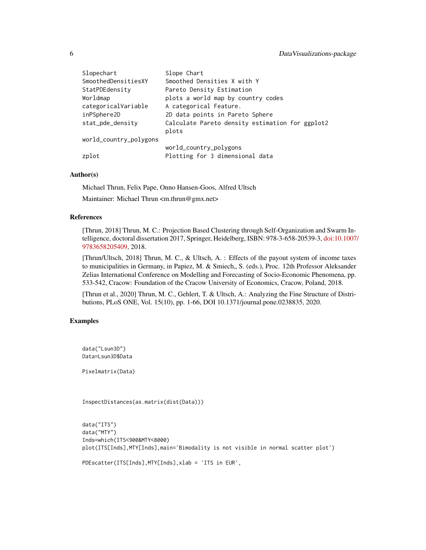| Slopechart             | Slope Chart                                     |
|------------------------|-------------------------------------------------|
| SmoothedDensitiesXY    | Smoothed Densities X with Y                     |
| StatPDEdensity         | Pareto Density Estimation                       |
| Worldmap               | plots a world map by country codes              |
| categoricalVariable    | A categorical Feature.                          |
| inPSphere2D            | 2D data points in Pareto Sphere                 |
| stat_pde_density       | Calculate Pareto density estimation for ggplot2 |
|                        | plots                                           |
| world_country_polygons |                                                 |
|                        | world_country_polygons                          |
| zplot                  | Plotting for 3 dimensional data                 |

### Author(s)

Michael Thrun, Felix Pape, Onno Hansen-Goos, Alfred Ultsch

Maintainer: Michael Thrun <m.thrun@gmx.net>

# References

[Thrun, 2018] Thrun, M. C.: Projection Based Clustering through Self-Organization and Swarm Intelligence, doctoral dissertation 2017, Springer, Heidelberg, ISBN: 978-3-658-20539-3, [doi:10.1007](https://doi.org/10.1007/978-3-658-20540-9)/ [9783658205409,](https://doi.org/10.1007/978-3-658-20540-9) 2018.

[Thrun/Ultsch, 2018] Thrun, M. C., & Ultsch, A. : Effects of the payout system of income taxes to municipalities in Germany, in Papiez, M. & Smiech,, S. (eds.), Proc. 12th Professor Aleksander Zelias International Conference on Modelling and Forecasting of Socio-Economic Phenomena, pp. 533-542, Cracow: Foundation of the Cracow University of Economics, Cracow, Poland, 2018.

[Thrun et al., 2020] Thrun, M. C., Gehlert, T. & Ultsch, A.: Analyzing the Fine Structure of Distributions, PLoS ONE, Vol. 15(10), pp. 1-66, DOI 10.1371/journal.pone.0238835, 2020.

# Examples

data("Lsun3D") Data=Lsun3D\$Data

Pixelmatrix(Data)

InspectDistances(as.matrix(dist(Data)))

data("ITS") data("MTY") Inds=which(ITS<900&MTY<8000) plot(ITS[Inds],MTY[Inds],main='Bimodality is not visible in normal scatter plot')

PDEscatter(ITS[Inds],MTY[Inds],xlab = 'ITS in EUR',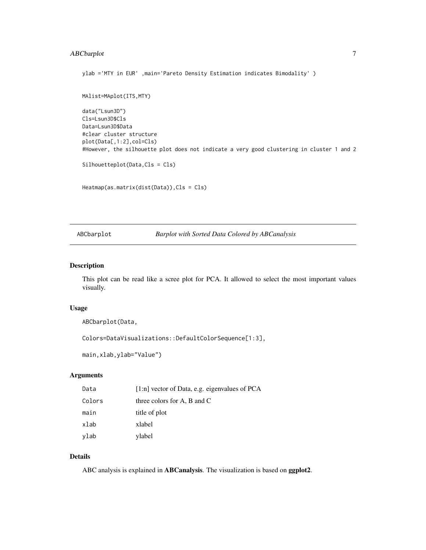# <span id="page-6-0"></span>ABCbarplot 7

```
ylab ='MTY in EUR' ,main='Pareto Density Estimation indicates Bimodality' )
MAlist=MAplot(ITS,MTY)
data("Lsun3D")
Cls=Lsun3D$Cls
Data=Lsun3D$Data
#clear cluster structure
plot(Data[,1:2],col=Cls)
#However, the silhouette plot does not indicate a very good clustering in cluster 1 and 2
Silhouetteplot(Data,Cls = Cls)
```
Heatmap(as.matrix(dist(Data)),Cls = Cls)

ABCbarplot *Barplot with Sorted Data Colored by ABCanalysis*

#### Description

This plot can be read like a scree plot for PCA. It allowed to select the most important values visually.

### Usage

```
ABCbarplot(Data,
```
Colors=DataVisualizations::DefaultColorSequence[1:3],

main,xlab,ylab="Value")

#### Arguments

| Data   | $[1:n]$ vector of Data, e.g. eigenvalues of PCA |
|--------|-------------------------------------------------|
| Colors | three colors for A, B and C                     |
| main   | title of plot                                   |
| xlab   | xlabel                                          |
| ylab   | ylabel                                          |

### Details

ABC analysis is explained in ABCanalysis. The visualization is based on ggplot2.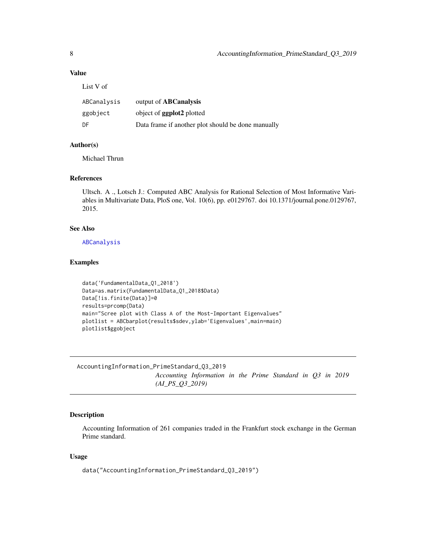# <span id="page-7-0"></span>Value

List V of

| ABCanalysis | output of <b>ABCanalysis</b>                       |
|-------------|----------------------------------------------------|
| ggobject    | object of <b>ggplot2</b> plotted                   |
| DF          | Data frame if another plot should be done manually |

# Author(s)

Michael Thrun

### References

Ultsch. A ., Lotsch J.: Computed ABC Analysis for Rational Selection of Most Informative Variables in Multivariate Data, PloS one, Vol. 10(6), pp. e0129767. doi 10.1371/journal.pone.0129767, 2015.

#### See Also

[ABCanalysis](#page-0-0)

#### Examples

```
data('FundamentalData_Q1_2018')
Data=as.matrix(FundamentalData_Q1_2018$Data)
Data[!is.finite(Data)]=0
results=prcomp(Data)
main="Scree plot with Class A of the Most-Important Eigenvalues"
plotlist = ABCbarplot(results$sdev,ylab='Eigenvalues',main=main)
plotlist$ggobject
```
AccountingInformation\_PrimeStandard\_Q3\_2019 *Accounting Information in the Prime Standard in Q3 in 2019 (AI\_PS\_Q3\_2019)*

# Description

Accounting Information of 261 companies traded in the Frankfurt stock exchange in the German Prime standard.

### Usage

data("AccountingInformation\_PrimeStandard\_Q3\_2019")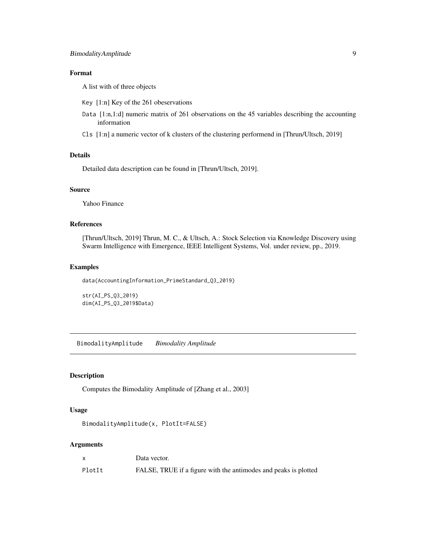# <span id="page-8-0"></span>Format

A list with of three objects

- Key [1:n] Key of the 261 obeservations
- Data [1:n,1:d] numeric matrix of 261 observations on the 45 variables describing the accounting information
- Cls [1:n] a numeric vector of k clusters of the clustering performend in [Thrun/Ultsch, 2019]

# Details

Detailed data description can be found in [Thrun/Ultsch, 2019].

#### Source

Yahoo Finance

# References

[Thrun/Ultsch, 2019] Thrun, M. C., & Ultsch, A.: Stock Selection via Knowledge Discovery using Swarm Intelligence with Emergence, IEEE Intelligent Systems, Vol. under review, pp., 2019.

# Examples

data(AccountingInformation\_PrimeStandard\_Q3\_2019)

```
str(AI_PS_Q3_2019)
dim(AI_PS_Q3_2019$Data)
```
BimodalityAmplitude *Bimodality Amplitude*

#### Description

Computes the Bimodality Amplitude of [Zhang et al., 2003]

#### Usage

```
BimodalityAmplitude(x, PlotIt=FALSE)
```
#### Arguments

|        | Data vector.                                                    |
|--------|-----------------------------------------------------------------|
| PlotIt | FALSE, TRUE if a figure with the antimodes and peaks is plotted |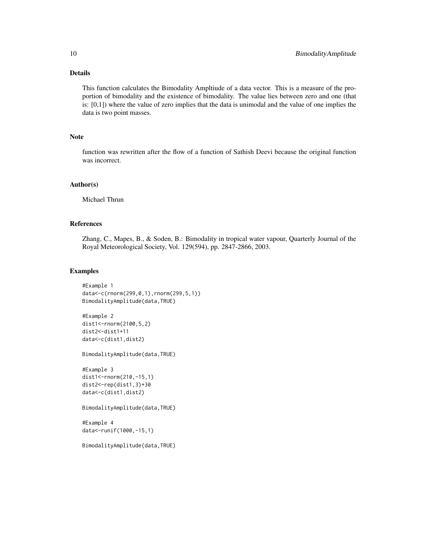# Details

This function calculates the Bimodality Ampltiude of a data vector. This is a measure of the proportion of bimodality and the existence of bimodality. The value lies between zero and one (that is:  $[0,1]$ ) where the value of zero implies that the data is unimodal and the value of one implies the data is two point masses.

# Note

function was rewritten after the flow of a function of Sathish Deevi because the original function was incorrect.

#### Author(s)

Michael Thrun

#### References

Zhang, C., Mapes, B., & Soden, B.: Bimodality in tropical water vapour, Quarterly Journal of the Royal Meteorological Society, Vol. 129(594), pp. 2847-2866, 2003.

#### Examples

```
#Example 1
data<-c(rnorm(299,0,1),rnorm(299,5,1))
BimodalityAmplitude(data,TRUE)
```

```
#Example 2
dist1<-rnorm(2100,5,2)
dist2<-dist1+11
data<-c(dist1,dist2)
```
BimodalityAmplitude(data,TRUE)

```
#Example 3
dist1<-rnorm(210,-15,1)
dist2<-rep(dist1,3)+30
data<-c(dist1,dist2)
```
BimodalityAmplitude(data,TRUE)

#Example 4 data<-runif(1000,-15,1)

BimodalityAmplitude(data,TRUE)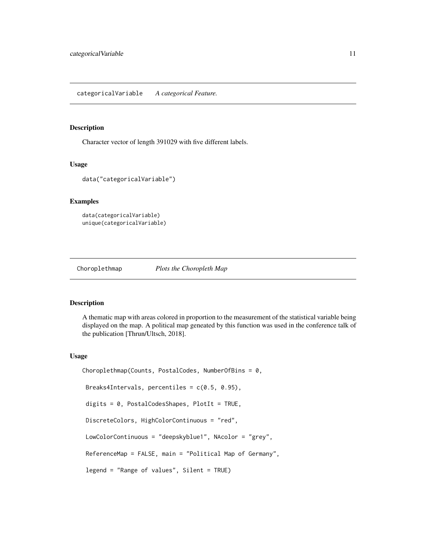#### <span id="page-10-0"></span>Description

Character vector of length 391029 with five different labels.

# Usage

```
data("categoricalVariable")
```
#### Examples

```
data(categoricalVariable)
unique(categoricalVariable)
```
Choroplethmap *Plots the Choropleth Map*

### Description

A thematic map with areas colored in proportion to the measurement of the statistical variable being displayed on the map. A political map geneated by this function was used in the conference talk of the publication [Thrun/Ultsch, 2018].

## Usage

```
Choroplethmap(Counts, PostalCodes, NumberOfBins = 0,
Breaks4Intervals, percentiles = c(0.5, 0.95),
digits = 0, PostalCodesShapes, PlotIt = TRUE,
DiscreteColors, HighColorContinuous = "red",
LowColorContinuous = "deepskyblue1", NAcolor = "grey",
ReferenceMap = FALSE, main = "Political Map of Germany",
legend = "Range of values", Silent = TRUE)
```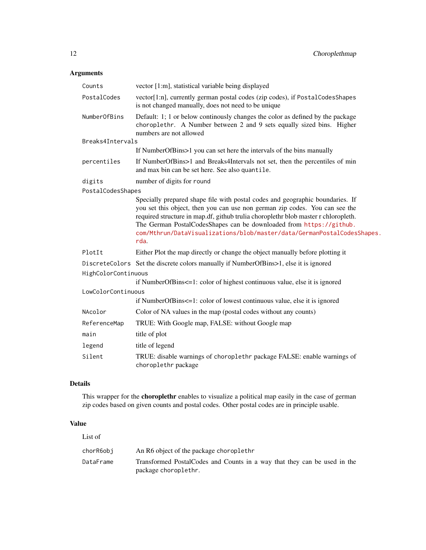# Arguments

| Counts              | vector [1:m], statistical variable being displayed                                                                                                                                                                                                                                                                                                                                                           |  |  |  |
|---------------------|--------------------------------------------------------------------------------------------------------------------------------------------------------------------------------------------------------------------------------------------------------------------------------------------------------------------------------------------------------------------------------------------------------------|--|--|--|
| PostalCodes         | vector[1:n], currently german postal codes (zip codes), if PostalCodesShapes<br>is not changed manually, does not need to be unique                                                                                                                                                                                                                                                                          |  |  |  |
| NumberOfBins        | Default: 1; 1 or below continually changes the color as defined by the package<br>choroplethr. A Number between 2 and 9 sets equally sized bins. Higher<br>numbers are not allowed                                                                                                                                                                                                                           |  |  |  |
| Breaks4Intervals    |                                                                                                                                                                                                                                                                                                                                                                                                              |  |  |  |
|                     | If NumberOfBins>1 you can set here the intervals of the bins manually                                                                                                                                                                                                                                                                                                                                        |  |  |  |
| percentiles         | If NumberOfBins>1 and Breaks4Intervals not set, then the percentiles of min<br>and max bin can be set here. See also quantile.                                                                                                                                                                                                                                                                               |  |  |  |
| digits              | number of digits for round                                                                                                                                                                                                                                                                                                                                                                                   |  |  |  |
| PostalCodesShapes   |                                                                                                                                                                                                                                                                                                                                                                                                              |  |  |  |
|                     | Specially prepared shape file with postal codes and geographic boundaries. If<br>you set this object, then you can use non german zip codes. You can see the<br>required structure in map.df, github trulia choroplethr blob master r chloropleth.<br>The German PostalCodesShapes can be downloaded from https://github.<br>com/Mthrun/DataVisualizations/blob/master/data/GermanPostalCodesShapes.<br>rda. |  |  |  |
| PlotIt              | Either Plot the map directly or change the object manually before plotting it                                                                                                                                                                                                                                                                                                                                |  |  |  |
|                     | DiscreteColors Set the discrete colors manually if NumberOfBins>1, else it is ignored                                                                                                                                                                                                                                                                                                                        |  |  |  |
| HighColorContinuous |                                                                                                                                                                                                                                                                                                                                                                                                              |  |  |  |
|                     | if NumberOfBins<=1: color of highest continuous value, else it is ignored                                                                                                                                                                                                                                                                                                                                    |  |  |  |
| LowColorContinuous  | if NumberOfBins<=1: color of lowest continuous value, else it is ignored                                                                                                                                                                                                                                                                                                                                     |  |  |  |
|                     |                                                                                                                                                                                                                                                                                                                                                                                                              |  |  |  |
| NAcolor             | Color of NA values in the map (postal codes without any counts)                                                                                                                                                                                                                                                                                                                                              |  |  |  |
| ReferenceMap        | TRUE: With Google map, FALSE: without Google map                                                                                                                                                                                                                                                                                                                                                             |  |  |  |
| main                | title of plot                                                                                                                                                                                                                                                                                                                                                                                                |  |  |  |
| legend              | title of legend                                                                                                                                                                                                                                                                                                                                                                                              |  |  |  |
| Silent              | TRUE: disable warnings of choroplethr package FALSE: enable warnings of<br>choroplethr package                                                                                                                                                                                                                                                                                                               |  |  |  |

# Details

This wrapper for the choroplethr enables to visualize a political map easily in the case of german zip codes based on given counts and postal codes. Other postal codes are in principle usable.

# Value

| List of   |                                                                                                   |
|-----------|---------------------------------------------------------------------------------------------------|
| chorR6obj | An R6 object of the package choroplethr                                                           |
| DataFrame | Transformed Postal Codes and Counts in a way that they can be used in the<br>package choroplethr. |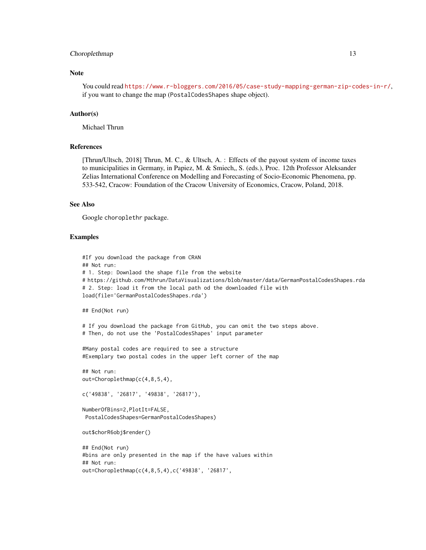#### Choroplethmap 13

# Note

You could read <https://www.r-bloggers.com/2016/05/case-study-mapping-german-zip-codes-in-r/>, if you want to change the map (PostalCodesShapes shape object).

#### Author(s)

Michael Thrun

#### References

[Thrun/Ultsch, 2018] Thrun, M. C., & Ultsch, A. : Effects of the payout system of income taxes to municipalities in Germany, in Papiez, M. & Smiech,, S. (eds.), Proc. 12th Professor Aleksander Zelias International Conference on Modelling and Forecasting of Socio-Economic Phenomena, pp. 533-542, Cracow: Foundation of the Cracow University of Economics, Cracow, Poland, 2018.

#### See Also

Google choroplethr package.

#### Examples

```
#If you download the package from CRAN
## Not run:
# 1. Step: Downlaod the shape file from the website
# https://github.com/Mthrun/DataVisualizations/blob/master/data/GermanPostalCodesShapes.rda
# 2. Step: load it from the local path od the downloaded file with
load(file='GermanPostalCodesShapes.rda')
## End(Not run)
# If you download the package from GitHub, you can omit the two steps above.
# Then, do not use the 'PostalCodesShapes' input parameter
#Many postal codes are required to see a structure
#Exemplary two postal codes in the upper left corner of the map
## Not run:
out=Choroplethmap(c(4,8,5,4),
c('49838', '26817', '49838', '26817'),
NumberOfBins=2,PlotIt=FALSE,
PostalCodesShapes=GermanPostalCodesShapes)
out$chorR6obj$render()
## End(Not run)
#bins are only presented in the map if the have values within
## Not run:
out=Choroplethmap(c(4,8,5,4),c('49838', '26817',
```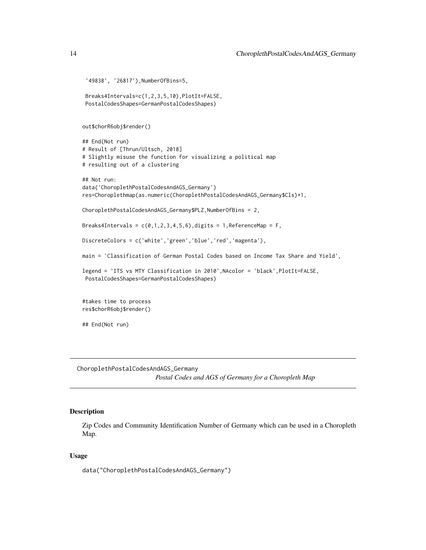```
'49838', '26817'),NumberOfBins=5,
 Breaks4Intervals=c(1,2,3,5,10),PlotIt=FALSE,
 PostalCodesShapes=GermanPostalCodesShapes)
out$chorR6obj$render()
## End(Not run)
# Result of [Thrun/Ultsch, 2018]
# Slightly misuse the function for visualizing a political map
# resulting out of a clustering
## Not run:
data('ChoroplethPostalCodesAndAGS_Germany')
res=Choroplethmap(as.numeric(ChoroplethPostalCodesAndAGS_Germany$Cls)+1,
ChoroplethPostalCodesAndAGS_Germany$PLZ,NumberOfBins = 2,
Breaks4Intervals = c(0,1,2,3,4,5,6), digits = 1, ReferenceMap = F,
DiscreteColors = c('white','green','blue','red','magenta'),
main = 'Classification of German Postal Codes based on Income Tax Share and Yield',
legend = 'ITS vs MTY Classification in 2010',NAcolor = 'black',PlotIt=FALSE,
PostalCodesShapes=GermanPostalCodesShapes)
#takes time to process
res$chorR6obj$render()
## End(Not run)
```
ChoroplethPostalCodesAndAGS\_Germany *Postal Codes and AGS of Germany for a Choropleth Map*

### Description

Zip Codes and Community Identification Number of Germany which can be used in a Choropleth Map.

# Usage

data("ChoroplethPostalCodesAndAGS\_Germany")

<span id="page-13-0"></span>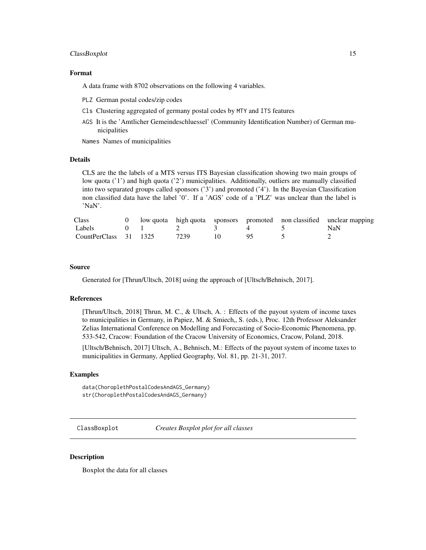#### <span id="page-14-0"></span>ClassBoxplot 15

#### Format

A data frame with 8702 observations on the following 4 variables.

- PLZ German postal codes/zip codes
- Cls Clustering aggregated of germany postal codes by MTY and ITS features
- AGS It is the 'Amtlicher Gemeindeschluessel' (Community Identification Number) of German municipalities

Names Names of municipalities

# Details

CLS are the the labels of a MTS versus ITS Bayesian classification showing two main groups of low quota ('1') and high quota ('2') municipalities. Additionally, outliers are manually classified into two separated groups called sponsors ('3') and promoted ('4'). In the Bayesian Classification non classified data have the label '0'. If a 'AGS' code of a 'PLZ' was unclear than the label is 'NaN'.

| <b>Class</b>          |  |                                                          |  | 0 low quota high quota sponsors promoted non classified unclear mapping |
|-----------------------|--|----------------------------------------------------------|--|-------------------------------------------------------------------------|
| Labels                |  | $\begin{array}{ccccccc}\n0 & 1 & 2 & 3 & 4\n\end{array}$ |  | NaN                                                                     |
| CountPerClass 31 1325 |  | 7239                                                     |  |                                                                         |

#### Source

Generated for [Thrun/Ultsch, 2018] using the approach of [Ultsch/Behnisch, 2017].

#### References

[Thrun/Ultsch, 2018] Thrun, M. C., & Ultsch, A. : Effects of the payout system of income taxes to municipalities in Germany, in Papiez, M. & Smiech,, S. (eds.), Proc. 12th Professor Aleksander Zelias International Conference on Modelling and Forecasting of Socio-Economic Phenomena, pp. 533-542, Cracow: Foundation of the Cracow University of Economics, Cracow, Poland, 2018.

[Ultsch/Behnisch, 2017] Ultsch, A., Behnisch, M.: Effects of the payout system of income taxes to municipalities in Germany, Applied Geography, Vol. 81, pp. 21-31, 2017.

#### Examples

data(ChoroplethPostalCodesAndAGS\_Germany) str(ChoroplethPostalCodesAndAGS\_Germany)

ClassBoxplot *Creates Boxplot plot for all classes*

#### **Description**

Boxplot the data for all classes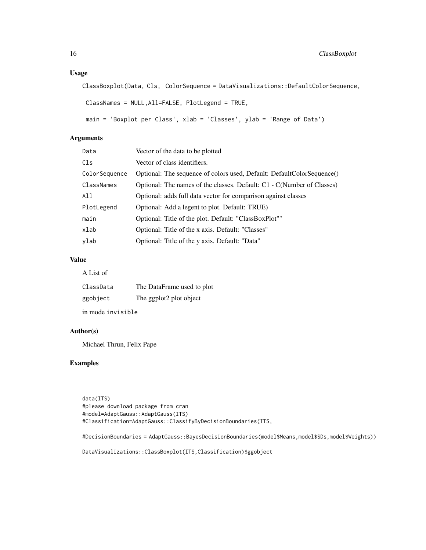# Usage

```
ClassBoxplot(Data, Cls, ColorSequence = DataVisualizations::DefaultColorSequence,
```

```
ClassNames = NULL,All=FALSE, PlotLegend = TRUE,
```

```
main = 'Boxplot per Class', xlab = 'Classes', ylab = 'Range of Data')
```
# Arguments

| Data          | Vector of the data to be plotted                                       |
|---------------|------------------------------------------------------------------------|
| Cls           | Vector of class identifiers.                                           |
| ColorSequence | Optional: The sequence of colors used, Default: DefaultColorSequence() |
| ClassNames    | Optional: The names of the classes. Default: C1 - C(Number of Classes) |
| All           | Optional: adds full data vector for comparison against classes         |
| PlotLegend    | Optional: Add a legent to plot. Default: TRUE)                         |
| main          | Optional: Title of the plot. Default: "ClassBoxPlot""                  |
| xlab          | Optional: Title of the x axis. Default: "Classes"                      |
| ylab          | Optional: Title of the y axis. Default: "Data"                         |

# Value

A List of

| ClassData | The DataFrame used to plot |
|-----------|----------------------------|
| ggobject  | The ggplot2 plot object    |

in mode invisible

# Author(s)

Michael Thrun, Felix Pape

# Examples

data(ITS) #please download package from cran #model=AdaptGauss::AdaptGauss(ITS) #Classification=AdaptGauss::ClassifyByDecisionBoundaries(ITS,

#DecisionBoundaries = AdaptGauss::BayesDecisionBoundaries(model\$Means,model\$SDs,model\$Weights))

DataVisualizations::ClassBoxplot(ITS,Classification)\$ggobject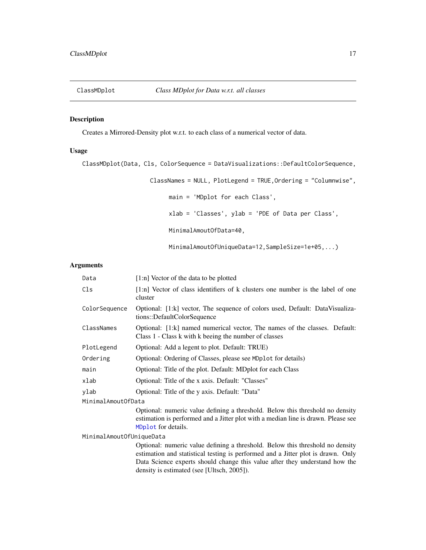<span id="page-16-0"></span>

# Description

Creates a Mirrored-Density plot w.r.t. to each class of a numerical vector of data.

# Usage

ClassMDplot(Data, Cls, ColorSequence = DataVisualizations::DefaultColorSequence, ClassNames = NULL, PlotLegend = TRUE,Ordering = "Columnwise", main = 'MDplot for each Class', xlab = 'Classes', ylab = 'PDE of Data per Class', MinimalAmoutOfData=40, MinimalAmoutOfUniqueData=12,SampleSize=1e+05,...)

# Arguments

| Data                     | [1:n] Vector of the data to be plotted                                                                                                                                                                                                                                                         |  |
|--------------------------|------------------------------------------------------------------------------------------------------------------------------------------------------------------------------------------------------------------------------------------------------------------------------------------------|--|
| Cls                      | $[1:n]$ Vector of class identifiers of k clusters one number is the label of one<br>cluster                                                                                                                                                                                                    |  |
| ColorSequence            | Optional: [1:k] vector, The sequence of colors used, Default: DataVisualiza-<br>tions::DefaultColorSequence                                                                                                                                                                                    |  |
| ClassNames               | Optional: [1:k] named numerical vector, The names of the classes. Default:<br>Class 1 - Class k with k beeing the number of classes                                                                                                                                                            |  |
| PlotLegend               | Optional: Add a legent to plot. Default: TRUE)                                                                                                                                                                                                                                                 |  |
| Ordering                 | Optional: Ordering of Classes, please see MDplot for details)                                                                                                                                                                                                                                  |  |
| main                     | Optional: Title of the plot. Default: MDplot for each Class                                                                                                                                                                                                                                    |  |
| xlab                     | Optional: Title of the x axis. Default: "Classes"                                                                                                                                                                                                                                              |  |
| ylab                     | Optional: Title of the y axis. Default: "Data"                                                                                                                                                                                                                                                 |  |
| MinimalAmoutOfData       |                                                                                                                                                                                                                                                                                                |  |
|                          | Optional: numeric value defining a threshold. Below this threshold no density<br>estimation is performed and a Jitter plot with a median line is drawn. Please see<br>MDplot for details.                                                                                                      |  |
| MinimalAmoutOfUniqueData |                                                                                                                                                                                                                                                                                                |  |
|                          | Optional: numeric value defining a threshold. Below this threshold no density<br>estimation and statistical testing is performed and a Jitter plot is drawn. Only<br>Data Science experts should change this value after they understand how the<br>density is estimated (see [Ultsch, 2005]). |  |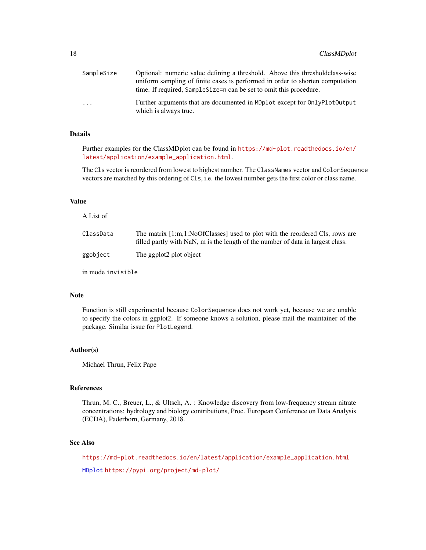| SampleSize              | Optional: numeric value defining a threshold. Above this threshold class-wise                                                                          |
|-------------------------|--------------------------------------------------------------------------------------------------------------------------------------------------------|
|                         | uniform sampling of finite cases is performed in order to shorten computation<br>time. If required, Sample Size = n can be set to omit this procedure. |
| $\cdot$ $\cdot$ $\cdot$ | Further arguments that are documented in MDplot except for OnlyPlotOutput<br>which is always true.                                                     |

# Details

Further examples for the ClassMDplot can be found in [https://md-plot.readthedocs.io/en/](https://md-plot.readthedocs.io/en/latest/application/example_application.html) [latest/application/example\\_application.html](https://md-plot.readthedocs.io/en/latest/application/example_application.html).

The Cls vector is reordered from lowest to highest number. The ClassNames vector and ColorSequence vectors are matched by this ordering of Cls, i.e. the lowest number gets the first color or class name.

#### Value

| A List of         |                                                                                                                                                                 |
|-------------------|-----------------------------------------------------------------------------------------------------------------------------------------------------------------|
| ClassData         | The matrix [1:m,1:NoOfClasses] used to plot with the reordered Cls, rows are<br>filled partly with NaN, m is the length of the number of data in largest class. |
| ggobject          | The ggplot2 plot object                                                                                                                                         |
| in mode invisible |                                                                                                                                                                 |

#### Note

Function is still experimental because ColorSequence does not work yet, because we are unable to specify the colors in ggplot2. If someone knows a solution, please mail the maintainer of the package. Similar issue for PlotLegend.

#### Author(s)

Michael Thrun, Felix Pape

#### References

Thrun, M. C., Breuer, L., & Ultsch, A. : Knowledge discovery from low-frequency stream nitrate concentrations: hydrology and biology contributions, Proc. European Conference on Data Analysis (ECDA), Paderborn, Germany, 2018.

# See Also

[https://md-plot.readthedocs.io/en/latest/application/example\\_application.html](https://md-plot.readthedocs.io/en/latest/application/example_application.html) [MDplot](#page-48-1) <https://pypi.org/project/md-plot/>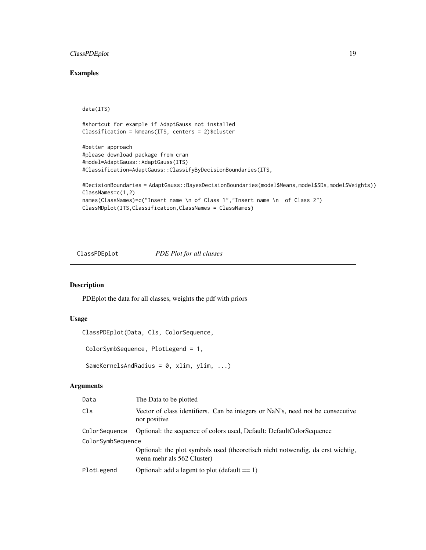# <span id="page-18-0"></span>ClassPDEplot 19

# Examples

```
data(ITS)
```

```
#shortcut for example if AdaptGauss not installed
Classification = kmeans(ITS, centers = 2)$cluster
```

```
#better approach
#please download package from cran
#model=AdaptGauss::AdaptGauss(ITS)
#Classification=AdaptGauss::ClassifyByDecisionBoundaries(ITS,
```

```
#DecisionBoundaries = AdaptGauss::BayesDecisionBoundaries(model$Means,model$SDs,model$Weights))
ClassNames=c(1,2)
names(ClassNames)=c("Insert name \n of Class 1","Insert name \n of Class 2")
ClassMDplot(ITS,Classification,ClassNames = ClassNames)
```
ClassPDEplot *PDE Plot for all classes*

# Description

PDEplot the data for all classes, weights the pdf with priors

#### Usage

```
ClassPDEplot(Data, Cls, ColorSequence,
```

```
ColorSymbSequence, PlotLegend = 1,
```
SameKernelsAndRadius = 0, xlim, ylim, ...)

# Arguments

| Data              | The Data to be plotted                                                                                       |
|-------------------|--------------------------------------------------------------------------------------------------------------|
| Cls               | Vector of class identifiers. Can be integers or NaN's, need not be consecutive<br>nor positive               |
| ColorSequence     | Optional: the sequence of colors used, Default: DefaultColorSequence                                         |
| ColorSymbSequence |                                                                                                              |
|                   | Optional: the plot symbols used (theoretisch nicht notwendig, da erst wichtig,<br>wenn mehr als 562 Cluster) |
| PlotLegend        | Optional: add a legent to plot (default $== 1$ )                                                             |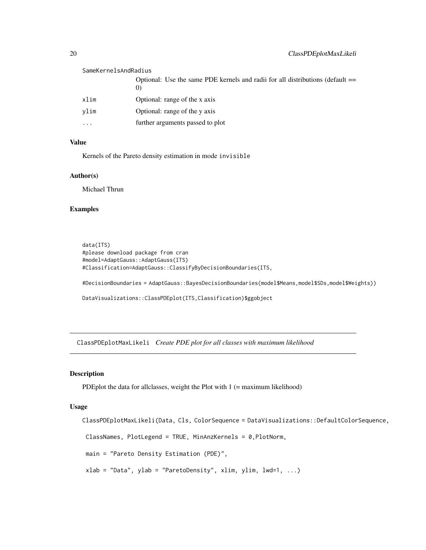#### <span id="page-19-0"></span>SameKernelsAndRadius

|           | Optional: Use the same PDE kernels and radii for all distributions (default == |
|-----------|--------------------------------------------------------------------------------|
| xlim      | Optional: range of the x axis                                                  |
| vlim      | Optional: range of the y axis                                                  |
| $\ddotsc$ | further arguments passed to plot                                               |

#### Value

Kernels of the Pareto density estimation in mode invisible

#### Author(s)

Michael Thrun

#### Examples

```
data(ITS)
#please download package from cran
#model=AdaptGauss::AdaptGauss(ITS)
#Classification=AdaptGauss::ClassifyByDecisionBoundaries(ITS,
#DecisionBoundaries = AdaptGauss::BayesDecisionBoundaries(model$Means,model$SDs,model$Weights))
DataVisualizations::ClassPDEplot(ITS,Classification)$ggobject
```
ClassPDEplotMaxLikeli *Create PDE plot for all classes with maximum likelihood*

# Description

PDEplot the data for all classes, weight the Plot with  $1$  (= maximum likelihood)

#### Usage

```
ClassPDEplotMaxLikeli(Data, Cls, ColorSequence = DataVisualizations::DefaultColorSequence,
ClassNames, PlotLegend = TRUE, MinAnzKernels = 0,PlotNorm,
main = "Pareto Density Estimation (PDE)",
xlab = "Data", ylab = "ParetoDensity", xlim, ylim, lwd=1, ...)
```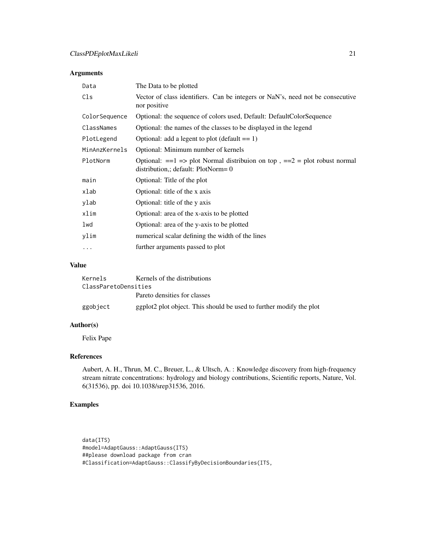# Arguments

| Data          | The Data to be plotted                                                                                                  |
|---------------|-------------------------------------------------------------------------------------------------------------------------|
| Cls           | Vector of class identifiers. Can be integers or NaN's, need not be consecutive<br>nor positive                          |
| ColorSequence | Optional: the sequence of colors used, Default: DefaultColorSequence                                                    |
| ClassNames    | Optional: the names of the classes to be displayed in the legend                                                        |
| PlotLegend    | Optional: add a legent to plot (default $== 1$ )                                                                        |
| MinAnzKernels | Optional: Minimum number of kernels                                                                                     |
| PlotNorm      | Optional: $==1$ => plot Normal distribuion on top, $==2$ = plot robust normal<br>distribution,; default: $PlotNorm = 0$ |
| main          | Optional: Title of the plot                                                                                             |
| xlab          | Optional: title of the x axis                                                                                           |
| ylab          | Optional: title of the y axis                                                                                           |
| xlim          | Optional: area of the x-axis to be plotted                                                                              |
| lwd           | Optional: area of the y-axis to be plotted                                                                              |
| ylim          | numerical scalar defining the width of the lines                                                                        |
| .             | further arguments passed to plot                                                                                        |

# Value

| Kernels              | Kernels of the distributions                                        |
|----------------------|---------------------------------------------------------------------|
| ClassParetoDensities |                                                                     |
|                      | Pareto densities for classes                                        |
| ggobject             | ggplot2 plot object. This should be used to further modify the plot |

# Author(s)

Felix Pape

# References

Aubert, A. H., Thrun, M. C., Breuer, L., & Ultsch, A. : Knowledge discovery from high-frequency stream nitrate concentrations: hydrology and biology contributions, Scientific reports, Nature, Vol. 6(31536), pp. doi 10.1038/srep31536, 2016.

# Examples

data(ITS) #model=AdaptGauss::AdaptGauss(ITS) ##please download package from cran #Classification=AdaptGauss::ClassifyByDecisionBoundaries(ITS,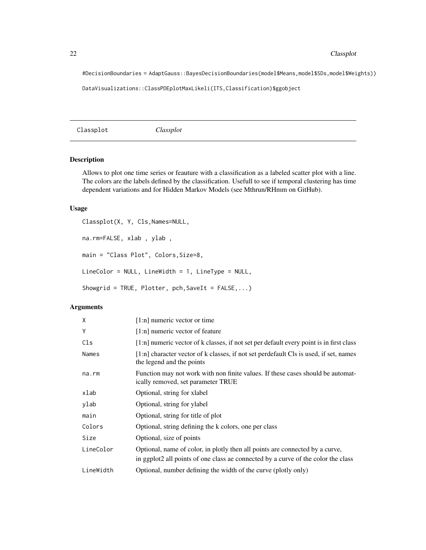#DecisionBoundaries = AdaptGauss::BayesDecisionBoundaries(model\$Means,model\$SDs,model\$Weights))

DataVisualizations::ClassPDEplotMaxLikeli(ITS,Classification)\$ggobject

<span id="page-21-1"></span>Classplot *Classplot*

# Description

Allows to plot one time series or feauture with a classification as a labeled scatter plot with a line. The colors are the labels defined by the classification. Usefull to see if temporal clustering has time dependent variations and for Hidden Markov Models (see Mthrun/RHmm on GitHub).

### Usage

```
Classplot(X, Y, Cls,Names=NULL,
na.rm=FALSE, xlab , ylab ,
main = "Class Plot", Colors,Size=8,
LineColor = NULL, LineWidth = 1, LineType = NULL,
Showgrid = TRUE, Plotter, pch, SaveIt = FALSE, ...)
```
#### Arguments

| X         | [1:n] numeric vector or time                                                                                          |
|-----------|-----------------------------------------------------------------------------------------------------------------------|
| Y         | $[1:n]$ numeric vector of feature                                                                                     |
| Cls       | $[1:n]$ numeric vector of k classes, if not set per default every point is in first class                             |
| Names     | $[1:n]$ character vector of k classes, if not set perdefault Cls is used, if set, names<br>the legend and the points  |
| na.rm     | Function may not work with non finite values. If these cases should be automat-<br>ically removed, set parameter TRUE |
| xlab      | Optional, string for xlabel                                                                                           |
| ylab      | Optional, string for ylabel                                                                                           |
| main      | Optional, string for title of plot                                                                                    |
| Colors    | Optional, string defining the k colors, one per class                                                                 |
| Size      | Optional, size of points                                                                                              |
| LineColor | Optional, name of color, in plotly then all points are connected by a curve,                                          |
|           | in ggplot2 all points of one class ae connected by a curve of the color the class                                     |
| LineWidth | Optional, number defining the width of the curve (plotly only)                                                        |

<span id="page-21-0"></span>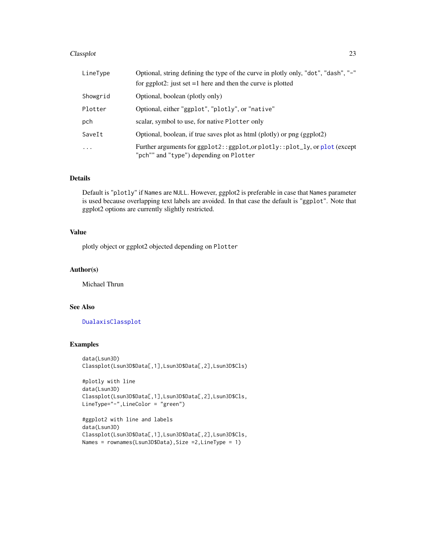#### Classplot 23

| LineType  | Optional, string defining the type of the curve in plotly only, "dot", "dash", "-"                                      |
|-----------|-------------------------------------------------------------------------------------------------------------------------|
|           | for ggplot2: just set $=1$ here and then the curve is plotted                                                           |
| Showgrid  | Optional, boolean (plotly only)                                                                                         |
| Plotter   | Optional, either "ggplot", "plotly", or "native"                                                                        |
| pch       | scalar, symbol to use, for native Plotter only                                                                          |
| SaveIt    | Optional, boolean, if true saves plot as html (plotly) or png (ggplot2)                                                 |
| $\ddotsc$ | Further arguments for ggplot2:: ggplot, or plotly:: plot_ly, or plot (except<br>"pch"" and "type") depending on Plotter |

#### Details

Default is "plotly" if Names are NULL. However, ggplot2 is preferable in case that Names parameter is used because overlapping text labels are avoided. In that case the default is "ggplot". Note that ggplot2 options are currently slightly restricted.

# Value

plotly object or ggplot2 objected depending on Plotter

#### Author(s)

Michael Thrun

# See Also

# [DualaxisClassplot](#page-28-1)

### Examples

```
data(Lsun3D)
Classplot(Lsun3D$Data[,1],Lsun3D$Data[,2],Lsun3D$Cls)
```

```
#plotly with line
data(Lsun3D)
Classplot(Lsun3D$Data[,1],Lsun3D$Data[,2],Lsun3D$Cls,
LineType="-",LineColor = "green")
```

```
#ggplot2 with line and labels
data(Lsun3D)
Classplot(Lsun3D$Data[,1],Lsun3D$Data[,2],Lsun3D$Cls,
Names = rownames(Lsun3D$Data),Size =2,LineType = 1)
```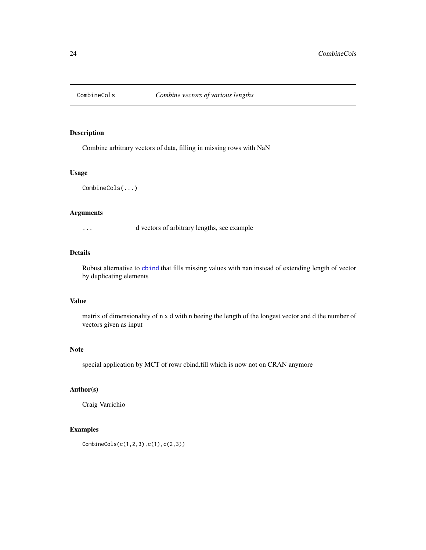<span id="page-23-0"></span>

# Description

Combine arbitrary vectors of data, filling in missing rows with NaN

### Usage

CombineCols(...)

# Arguments

... d vectors of arbitrary lengths, see example

## Details

Robust alternative to [cbind](#page-0-0) that fills missing values with nan instead of extending length of vector by duplicating elements

### Value

matrix of dimensionality of n x d with n beeing the length of the longest vector and d the number of vectors given as input

#### Note

special application by MCT of rowr cbind.fill which is now not on CRAN anymore

# Author(s)

Craig Varrichio

# Examples

```
CombineCols(c(1,2,3),c(1),c(2,3))
```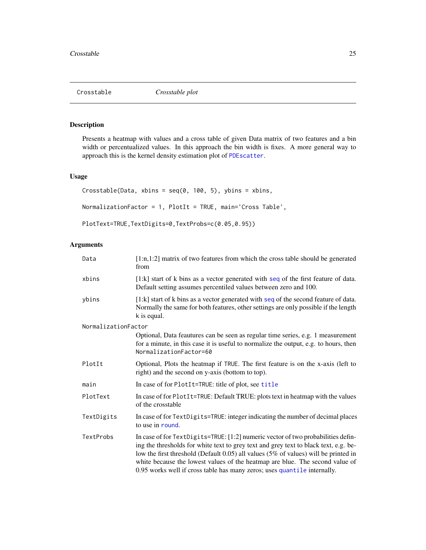<span id="page-24-0"></span>

# Description

Presents a heatmap with values and a cross table of given Data matrix of two features and a bin width or percentualized values. In this approach the bin width is fixes. A more general way to approach this is the kernel density estimation plot of [PDEscatter](#page-61-1).

# Usage

```
Crosstable(Data, xbins = seq(0, 100, 5), ybins = xbins,
NormalizationFactor = 1, PlotIt = TRUE, main='Cross Table',
PlotText=TRUE,TextDigits=0,TextProbs=c(0.05,0.95))
```
# Arguments

| Data                | $[1:n,1:2]$ matrix of two features from which the cross table should be generated<br>from                                                                                                                                                                                                                                                                                                                                   |
|---------------------|-----------------------------------------------------------------------------------------------------------------------------------------------------------------------------------------------------------------------------------------------------------------------------------------------------------------------------------------------------------------------------------------------------------------------------|
| xbins               | $[1:k]$ start of k bins as a vector generated with seq of the first feature of data.<br>Default setting assumes percentiled values between zero and 100.                                                                                                                                                                                                                                                                    |
| ybins               | $[1:k]$ start of k bins as a vector generated with seq of the second feature of data.<br>Normally the same for both features, other settings are only possible if the length<br>k is equal.                                                                                                                                                                                                                                 |
| NormalizationFactor |                                                                                                                                                                                                                                                                                                                                                                                                                             |
|                     | Optional, Data feautures can be seen as regular time series, e.g. 1 measurement<br>for a minute, in this case it is useful to normalize the output, e.g. to hours, then<br>NormalizationFactor=60                                                                                                                                                                                                                           |
| PlotIt              | Optional, Plots the heatmap if TRUE. The first feature is on the x-axis (left to<br>right) and the second on y-axis (bottom to top).                                                                                                                                                                                                                                                                                        |
| main                | In case of for PlotIt=TRUE: title of plot, see title                                                                                                                                                                                                                                                                                                                                                                        |
| PlotText            | In case of for PlotIt=TRUE: Default TRUE: plots text in heatmap with the values<br>of the crosstable                                                                                                                                                                                                                                                                                                                        |
| TextDigits          | In case of for TextDigits=TRUE: integer indicating the number of decimal places<br>to use in round.                                                                                                                                                                                                                                                                                                                         |
| TextProbs           | In case of for TextDigits=TRUE: [1:2] numeric vector of two probabilities defin-<br>ing the thresholds for white text to grey text and grey text to black text, e.g. be-<br>low the first threshold (Default 0.05) all values (5% of values) will be printed in<br>white because the lowest values of the heatmap are blue. The second value of<br>0.95 works well if cross table has many zeros; uses quantile internally. |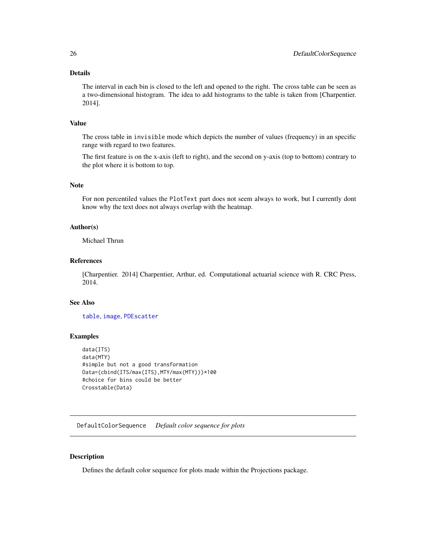# <span id="page-25-0"></span>Details

The interval in each bin is closed to the left and opened to the right. The cross table can be seen as a two-dimensional histogram. The idea to add histograms to the table is taken from [Charpentier. 2014].

# Value

The cross table in invisible mode which depicts the number of values (frequency) in an specific range with regard to two features.

The first feature is on the x-axis (left to right), and the second on y-axis (top to bottom) contrary to the plot where it is bottom to top.

### Note

For non percentiled values the PlotText part does not seem always to work, but I currently dont know why the text does not always overlap with the heatmap.

#### Author(s)

Michael Thrun

### References

[Charpentier. 2014] Charpentier, Arthur, ed. Computational actuarial science with R. CRC Press, 2014.

#### See Also

[table](#page-0-0), [image](#page-0-0), [PDEscatter](#page-61-1)

# Examples

```
data(ITS)
data(MTY)
#simple but not a good transformation
Data=(cbind(ITS/max(ITS),MTY/max(MTY)))*100
#choice for bins could be better
Crosstable(Data)
```
DefaultColorSequence *Default color sequence for plots*

#### Description

Defines the default color sequence for plots made within the Projections package.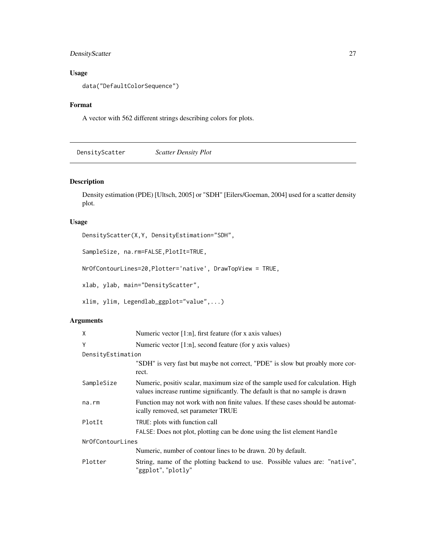# <span id="page-26-0"></span>DensityScatter 27

# Usage

data("DefaultColorSequence")

# Format

A vector with 562 different strings describing colors for plots.

DensityScatter *Scatter Density Plot*

# Description

Density estimation (PDE) [Ultsch, 2005] or "SDH" [Eilers/Goeman, 2004] used for a scatter density plot.

# Usage

DensityScatter(X,Y, DensityEstimation="SDH",

SampleSize, na.rm=FALSE,PlotIt=TRUE,

NrOfContourLines=20,Plotter='native', DrawTopView = TRUE,

xlab, ylab, main="DensityScatter",

xlim, ylim, Legendlab\_ggplot="value",...)

# Arguments

| X                 | Numeric vector $[1:n]$ , first feature (for x axis values)                                                                                                      |
|-------------------|-----------------------------------------------------------------------------------------------------------------------------------------------------------------|
| Y                 | Numeric vector $[1:n]$ , second feature (for y axis values)                                                                                                     |
| DensityEstimation |                                                                                                                                                                 |
|                   | "SDH" is very fast but maybe not correct, "PDE" is slow but proably more cor-<br>rect.                                                                          |
| SampleSize        | Numeric, positiv scalar, maximum size of the sample used for calculation. High<br>values increase runtime significantly. The default is that no sample is drawn |
| na.rm             | Function may not work with non finite values. If these cases should be automat-<br>ically removed, set parameter TRUE                                           |
| PlotIt            | TRUE: plots with function call                                                                                                                                  |
|                   | FALSE: Does not plot, plotting can be done using the list element Handle                                                                                        |
| NrOfContourLines  |                                                                                                                                                                 |
|                   | Numeric, number of contour lines to be drawn. 20 by default.                                                                                                    |
| Plotter           | String, name of the plotting backend to use. Possible values are: "native",<br>"ggplot", "plotly"                                                               |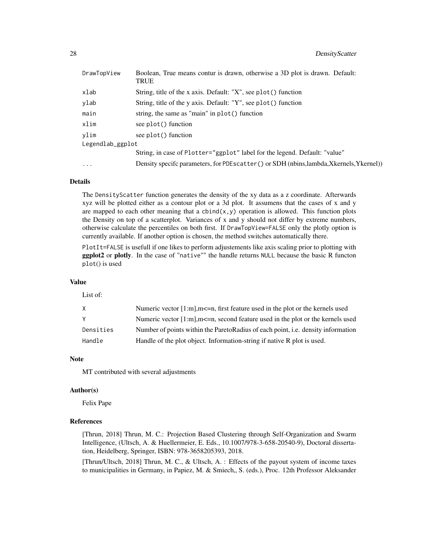| DrawTopView      | Boolean, True means contur is drawn, otherwise a 3D plot is drawn. Default:<br><b>TRUE</b> |
|------------------|--------------------------------------------------------------------------------------------|
| xlab             | String, title of the x axis. Default: "X", see plot() function                             |
| ylab             | String, title of the y axis. Default: "Y", see plot() function                             |
| main             | string, the same as "main" in plot() function                                              |
| xlim             | see plot() function                                                                        |
| ylim             | see plot() function                                                                        |
| Legendlab_ggplot |                                                                                            |
|                  | String, in case of Plotter="ggplot" label for the legend. Default: "value"                 |
| $\cdots$         | Density specifc parameters, for PDEscatter () or SDH (nbins, lambda, Xkernels, Ykernel))   |

#### Details

The DensityScatter function generates the density of the xy data as a z coordinate. Afterwards xyz will be plotted either as a contour plot or a 3d plot. It assumens that the cases of x and y are mapped to each other meaning that a cbind $(x, y)$  operation is allowed. This function plots the Density on top of a scatterplot. Variances of x and y should not differ by extreme numbers, otherwise calculate the percentiles on both first. If DrawTopView=FALSE only the plotly option is currently available. If another option is chosen, the method switches automatically there.

PlotIt=FALSE is usefull if one likes to perform adjustements like axis scaling prior to plotting with ggplot2 or plotly. In the case of "native"" the handle returns NULL because the basic R functon plot() is used

#### Value

List of:

|           | Numeric vector $[1:m]$ , $m\leq n$ , first feature used in the plot or the kernels used  |
|-----------|------------------------------------------------------------------------------------------|
|           | Numeric vector $[1:m]$ , $m\leq n$ , second feature used in the plot or the kernels used |
| Densities | Number of points within the ParetoRadius of each point, i.e. density information         |
| Handle    | Handle of the plot object. Information-string if native R plot is used.                  |

# Note

MT contributed with several adjustments

#### Author(s)

Felix Pape

#### References

[Thrun, 2018] Thrun, M. C.: Projection Based Clustering through Self-Organization and Swarm Intelligence, (Ultsch, A. & Huellermeier, E. Eds., 10.1007/978-3-658-20540-9), Doctoral dissertation, Heidelberg, Springer, ISBN: 978-3658205393, 2018.

[Thrun/Ultsch, 2018] Thrun, M. C., & Ultsch, A. : Effects of the payout system of income taxes to municipalities in Germany, in Papiez, M. & Smiech,, S. (eds.), Proc. 12th Professor Aleksander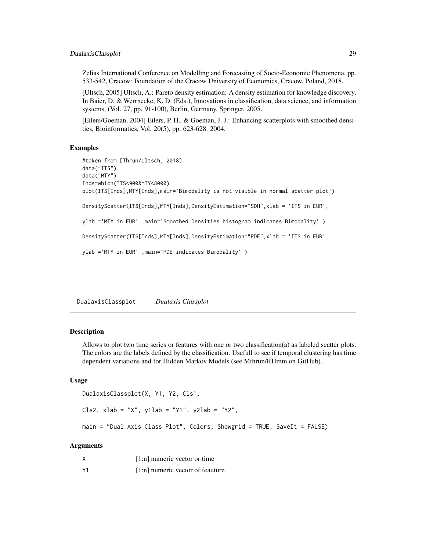# <span id="page-28-0"></span>DualaxisClassplot 29

Zelias International Conference on Modelling and Forecasting of Socio-Economic Phenomena, pp. 533-542, Cracow: Foundation of the Cracow University of Economics, Cracow, Poland, 2018.

[Ultsch, 2005] Ultsch, A.: Pareto density estimation: A density estimation for knowledge discovery, In Baier, D. & Werrnecke, K. D. (Eds.), Innovations in classification, data science, and information systems, (Vol. 27, pp. 91-100), Berlin, Germany, Springer, 2005.

[Eilers/Goeman, 2004] Eilers, P. H., & Goeman, J. J.: Enhancing scatterplots with smoothed densities, Bioinformatics, Vol. 20(5), pp. 623-628. 2004.

#### Examples

```
#taken from [Thrun/Ultsch, 2018]
data("ITS")
data("MTY")
Inds=which(ITS<900&MTY<8000)
plot(ITS[Inds],MTY[Inds],main='Bimodality is not visible in normal scatter plot')
DensityScatter(ITS[Inds],MTY[Inds],DensityEstimation="SDH",xlab = 'ITS in EUR',
ylab ='MTY in EUR' ,main='Smoothed Densities histogram indicates Bimodality' )
DensityScatter(ITS[Inds],MTY[Inds],DensityEstimation="PDE",xlab = 'ITS in EUR',
ylab ='MTY in EUR' ,main='PDE indicates Bimodality' )
```
<span id="page-28-1"></span>DualaxisClassplot *Dualaxis Classplot*

#### Description

Allows to plot two time series or features with one or two classification(a) as labeled scatter plots. The colors are the labels defined by the classification. Usefull to see if temporal clustering has time dependent variations and for Hidden Markov Models (see Mthrun/RHmm on GitHub).

#### Usage

```
DualaxisClassplot(X, Y1, Y2, Cls1,
```

```
Cls2, xlab = "X", y1lab = "Y1", y2lab = "Y2",
```

```
main = "Dual Axis Class Plot", Colors, Showgrid = TRUE, SaveIt = FALSE)
```
# Arguments

| Χ              | $[1:n]$ numeric vector or time   |
|----------------|----------------------------------|
| Y <sub>1</sub> | [1:n] numeric vector of feauture |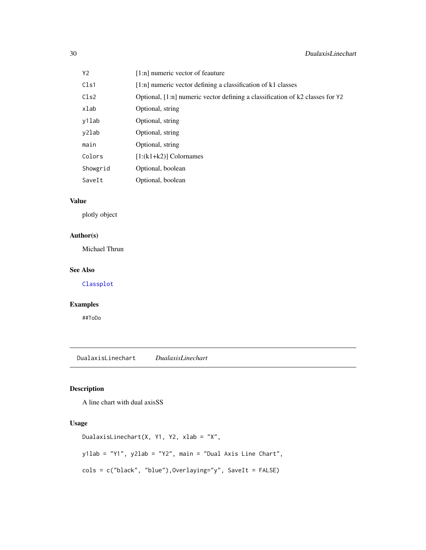<span id="page-29-0"></span>

| Υ2       | [1:n] numeric vector of feauture                                              |
|----------|-------------------------------------------------------------------------------|
| Cls1     | [1:n] numeric vector defining a classification of k1 classes                  |
| Cls2     | Optional, [1:n] numeric vector defining a classification of k2 classes for Y2 |
| xlab     | Optional, string                                                              |
| y1lab    | Optional, string                                                              |
| y2lab    | Optional, string                                                              |
| main     | Optional, string                                                              |
| Colors   | $[1:(k1+k2)]$ Colornames                                                      |
| Showgrid | Optional, boolean                                                             |
| SaveIt   | Optional, boolean                                                             |

## Value

plotly object

# Author(s)

Michael Thrun

## See Also

[Classplot](#page-21-1)

# Examples

##ToDo

DualaxisLinechart *DualaxisLinechart*

# Description

A line chart with dual axisSS

# Usage

```
DualaxisLinechart(X, Y1, Y2, xlab = "X",
y1lab = "Y1", y2lab = "Y2", main = "Dual Axis Line Chart",
cols = c("black", "blue"),Overlaying="y", SaveIt = FALSE)
```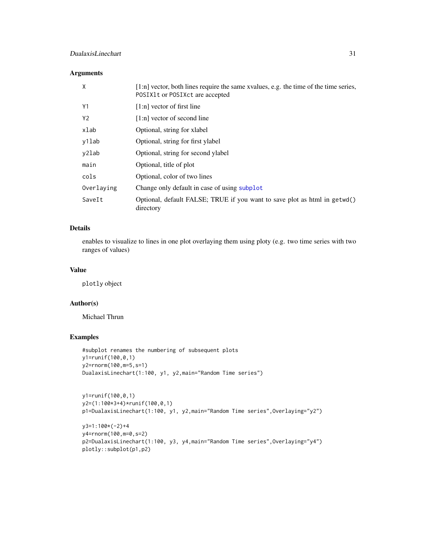# DualaxisLinechart 31

# Arguments

| X              | [1:n] vector, both lines require the same xvalues, e.g. the time of the time series,<br>POSIX1t or POSIXct are accepted |
|----------------|-------------------------------------------------------------------------------------------------------------------------|
| Y1             | $[1:n]$ vector of first line                                                                                            |
| Y <sub>2</sub> | $[1:n]$ vector of second line                                                                                           |
| xlab           | Optional, string for xlabel                                                                                             |
| y1lab          | Optional, string for first ylabel                                                                                       |
| y2lab          | Optional, string for second ylabel                                                                                      |
| main           | Optional, title of plot                                                                                                 |
| cols           | Optional, color of two lines                                                                                            |
| Overlaying     | Change only default in case of using subplot                                                                            |
| SaveIt         | Optional, default FALSE; TRUE if you want to save plot as html in getwd()<br>directory                                  |

# Details

enables to visualize to lines in one plot overlaying them using ploty (e.g. two time series with two ranges of values)

## Value

plotly object

### Author(s)

Michael Thrun

# Examples

```
#subplot renames the numbering of subsequent plots
y1=runif(100,0,1)
y2=rnorm(100,m=5,s=1)
DualaxisLinechart(1:100, y1, y2,main="Random Time series")
```

```
y1=runif(100,0,1)
y2=(1:100*3+4)*runif(100,0,1)
p1=DualaxisLinechart(1:100, y1, y2,main="Random Time series",Overlaying="y2")
```

```
y3=1:100*(-2)+4
y4=rnorm(100,m=0,s=2)
p2=DualaxisLinechart(1:100, y3, y4,main="Random Time series",Overlaying="y4")
plotly::subplot(p1,p2)
```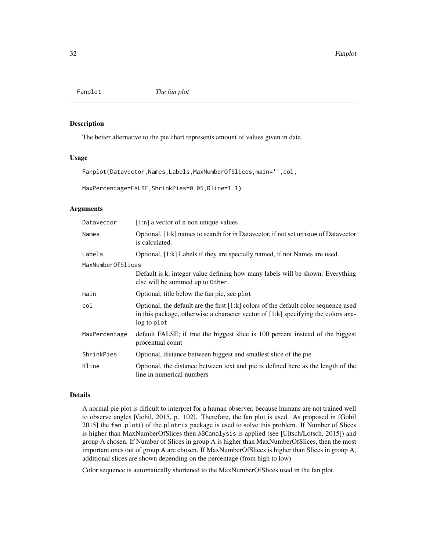<span id="page-31-0"></span>

#### Description

The better alternative to the pie chart represents amount of values given in data.

### Usage

Fanplot(Datavector,Names,Labels,MaxNumberOfSlices,main='',col,

MaxPercentage=FALSE,ShrinkPies=0.05,Rline=1.1)

### Arguments

| Datavector        | $[1:n]$ a vector of n non unique values                                                                                                                                                     |
|-------------------|---------------------------------------------------------------------------------------------------------------------------------------------------------------------------------------------|
| Names             | Optional, [1:k] names to search for in Datavector, if not set unique of Datavector<br>is calculated.                                                                                        |
| Labels            | Optional, [1:k] Labels if they are specially named, if not Names are used.                                                                                                                  |
| MaxNumberOfSlices |                                                                                                                                                                                             |
|                   | Default is k, integer value defining how many labels will be shown. Everything<br>else will be summed up to Other.                                                                          |
| main              | Optional, title below the fan pie, see plot                                                                                                                                                 |
| col               | Optional, the default are the first $[1:k]$ colors of the default color sequence used<br>in this package, otherwise a character vector of $[1:k]$ specifying the colors ana-<br>log to plot |
| MaxPercentage     | default FALSE; if true the biggest slice is 100 percent instead of the biggest<br>procentual count                                                                                          |
| ShrinkPies        | Optional, distance between biggest and smallest slice of the pie                                                                                                                            |
| Rline             | Optional, the distance between text and pie is defined here as the length of the<br>line in numerical numbers                                                                               |

# Details

A normal pie plot is dificult to interpret for a human observer, because humans are not trained well to observe angles [Gohil, 2015, p. 102]. Therefore, the fan plot is used. As proposed in [Gohil 2015] the fan.plot() of the plotrix package is used to solve this problem. If Number of Slices is higher than MaxNumberOfSlices then ABCanalysis is applied (see [Ultsch/Lotsch, 2015]) and group A chosen. If Number of Slices in group A is higher than MaxNumberOfSlices, then the most important ones out of group A are chosen. If MaxNumberOfSlices is higher than Slices in group A, additional slices are shown depending on the percentage (from high to low).

Color sequence is automatically shortened to the MaxNumberOfSlices used in the fan plot.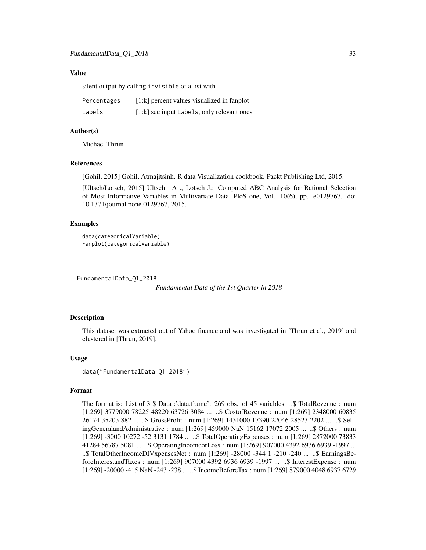#### <span id="page-32-0"></span>Value

silent output by calling invisible of a list with

| Percentages | [1:k] percent values visualized in fanplot |
|-------------|--------------------------------------------|
| Labels      | [1:k] see input Labels, only relevant ones |

#### Author(s)

Michael Thrun

#### References

[Gohil, 2015] Gohil, Atmajitsinh. R data Visualization cookbook. Packt Publishing Ltd, 2015.

[Ultsch/Lotsch, 2015] Ultsch. A ., Lotsch J.: Computed ABC Analysis for Rational Selection of Most Informative Variables in Multivariate Data, PloS one, Vol. 10(6), pp. e0129767. doi 10.1371/journal.pone.0129767, 2015.

#### Examples

```
data(categoricalVariable)
Fanplot(categoricalVariable)
```
FundamentalData\_Q1\_2018

*Fundamental Data of the 1st Quarter in 2018*

#### Description

This dataset was extracted out of Yahoo finance and was investigated in [Thrun et al., 2019] and clustered in [Thrun, 2019].

#### Usage

data("FundamentalData\_Q1\_2018")

#### Format

The format is: List of 3 \$ Data :'data.frame': 269 obs. of 45 variables: ..\$ TotalRevenue : num [1:269] 3779000 78225 48220 63726 3084 ... ..\$ CostofRevenue : num [1:269] 2348000 60835 26174 35203 882 ... ..\$ GrossProfit : num [1:269] 1431000 17390 22046 28523 2202 ... ..\$ SellingGeneralandAdministrative : num [1:269] 459000 NaN 15162 17072 2005 ... ..\$ Others : num [1:269] -3000 10272 -52 3131 1784 ... ..\$ TotalOperatingExpenses : num [1:269] 2872000 73833 41284 56787 5081 ... ..\$ OperatingIncomeorLoss : num [1:269] 907000 4392 6936 6939 -1997 ... ..\$ TotalOtherIncomeDIVxpensesNet : num [1:269] -28000 -344 1 -210 -240 ... ..\$ EarningsBeforeInterestandTaxes : num [1:269] 907000 4392 6936 6939 -1997 ... ..\$ InterestExpense : num [1:269] -20000 -415 NaN -243 -238 ... ..\$ IncomeBeforeTax : num [1:269] 879000 4048 6937 6729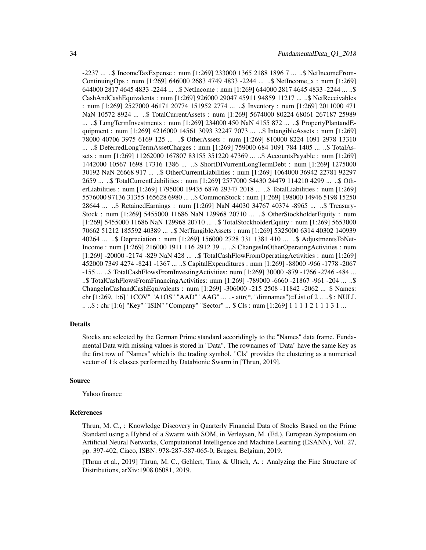-2237 ... ..\$ IncomeTaxExpense : num [1:269] 233000 1365 2188 1896 7 ... ..\$ NetIncomeFrom-ContinuingOps : num [1:269] 646000 2683 4749 4833 -2244 ... ..\$ NetIncome\_x : num [1:269] 644000 2817 4645 4833 -2244 ... ..\$ NetIncome : num [1:269] 644000 2817 4645 4833 -2244 ... ..\$ CashAndCashEquivalents : num [1:269] 926000 29047 45911 94859 11217 ... ..\$ NetReceivables : num [1:269] 2527000 46171 20774 151952 2774 ... ..\$ Inventory : num [1:269] 2011000 471 NaN 10572 8924 ... ..\$ TotalCurrentAssets : num [1:269] 5674000 80224 68061 267187 25989 ... ..\$ LongTermInvestments : num [1:269] 234000 450 NaN 4155 872 ... ..\$ PropertyPlantandEquipment : num [1:269] 4216000 14561 3093 32247 7073 ... ..\$ IntangibleAssets : num [1:269] 78000 40706 3975 6169 125 ... ..\$ OtherAssets : num [1:269] 810000 8224 1091 2978 13310 ... ..\$ DeferredLongTermAssetCharges : num [1:269] 759000 684 1091 784 1405 ... ..\$ TotalAssets : num [1:269] 11262000 167807 83155 351220 47369 ... ..\$ AccountsPayable : num [1:269] 1442000 10567 1698 17316 1386 ... ..\$ ShortDIVurrentLongTermDebt : num [1:269] 1275000 30192 NaN 26668 917 ... ..\$ OtherCurrentLiabilities : num [1:269] 1064000 36942 22781 92297 2659 ... ..\$ TotalCurrentLiabilities : num [1:269] 2577000 54430 24479 114210 4299 ... ..\$ OtherLiabilities : num [1:269] 1795000 19435 6876 29347 2018 ... ..\$ TotalLiabilities : num [1:269] 5576000 97136 31355 165628 6980 ... ..\$ CommonStock : num [1:269] 198000 14946 5198 15250 28644 ... ..\$ RetainedEarnings : num [1:269] NaN 44030 34767 40374 -8965 ... ..\$ Treasury-Stock : num [1:269] 5455000 11686 NaN 129968 20710 ... ..\$ OtherStockholderEquity : num [1:269] 5455000 11686 NaN 129968 20710 ... ..\$ TotalStockholderEquity : num [1:269] 5653000 70662 51212 185592 40389 ... ..\$ NetTangibleAssets : num [1:269] 5325000 6314 40302 140939 40264 ... ..\$ Depreciation : num [1:269] 156000 2728 331 1381 410 ... ..\$ AdjustmentsToNet-Income : num [1:269] 216000 1911 116 2912 39 ... ..\$ ChangesInOtherOperatingActivities : num [1:269] -20000 -2174 -829 NaN 428 ... ..\$ TotalCashFlowFromOperatingActivities : num [1:269] 452000 7349 4274 -8241 -1367 ... ..\$ CapitalExpenditures : num [1:269] -88000 -966 -1778 -2067 -155 ... ..\$ TotalCashFlowsFromInvestingActivities: num [1:269] 30000 -879 -1766 -2746 -484 ... ..\$ TotalCashFlowsFromFinancingActivities: num [1:269] -789000 -6660 -21867 -961 -204 ... ..\$ ChangeInCashandCashEquivalents : num [1:269] -306000 -215 2508 -11842 -2062 ... \$ Names: chr [1:269, 1:6] "1COV" "A1OS" "AAD" "AAG" ... ..- attr(\*, "dimnames")=List of 2 .. ..\$ : NULL .. ..\$ : chr [1:6] "Key" "ISIN" "Company" "Sector" ... \$ Cls : num [1:269] 1 1 1 1 2 1 1 1 3 1 ...

#### Details

Stocks are selected by the German Prime standard accoridingly to the "Names" data frame. Fundamental Data with missing values is stored in "Data". The rownames of "Data" have the same Key as the first row of "Names" which is the trading symbol. "Cls" provides the clustering as a numerical vector of 1:k classes performed by Databionic Swarm in [Thrun, 2019].

#### Source

Yahoo finance

#### References

Thrun, M. C., : Knowledge Discovery in Quarterly Financial Data of Stocks Based on the Prime Standard using a Hybrid of a Swarm with SOM, in Verleysen, M. (Ed.), European Symposium on Artificial Neural Networks, Computational Intelligence and Machine Learning (ESANN), Vol. 27, pp. 397-402, Ciaco, ISBN: 978-287-587-065-0, Bruges, Belgium, 2019.

[Thrun et al., 2019] Thrun, M. C., Gehlert, Tino, & Ultsch, A. : Analyzing the Fine Structure of Distributions, arXiv:1908.06081, 2019.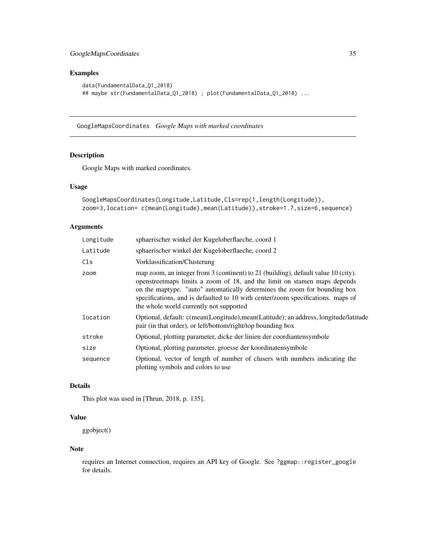# <span id="page-34-0"></span>Examples

```
data(FundamentalData_Q1_2018)
## maybe str(FundamentalData_Q1_2018) ; plot(FundamentalData_Q1_2018) ...
```
GoogleMapsCoordinates *Google Maps with marked coordinates*

# Description

Google Maps with marked coordinates.

# Usage

```
GoogleMapsCoordinates(Longitude,Latitude,Cls=rep(1,length(Longitude)),
zoom=3,location= c(mean(Longitude),mean(Latitude)),stroke=1.7,size=6,sequence)
```
# Arguments

| Longitude | sphaerischer winkel der Kugeloberflaeche, coord 1                                                                                                                                                                                                                                                                                                                          |
|-----------|----------------------------------------------------------------------------------------------------------------------------------------------------------------------------------------------------------------------------------------------------------------------------------------------------------------------------------------------------------------------------|
| Latitude  | sphaerischer winkel der Kugeloberflaeche, coord 2                                                                                                                                                                                                                                                                                                                          |
| Cls       | Vorklassification/Clusterung                                                                                                                                                                                                                                                                                                                                               |
| zoom      | map zoom, an integer from 3 (continent) to 21 (building), default value 10 (city).<br>openstreet maps limits a zoom of 18, and the limit on stamen maps depends<br>on the maptype. "auto" automatically determines the zoom for bounding box<br>specifications, and is defaulted to 10 with center/zoom specifications. maps of<br>the whole world currently not supported |
| location  | Optional, default: c(mean(Longitude), mean(Latitude); an address, longitude/latitude<br>pair (in that order), or left/bottom/right/top bounding box                                                                                                                                                                                                                        |
| stroke    | Optional, plotting parameter, dicke der linien der coordiantensymbole                                                                                                                                                                                                                                                                                                      |
| size      | Optional, plotting parameter, groesse der koordinatensymbole                                                                                                                                                                                                                                                                                                               |
| sequence  | Optional, vector of length of number of clusers with numbers indicating the<br>plotting symbols and colors to use                                                                                                                                                                                                                                                          |

# Details

This plot was used in [Thrun, 2018, p. 135].

# Value

ggobject()

### Note

requires an Internet connection, requires an API key of Google. See ?ggmap::register\_google for details.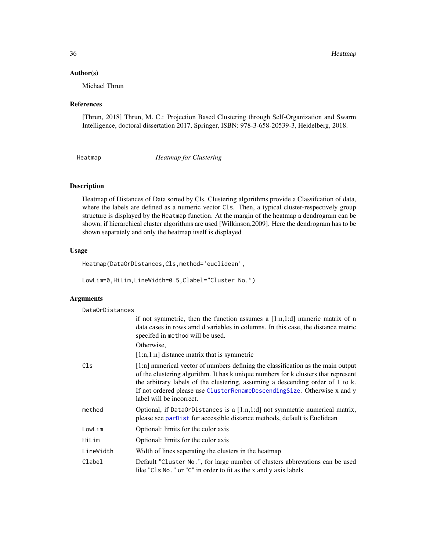#### <span id="page-35-0"></span>Author(s)

Michael Thrun

#### References

[Thrun, 2018] Thrun, M. C.: Projection Based Clustering through Self-Organization and Swarm Intelligence, doctoral dissertation 2017, Springer, ISBN: 978-3-658-20539-3, Heidelberg, 2018.

Heatmap *Heatmap for Clustering*

#### Description

Heatmap of Distances of Data sorted by Cls. Clustering algorithms provide a Classifcation of data, where the labels are defined as a numeric vector Cls. Then, a typical cluster-respectively group structure is displayed by the Heatmap function. At the margin of the heatmap a dendrogram can be shown, if hierarchical cluster algorithms are used [Wilkinson,2009]. Here the dendrogram has to be shown separately and only the heatmap itself is displayed

#### Usage

Heatmap(DataOrDistances,Cls,method='euclidean',

LowLim=0,HiLim,LineWidth=0.5,Clabel="Cluster No.")

### Arguments

DataOrDistances

|                 | if not symmetric, then the function assumes a $[1:n,1:d]$ numeric matrix of n<br>data cases in rows amd d variables in columns. In this case, the distance metric<br>specifed in method will be used.                                                                                                                                                            |
|-----------------|------------------------------------------------------------------------------------------------------------------------------------------------------------------------------------------------------------------------------------------------------------------------------------------------------------------------------------------------------------------|
|                 | Otherwise,                                                                                                                                                                                                                                                                                                                                                       |
|                 | $[1:n,1:n]$ distance matrix that is symmetric                                                                                                                                                                                                                                                                                                                    |
| C <sub>1s</sub> | [1:n] numerical vector of numbers defining the classification as the main output<br>of the clustering algorithm. It has k unique numbers for k clusters that represent<br>the arbitrary labels of the clustering, assuming a descending order of 1 to k.<br>If not ordered please use ClusterRenameDescendingSize. Otherwise x and y<br>label will be incorrect. |
| method          | Optional, if DataOrDistances is a $[1:n,1:d]$ not symmetric numerical matrix,<br>please see parDist for accessible distance methods, default is Euclidean                                                                                                                                                                                                        |
| LowLim          | Optional: limits for the color axis                                                                                                                                                                                                                                                                                                                              |
| HiLim           | Optional: limits for the color axis                                                                                                                                                                                                                                                                                                                              |
| LineWidth       | Width of lines seperating the clusters in the heatmap                                                                                                                                                                                                                                                                                                            |
| Clabel          | Default "Cluster No.", for large number of clusters abbrevations can be used<br>like "Cls No." or "C" in order to fit as the x and y axis labels                                                                                                                                                                                                                 |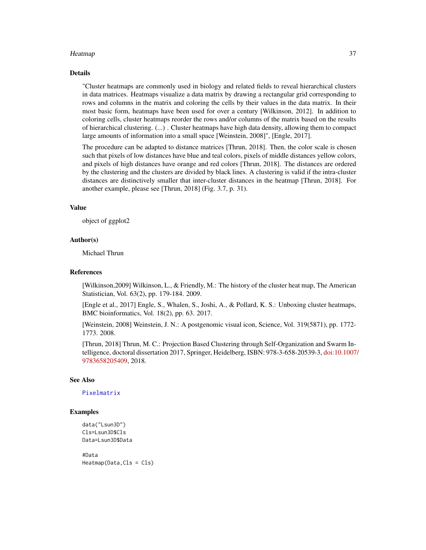#### Heatmap 37

#### Details

"Cluster heatmaps are commonly used in biology and related fields to reveal hierarchical clusters in data matrices. Heatmaps visualize a data matrix by drawing a rectangular grid corresponding to rows and columns in the matrix and coloring the cells by their values in the data matrix. In their most basic form, heatmaps have been used for over a century [Wilkinson, 2012]. In addition to coloring cells, cluster heatmaps reorder the rows and/or columns of the matrix based on the results of hierarchical clustering. (...) . Cluster heatmaps have high data density, allowing them to compact large amounts of information into a small space [Weinstein, 2008]", [Engle, 2017].

The procedure can be adapted to distance matrices [Thrun, 2018]. Then, the color scale is chosen such that pixels of low distances have blue and teal colors, pixels of middle distances yellow colors, and pixels of high distances have orange and red colors [Thrun, 2018]. The distances are ordered by the clustering and the clusters are divided by black lines. A clustering is valid if the intra-cluster distances are distinctively smaller that inter-cluster distances in the heatmap [Thrun, 2018]. For another example, please see [Thrun, 2018] (Fig. 3.7, p. 31).

#### Value

object of ggplot2

#### Author(s)

Michael Thrun

#### References

[Wilkinson,2009] Wilkinson, L., & Friendly, M.: The history of the cluster heat map, The American Statistician, Vol. 63(2), pp. 179-184. 2009.

[Engle et al., 2017] Engle, S., Whalen, S., Joshi, A., & Pollard, K. S.: Unboxing cluster heatmaps, BMC bioinformatics, Vol. 18(2), pp. 63. 2017.

[Weinstein, 2008] Weinstein, J. N.: A postgenomic visual icon, Science, Vol. 319(5871), pp. 1772- 1773. 2008.

[Thrun, 2018] Thrun, M. C.: Projection Based Clustering through Self-Organization and Swarm Intelligence, doctoral dissertation 2017, Springer, Heidelberg, ISBN: 978-3-658-20539-3, [doi:10.1007](https://doi.org/10.1007/978-3-658-20540-9)/ [9783658205409,](https://doi.org/10.1007/978-3-658-20540-9) 2018.

#### See Also

[Pixelmatrix](#page-65-0)

## Examples

```
data("Lsun3D")
Cls=Lsun3D$Cls
Data=Lsun3D$Data
```
#Data Heatmap(Data,Cls = Cls)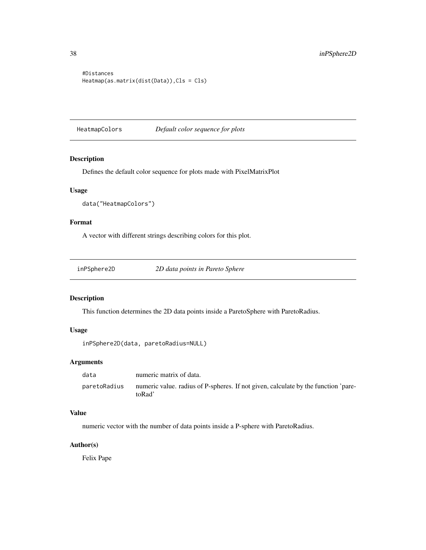```
#Distances
Heatmap(as.matrix(dist(Data)),Cls = Cls)
```
HeatmapColors *Default color sequence for plots*

# Description

Defines the default color sequence for plots made with PixelMatrixPlot

# Usage

```
data("HeatmapColors")
```
# Format

A vector with different strings describing colors for this plot.

# Description

This function determines the 2D data points inside a ParetoSphere with ParetoRadius.

# Usage

```
inPSphere2D(data, paretoRadius=NULL)
```
# Arguments

| data         | numeric matrix of data.                                                                      |
|--------------|----------------------------------------------------------------------------------------------|
| paretoRadius | numeric value, radius of P-spheres. If not given, calculate by the function 'pare-<br>toRad' |

# Value

numeric vector with the number of data points inside a P-sphere with ParetoRadius.

# Author(s)

Felix Pape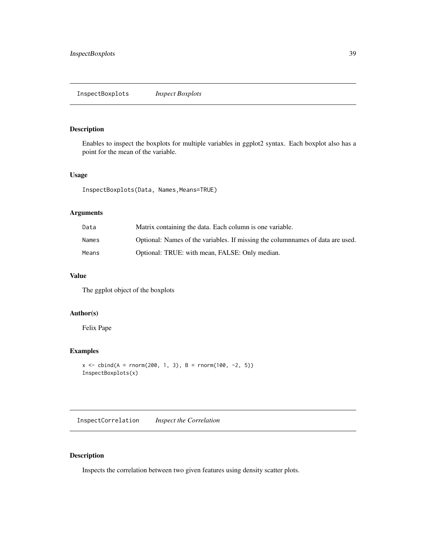# Description

Enables to inspect the boxplots for multiple variables in ggplot2 syntax. Each boxplot also has a point for the mean of the variable.

# Usage

InspectBoxplots(Data, Names,Means=TRUE)

# Arguments

| Data  | Matrix containing the data. Each column is one variable.                      |
|-------|-------------------------------------------------------------------------------|
| Names | Optional: Names of the variables. If missing the columnames of data are used. |
| Means | Optional: TRUE: with mean, FALSE: Only median.                                |

# Value

The ggplot object of the boxplots

# Author(s)

Felix Pape

# Examples

```
x \le - \text{cbind}(A = \text{norm}(200, 1, 3), B = \text{norm}(100, -2, 5))InspectBoxplots(x)
```
InspectCorrelation *Inspect the Correlation*

# Description

Inspects the correlation between two given features using density scatter plots.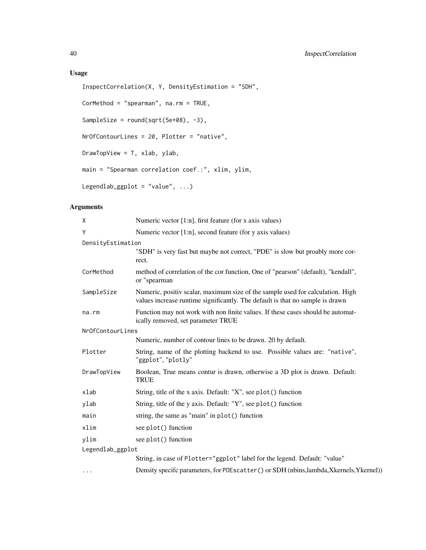# Usage

```
InspectCorrelation(X, Y, DensityEstimation = "SDH",
CorMethod = "spearman", na.rm = TRUE,
SampleSize = round(sqrt(5e+08), -3),
NrOfContourLines = 20, Plotter = "native",
DrawTopView = T, xlab, ylab,
main = "Spearman correlation coef.:", xlim, ylim,
Legendlab_ggplot = "value", \ldots)
```

| X                       | Numeric vector $[1:n]$ , first feature (for x axis values)                                                                                                      |  |
|-------------------------|-----------------------------------------------------------------------------------------------------------------------------------------------------------------|--|
| Y                       | Numeric vector [1:n], second feature (for y axis values)                                                                                                        |  |
| DensityEstimation       |                                                                                                                                                                 |  |
|                         | "SDH" is very fast but maybe not correct, "PDE" is slow but proably more cor-<br>rect.                                                                          |  |
| CorMethod               | method of correlation of the cor function, One of "pearson" (default), "kendall",<br>or "spearman                                                               |  |
| SampleSize              | Numeric, positiv scalar, maximum size of the sample used for calculation. High<br>values increase runtime significantly. The default is that no sample is drawn |  |
| na.rm                   | Function may not work with non finite values. If these cases should be automat-<br>ically removed, set parameter TRUE                                           |  |
| NrOfContourLines        |                                                                                                                                                                 |  |
|                         | Numeric, number of contour lines to be drawn. 20 by default.                                                                                                    |  |
| Plotter                 | String, name of the plotting backend to use. Possible values are: "native",<br>"ggplot", "plotly"                                                               |  |
| DrawTopView             | Boolean, True means contur is drawn, otherwise a 3D plot is drawn. Default:<br><b>TRUE</b>                                                                      |  |
| xlab                    | String, title of the x axis. Default: "X", see plot() function                                                                                                  |  |
| ylab                    | String, title of the y axis. Default: "Y", see plot() function                                                                                                  |  |
| main                    | string, the same as "main" in plot() function                                                                                                                   |  |
| xlim                    | see plot() function                                                                                                                                             |  |
| vlim                    | see plot() function                                                                                                                                             |  |
| Legendlab_ggplot        |                                                                                                                                                                 |  |
|                         | String, in case of Plotter="ggplot" label for the legend. Default: "value"                                                                                      |  |
| $\cdot$ $\cdot$ $\cdot$ | Density specifc parameters, for PDEscatter () or SDH (nbins, lambda, Xkernels, Ykernel))                                                                        |  |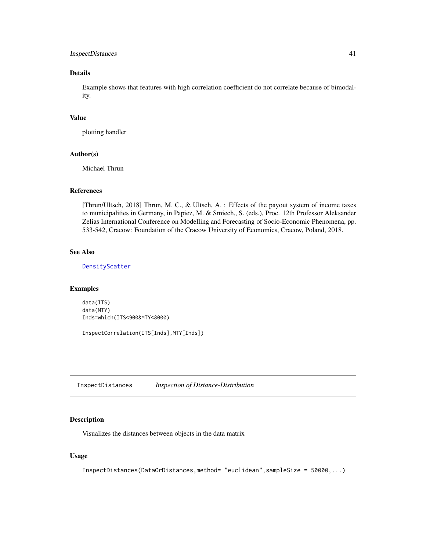# InspectDistances 41

# Details

Example shows that features with high correlation coefficient do not correlate because of bimodality.

#### Value

plotting handler

#### Author(s)

Michael Thrun

# References

[Thrun/Ultsch, 2018] Thrun, M. C., & Ultsch, A. : Effects of the payout system of income taxes to municipalities in Germany, in Papiez, M. & Smiech,, S. (eds.), Proc. 12th Professor Aleksander Zelias International Conference on Modelling and Forecasting of Socio-Economic Phenomena, pp. 533-542, Cracow: Foundation of the Cracow University of Economics, Cracow, Poland, 2018.

# See Also

[DensityScatter](#page-26-0)

#### Examples

data(ITS) data(MTY) Inds=which(ITS<900&MTY<8000)

InspectCorrelation(ITS[Inds],MTY[Inds])

InspectDistances *Inspection of Distance-Distribution*

# Description

Visualizes the distances between objects in the data matrix

#### Usage

InspectDistances(DataOrDistances,method= "euclidean",sampleSize = 50000,...)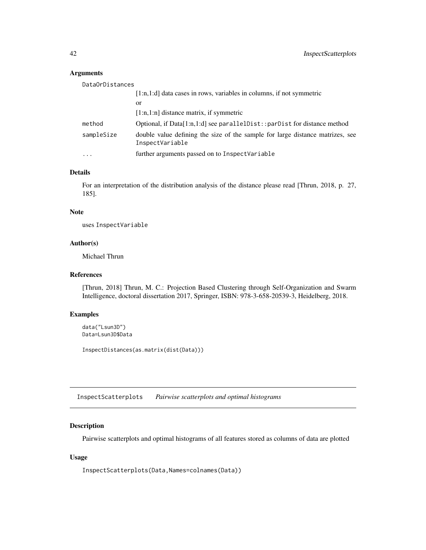### Arguments

| DataOrDistances |                                                                                                  |
|-----------------|--------------------------------------------------------------------------------------------------|
|                 | $[1:n,1:d]$ data cases in rows, variables in columns, if not symmetric                           |
|                 | or                                                                                               |
|                 | $[1:n,1:n]$ distance matrix, if symmetric                                                        |
| method          | Optional, if $Data[1:n,1:d]$ see parallel $Dist$ : par $Dist$ for distance method                |
| sampleSize      | double value defining the size of the sample for large distance matrizes, see<br>InspectVariable |
| $\ddotsc$       | further arguments passed on to InspectVariable                                                   |

## Details

For an interpretation of the distribution analysis of the distance please read [Thrun, 2018, p. 27, 185].

# Note

uses InspectVariable

#### Author(s)

Michael Thrun

# References

[Thrun, 2018] Thrun, M. C.: Projection Based Clustering through Self-Organization and Swarm Intelligence, doctoral dissertation 2017, Springer, ISBN: 978-3-658-20539-3, Heidelberg, 2018.

# Examples

```
data("Lsun3D")
Data=Lsun3D$Data
```

```
InspectDistances(as.matrix(dist(Data)))
```
InspectScatterplots *Pairwise scatterplots and optimal histograms*

# Description

Pairwise scatterplots and optimal histograms of all features stored as columns of data are plotted

# Usage

InspectScatterplots(Data,Names=colnames(Data))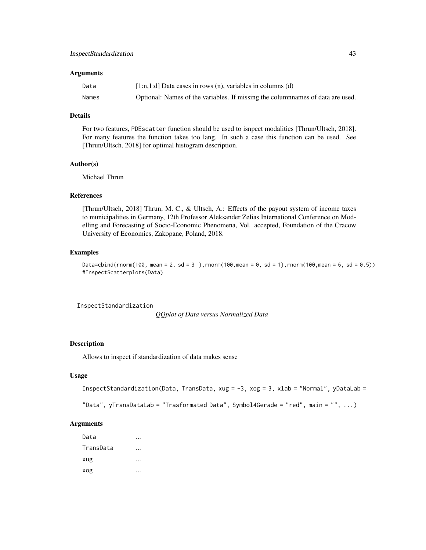#### **Arguments**

| Data  | $[1:n,1:d]$ Data cases in rows $(n)$ , variables in columns $(d)$             |
|-------|-------------------------------------------------------------------------------|
| Names | Optional: Names of the variables. If missing the columnames of data are used. |

# Details

For two features, PDEscatter function should be used to isnpect modalities [Thrun/Ultsch, 2018]. For many features the function takes too lang. In such a case this function can be used. See [Thrun/Ultsch, 2018] for optimal histogram description.

# Author(s)

Michael Thrun

#### References

[Thrun/Ultsch, 2018] Thrun, M. C., & Ultsch, A.: Effects of the payout system of income taxes to municipalities in Germany, 12th Professor Aleksander Zelias International Conference on Modelling and Forecasting of Socio-Economic Phenomena, Vol. accepted, Foundation of the Cracow University of Economics, Zakopane, Poland, 2018.

#### Examples

```
Data=cbind(rnorm(100, mean = 2, sd = 3),rnorm(100,mean = 0, sd = 1),rnorm(100,mean = 6, sd = 0.5))
#InspectScatterplots(Data)
```
InspectStandardization

*QQplot of Data versus Normalized Data*

# Description

Allows to inspect if standardization of data makes sense

### Usage

```
InspectStandardization(Data, TransData, xug = -3, xog = 3, xlab = "Normal", yDataLab =
```

```
"Data", yTransDataLab = "Trasformated Data", Symbol4Gerade = "red", main = "", ...)
```
# Arguments

Data ... TransData ... xug ... xog ...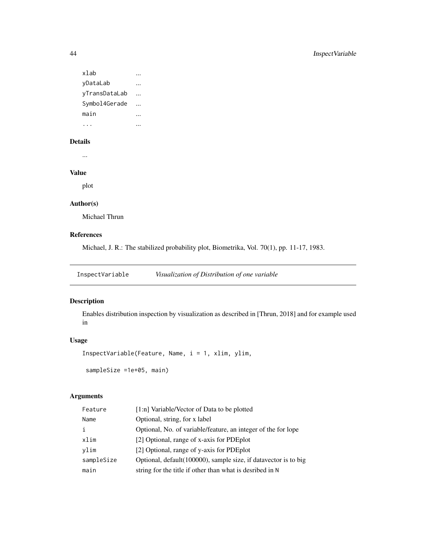```
xlab ...
yDataLab ...
yTransDataLab ...
Symbol4Gerade ...
main ...
... ...
```
## Details

...

# Value

plot

# Author(s)

Michael Thrun

# References

Michael, J. R.: The stabilized probability plot, Biometrika, Vol. 70(1), pp. 11-17, 1983.

InspectVariable *Visualization of Distribution of one variable*

# Description

Enables distribution inspection by visualization as described in [Thrun, 2018] and for example used in

# Usage

InspectVariable(Feature, Name, i = 1, xlim, ylim,

sampleSize =1e+05, main)

| Feature    | [1:n] Variable/Vector of Data to be plotted                     |
|------------|-----------------------------------------------------------------|
| Name       | Optional, string, for x label                                   |
| i          | Optional, No. of variable/feature, an integer of the for lope   |
| xlim       | [2] Optional, range of x-axis for PDE plot                      |
| vlim       | [2] Optional, range of y-axis for PDE plot                      |
| sampleSize | Optional, default(100000), sample size, if datavector is to big |
| main       | string for the title if other than what is desribed in N        |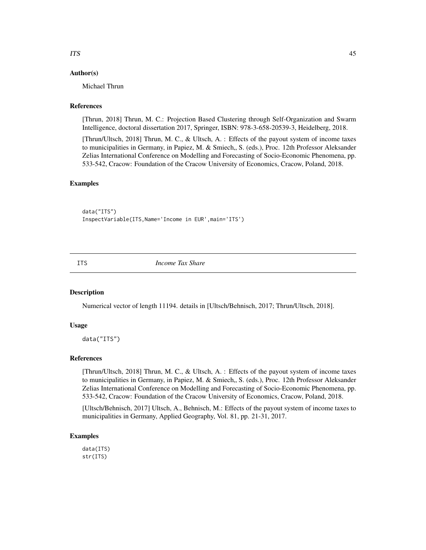# Author(s)

Michael Thrun

## References

[Thrun, 2018] Thrun, M. C.: Projection Based Clustering through Self-Organization and Swarm Intelligence, doctoral dissertation 2017, Springer, ISBN: 978-3-658-20539-3, Heidelberg, 2018.

[Thrun/Ultsch, 2018] Thrun, M. C., & Ultsch, A. : Effects of the payout system of income taxes to municipalities in Germany, in Papiez, M. & Smiech,, S. (eds.), Proc. 12th Professor Aleksander Zelias International Conference on Modelling and Forecasting of Socio-Economic Phenomena, pp. 533-542, Cracow: Foundation of the Cracow University of Economics, Cracow, Poland, 2018.

# Examples

data("ITS") InspectVariable(ITS,Name='Income in EUR',main='ITS')

ITS *Income Tax Share*

#### Description

Numerical vector of length 11194. details in [Ultsch/Behnisch, 2017; Thrun/Ultsch, 2018].

#### Usage

data("ITS")

#### References

[Thrun/Ultsch, 2018] Thrun, M. C., & Ultsch, A. : Effects of the payout system of income taxes to municipalities in Germany, in Papiez, M. & Smiech,, S. (eds.), Proc. 12th Professor Aleksander Zelias International Conference on Modelling and Forecasting of Socio-Economic Phenomena, pp. 533-542, Cracow: Foundation of the Cracow University of Economics, Cracow, Poland, 2018.

[Ultsch/Behnisch, 2017] Ultsch, A., Behnisch, M.: Effects of the payout system of income taxes to municipalities in Germany, Applied Geography, Vol. 81, pp. 21-31, 2017.

#### Examples

data(ITS) str(ITS)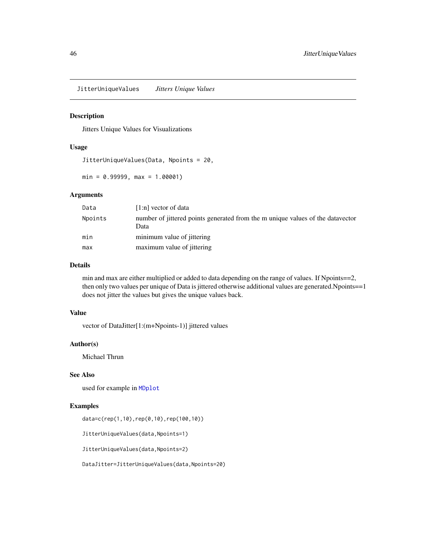JitterUniqueValues *Jitters Unique Values*

## Description

Jitters Unique Values for Visualizations

#### Usage

JitterUniqueValues(Data, Npoints = 20,

 $min = 0.99999, max = 1.00001)$ 

# Arguments

| Data    | $[1:n]$ vector of data                                                                 |
|---------|----------------------------------------------------------------------------------------|
| Npoints | number of jittered points generated from the m unique values of the datavector<br>Data |
| min     | minimum value of jittering                                                             |
| max     | maximum value of jittering                                                             |

#### Details

min and max are either multiplied or added to data depending on the range of values. If Npoints==2, then only two values per unique of Data is jittered otherwise additional values are generated.Npoints==1 does not jitter the values but gives the unique values back.

## Value

vector of DataJitter[1:(m+Npoints-1)] jittered values

## Author(s)

Michael Thrun

# See Also

used for example in [MDplot](#page-48-0)

#### Examples

data=c(rep(1,10),rep(0,10),rep(100,10))

JitterUniqueValues(data,Npoints=1)

JitterUniqueValues(data,Npoints=2)

DataJitter=JitterUniqueValues(data,Npoints=20)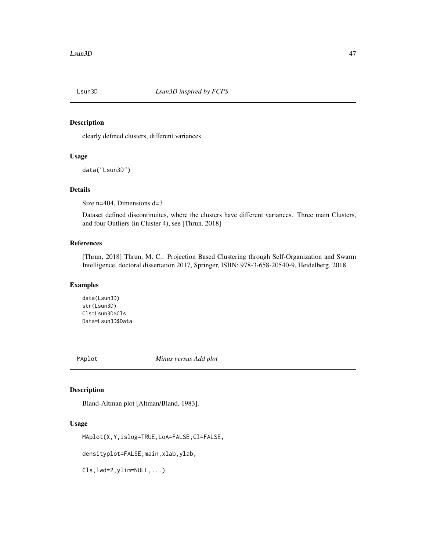# Description

clearly defined clusters, different variances

# Usage

data("Lsun3D")

# Details

Size n=404, Dimensions d=3

Dataset defined discontinuites, where the clusters have different variances. Three main Clusters, and four Outliers (in Cluster 4), see [Thrun, 2018]

#### References

[Thrun, 2018] Thrun, M. C.: Projection Based Clustering through Self-Organization and Swarm Intelligence, doctoral dissertation 2017, Springer, ISBN: 978-3-658-20540-9, Heidelberg, 2018.

#### Examples

data(Lsun3D) str(Lsun3D) Cls=Lsun3D\$Cls Data=Lsun3D\$Data

MAplot *Minus versus Add plot*

# Description

Bland-Altman plot [Altman/Bland, 1983].

#### Usage

```
MAplot(X,Y,islog=TRUE,LoA=FALSE,CI=FALSE,
```
densityplot=FALSE,main,xlab,ylab,

Cls,lwd=2,ylim=NULL,...)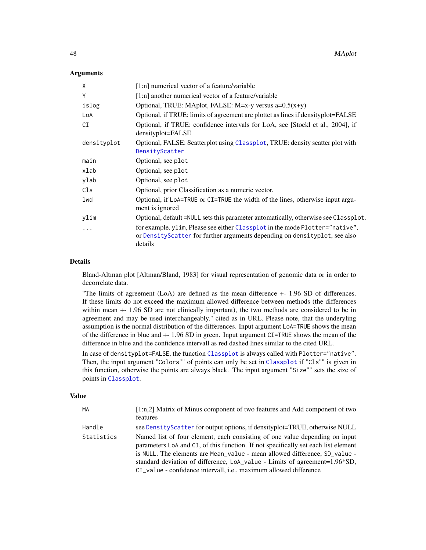#### **Arguments**

| X           | $[1:n]$ numerical vector of a feature/variable                                                                                                                        |
|-------------|-----------------------------------------------------------------------------------------------------------------------------------------------------------------------|
| Y           | [1:n] another numerical vector of a feature/variable                                                                                                                  |
| islog       | Optional, TRUE: MAplot, FALSE: M=x-y versus $a=0.5(x+y)$                                                                                                              |
| LoA         | Optional, if TRUE: limits of agreement are plottet as lines if densityplot=FALSE                                                                                      |
| CI          | Optional, if TRUE: confidence intervals for LoA, see [Stockl et al., 2004], if<br>densityplot=FALSE                                                                   |
| densityplot | Optional, FALSE: Scatterplot using Classplot, TRUE: density scatter plot with                                                                                         |
|             | DensityScatter                                                                                                                                                        |
| main        | Optional, see plot                                                                                                                                                    |
| xlab        | Optional, see plot                                                                                                                                                    |
| ylab        | Optional, see plot                                                                                                                                                    |
| Cls         | Optional, prior Classification as a numeric vector.                                                                                                                   |
| lwd         | Optional, if LoA=TRUE or CI=TRUE the width of the lines, otherwise input argu-<br>ment is ignored                                                                     |
| ylim        | Optional, default = NULL sets this parameter automatically, otherwise see Classplot.                                                                                  |
| .           | for example, ylim, Please see either Classplot in the mode Plotter="native",<br>or DensityScatter for further arguments depending on densityplot, see also<br>details |

#### Details

Bland-Altman plot [Altman/Bland, 1983] for visual representation of genomic data or in order to decorrelate data.

"The limits of agreement (LoA) are defined as the mean difference +- 1.96 SD of differences. If these limits do not exceed the maximum allowed difference between methods (the differences within mean  $+$  1.96 SD are not clinically important), the two methods are considered to be in agreement and may be used interchangeably." cited as in URL. Please note, that the underyling assumption is the normal distribution of the differences. Input argument LoA=TRUE shows the mean of the difference in blue and +- 1.96 SD in green. Input argument CI=TRUE shows the mean of the difference in blue and the confidence intervall as red dashed lines similar to the cited URL.

In case of densityplot=FALSE, the function [Classplot](#page-21-0) is always called with Plotter="native". Then, the input argument "Colors"" of points can only be set in [Classplot](#page-21-0) if "Cls"" is given in this function, otherwise the points are always black. The input argument "Size"" sets the size of points in [Classplot](#page-21-0).

#### Value

| МA         | $[1:n,2]$ Matrix of Minus component of two features and Add component of two<br>features                                                                                                                                                                                                                                                                                                           |
|------------|----------------------------------------------------------------------------------------------------------------------------------------------------------------------------------------------------------------------------------------------------------------------------------------------------------------------------------------------------------------------------------------------------|
| Handle     | see DensityScatter for output options, if densityplot=TRUE, otherwise NULL                                                                                                                                                                                                                                                                                                                         |
| Statistics | Named list of four element, each consisting of one value depending on input<br>parameters LoA and CI, of this function. If not specifically set each list element<br>is NULL. The elements are Mean_value - mean allowed difference, SD_value -<br>standard deviation of difference, LoA_value - Limits of agreement=1.96*SD,<br>CI_value - confidence intervall, i.e., maximum allowed difference |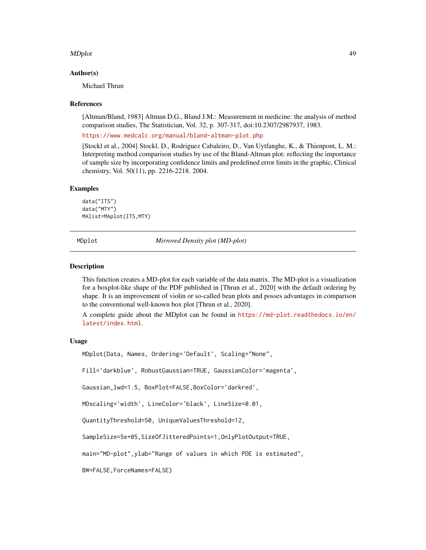#### MDplot the contract of the contract of the contract of the contract of the contract of the contract of the contract of the contract of the contract of the contract of the contract of the contract of the contract of the con

#### Author(s)

Michael Thrun

#### References

[Altman/Bland, 1983] Altman D.G., Bland J.M.: Measurement in medicine: the analysis of method comparison studies, The Statistician, Vol. 32, p. 307-317, doi:10.2307/2987937, 1983.

<https://www.medcalc.org/manual/bland-altman-plot.php>

[Stockl et al., 2004] Stockl, D., Rodriguez Cabaleiro, D., Van Uytfanghe, K., & Thienpont, L. M.: Interpreting method comparison studies by use of the Bland-Altman plot: reflecting the importance of sample size by incorporating confidence limits and predefined error limits in the graphic, Clinical chemistry, Vol. 50(11), pp. 2216-2218. 2004.

#### Examples

data("ITS") data("MTY") MAlist=MAplot(ITS,MTY)

<span id="page-48-0"></span>MDplot *Mirrored Density plot (MD-plot)*

#### Description

This function creates a MD-plot for each variable of the data matrix. The MD-plot is a visualization for a boxplot-like shape of the PDF published in [Thrun et al., 2020] with the default ordering by shape. It is an improvement of violin or so-called bean plots and posses advantages in comparison to the conventional well-known box plot [Thrun et al., 2020].

A complete guide about the MDplot can be found in [https://md-plot.readthedocs.io/en/](https://md-plot.readthedocs.io/en/latest/index.html) [latest/index.html](https://md-plot.readthedocs.io/en/latest/index.html).

### Usage

MDplot(Data, Names, Ordering='Default', Scaling="None",

Fill='darkblue', RobustGaussian=TRUE, GaussianColor='magenta',

Gaussian\_lwd=1.5, BoxPlot=FALSE,BoxColor='darkred',

MDscaling='width', LineColor='black', LineSize=0.01,

QuantityThreshold=50, UniqueValuesThreshold=12,

SampleSize=5e+05,SizeOfJitteredPoints=1,OnlyPlotOutput=TRUE,

main="MD-plot",ylab="Range of values in which PDE is estimated",

BW=FALSE,ForceNames=FALSE)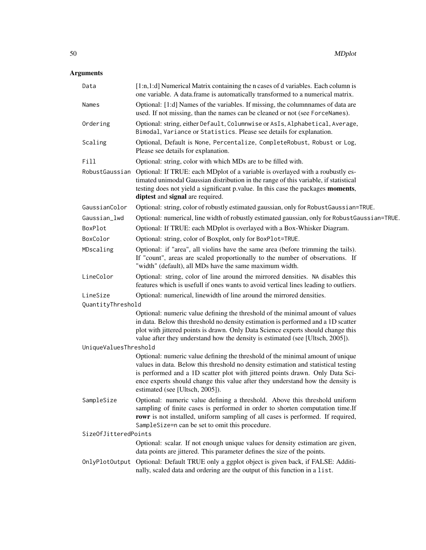| Data                          | [1:n,1:d] Numerical Matrix containing the n cases of d variables. Each column is<br>one variable. A data frame is automatically transformed to a numerical matrix.                                                                                                                                                                        |
|-------------------------------|-------------------------------------------------------------------------------------------------------------------------------------------------------------------------------------------------------------------------------------------------------------------------------------------------------------------------------------------|
| Names                         | Optional: [1:d] Names of the variables. If missing, the columnames of data are<br>used. If not missing, than the names can be cleaned or not (see ForceNames).                                                                                                                                                                            |
| Ordering                      | Optional: string, either Default, Columnwise or AsIs, Alphabetical, Average,<br>Bimodal, Variance or Statistics. Please see details for explanation.                                                                                                                                                                                      |
| Scaling                       | Optional, Default is None, Percentalize, CompleteRobust, Robust or Log,<br>Please see details for explanation.                                                                                                                                                                                                                            |
| Fill                          | Optional: string, color with which MDs are to be filled with.                                                                                                                                                                                                                                                                             |
| RobustGaussian                | Optional: If TRUE: each MDplot of a variable is overlayed with a roubustly es-<br>timated unimodal Gaussian distribution in the range of this variable, if statistical<br>testing does not yield a significant p.value. In this case the packages moments,<br>diptest and signal are required.                                            |
| GaussianColor                 | Optional: string, color of robustly estimated gaussian, only for RobustGaussian=TRUE.                                                                                                                                                                                                                                                     |
| Gaussian_lwd                  | Optional: numerical, line width of robustly estimated gaussian, only for RobustGaussian=TRUE.                                                                                                                                                                                                                                             |
| BoxPlot                       | Optional: If TRUE: each MDplot is overlayed with a Box-Whisker Diagram.                                                                                                                                                                                                                                                                   |
| BoxColor                      | Optional: string, color of Boxplot, only for BoxPlot=TRUE.                                                                                                                                                                                                                                                                                |
| MDscaling                     | Optional: if "area", all violins have the same area (before trimming the tails).<br>If "count", areas are scaled proportionally to the number of observations. If<br>"width" (default), all MDs have the same maximum width.                                                                                                              |
| LineColor                     | Optional: string, color of line around the mirrored densities. NA disables this<br>features which is usefull if ones wants to avoid vertical lines leading to outliers.                                                                                                                                                                   |
| LineSize<br>QuantityThreshold | Optional: numerical, linewidth of line around the mirrored densities.                                                                                                                                                                                                                                                                     |
|                               | Optional: numeric value defining the threshold of the minimal amount of values<br>in data. Below this threshold no density estimation is performed and a 1D scatter<br>plot with jittered points is drawn. Only Data Science experts should change this<br>value after they understand how the density is estimated (see [Ultsch, 2005]). |
| UniqueValuesThreshold         | Optional: numeric value defining the threshold of the minimal amount of unique                                                                                                                                                                                                                                                            |
|                               | values in data. Below this threshold no density estimation and statistical testing<br>is performed and a 1D scatter plot with jittered points drawn. Only Data Sci-<br>ence experts should change this value after they understand how the density is<br>estimated (see [Ultsch, 2005]).                                                  |
| SampleSize                    | Optional: numeric value defining a threshold. Above this threshold uniform<br>sampling of finite cases is performed in order to shorten computation time.If<br>rowr is not installed, uniform sampling of all cases is performed. If required,<br>SampleSize=n can be set to omit this procedure.                                         |
| SizeOfJitteredPoints          |                                                                                                                                                                                                                                                                                                                                           |
|                               | Optional: scalar. If not enough unique values for density estimation are given,<br>data points are jittered. This parameter defines the size of the points.                                                                                                                                                                               |
|                               | OnlyPlotOutput Optional: Default TRUE only a ggplot object is given back, if FALSE: Additi-<br>nally, scaled data and ordering are the output of this function in a list.                                                                                                                                                                 |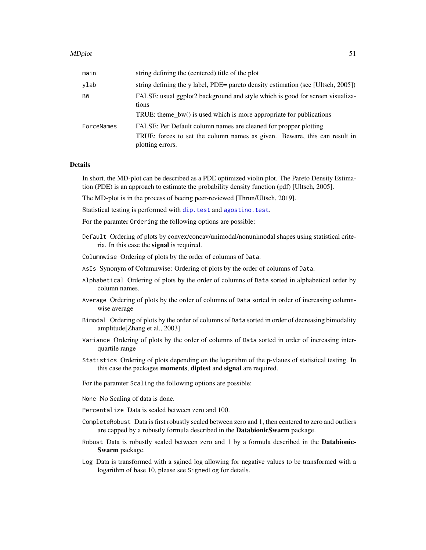#### MDplot 51

| main       | string defining the (centered) title of the plot                                              |
|------------|-----------------------------------------------------------------------------------------------|
| ylab       | string defining the y label, PDE= pareto density estimation (see [Ultsch, 2005])              |
| BW         | FALSE: usual ggplot2 background and style which is good for screen visualiza-<br>tions        |
|            | TRUE: theme_bw() is used which is more appropriate for publications                           |
| ForceNames | FALSE: Per Default column names are cleaned for propper plotting                              |
|            | TRUE: forces to set the column names as given. Beware, this can result in<br>plotting errors. |

#### Details

In short, the MD-plot can be described as a PDE optimized violin plot. The Pareto Density Estimation (PDE) is an approach to estimate the probability density function (pdf) [Ultsch, 2005].

The MD-plot is in the process of beeing peer-reviewed [Thrun/Ultsch, 2019].

Statistical testing is performed with [dip.test](#page-0-0) and [agostino.test](#page-0-0).

For the paramter Ordering the following options are possible:

- Default Ordering of plots by convex/concav/unimodal/nonunimodal shapes using statistical criteria. In this case the signal is required.
- Columnwise Ordering of plots by the order of columns of Data.
- AsIs Synonym of Columnwise: Ordering of plots by the order of columns of Data.
- Alphabetical Ordering of plots by the order of columns of Data sorted in alphabetical order by column names.
- Average Ordering of plots by the order of columns of Data sorted in order of increasing columnwise average
- Bimodal Ordering of plots by the order of columns of Data sorted in order of decreasing bimodality amplitude[Zhang et al., 2003]
- Variance Ordering of plots by the order of columns of Data sorted in order of increasing interquartile range
- Statistics Ordering of plots depending on the logarithm of the p-vlaues of statistical testing. In this case the packages moments, diptest and signal are required.

For the paramter Scaling the following options are possible:

None No Scaling of data is done.

- Percentalize Data is scaled between zero and 100.
- CompleteRobust Data is first robustly scaled between zero and 1, then centered to zero and outliers are capped by a robustly formula described in the DatabionicSwarm package.
- Robust Data is robustly scaled between zero and 1 by a formula described in the Databionic-Swarm package.
- Log Data is transformed with a sgined log allowing for negative values to be transformed with a logarithm of base 10, please see SignedLog for details.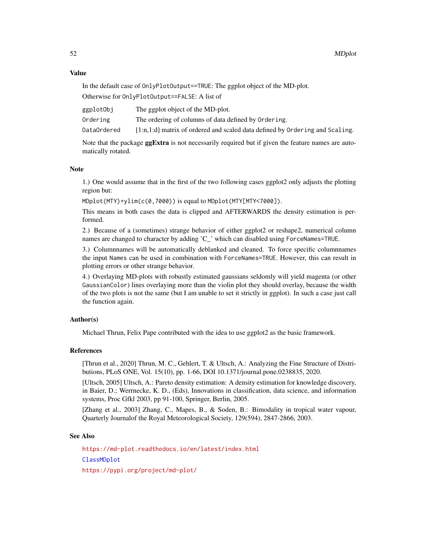#### Value

In the default case of OnlyPlotOutput==TRUE: The ggplot object of the MD-plot.

Otherwise for OnlyPlotOutput==FALSE: A list of

| ggplotObj   | The ggplot object of the MD-plot.                                              |
|-------------|--------------------------------------------------------------------------------|
| Ordering    | The ordering of columns of data defined by Ordering.                           |
| DataOrdered | $[1:n,1:d]$ matrix of ordered and scaled data defined by Ordering and Scaling. |

Note that the package **ggExtra** is not necessarily required but if given the feature names are automatically rotated.

#### Note

1.) One would assume that in the first of the two following cases ggplot2 only adjusts the plotting region but:

MDplot(MTY)+ylim(c(0,7000)) is equal to MDplot(MTY[MTY<7000]).

This means in both cases the data is clipped and AFTERWARDS the density estimation is performed.

2.) Because of a (sometimes) strange behavior of either ggplot2 or reshape2, numerical column names are changed to character by adding 'C\_' which can disabled using ForceNames=TRUE.

3.) Columnnames will be automatically deblanked and cleaned. To force specific columnnames the input Names can be used in combination with ForceNames=TRUE. However, this can result in plotting errors or other strange behavior.

4.) Overlaying MD-plots with robustly estimated gaussians seldomly will yield magenta (or other GaussianColor) lines overlaying more than the violin plot they should overlay, because the width of the two plots is not the same (but I am unable to set it strictly in ggplot). In such a case just call the function again.

# Author(s)

Michael Thrun, Felix Pape contributed with the idea to use ggplot2 as the basic framework.

#### References

[Thrun et al., 2020] Thrun, M. C., Gehlert, T. & Ultsch, A.: Analyzing the Fine Structure of Distributions, PLoS ONE, Vol. 15(10), pp. 1-66, DOI 10.1371/journal.pone.0238835, 2020.

[Ultsch, 2005] Ultsch, A.: Pareto density estimation: A density estimation for knowledge discovery, in Baier, D.; Werrnecke, K. D., (Eds), Innovations in classification, data science, and information systems, Proc Gfkl 2003, pp 91-100, Springer, Berlin, 2005.

[Zhang et al., 2003] Zhang, C., Mapes, B., & Soden, B.: Bimodality in tropical water vapour, Quarterly Journalof the Royal Meteorological Society, 129(594), 2847-2866, 2003.

#### See Also

<https://md-plot.readthedocs.io/en/latest/index.html> [ClassMDplot](#page-16-0) <https://pypi.org/project/md-plot/>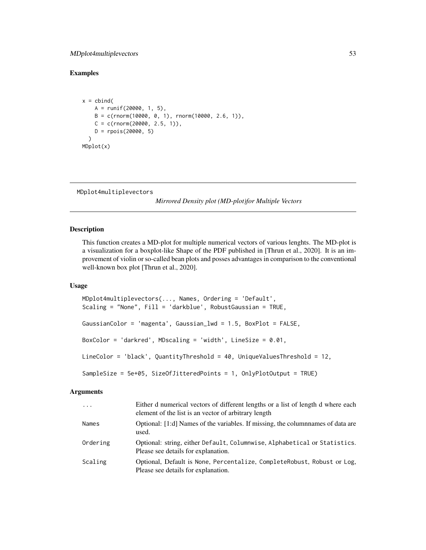# MDplot4multiplevectors 53

# Examples

```
x = \text{cbind}(A = runif(20000, 1, 5),B = c(rnorm(10000, 0, 1), rnorm(10000, 2.6, 1)),C = c(rnorm(20000, 2.5, 1)),D = \text{rpois}(20000, 5)\lambdaMDplot(x)
```

```
MDplot4multiplevectors
```
*Mirrored Density plot (MD-plot)for Multiple Vectors*

# Description

This function creates a MD-plot for multiple numerical vectors of various lenghts. The MD-plot is a visualization for a boxplot-like Shape of the PDF published in [Thrun et al., 2020]. It is an improvement of violin or so-called bean plots and posses advantages in comparison to the conventional well-known box plot [Thrun et al., 2020].

## Usage

```
MDplot4multiplevectors(..., Names, Ordering = 'Default',
Scaling = "None", Fill = 'darkblue', RobustGaussian = TRUE,
GaussianColor = 'magenta', Gaussian_lwd = 1.5, BoxPlot = FALSE,
BoxColor = 'darkred', MDscaling = 'width', LineSize = 0.01,
LineColor = 'black', QuantityThreshold = 40, UniqueValuesThreshold = 12,
SampleSize = 5e+05, SizeOfJitteredPoints = 1, OnlyPlotOutput = TRUE)
```

| $\ddots$ | Either d numerical vectors of different lengths or a list of length d where each<br>element of the list is an vector of arbitrary length |
|----------|------------------------------------------------------------------------------------------------------------------------------------------|
| Names    | Optional: [1:d] Names of the variables. If missing, the columnames of data are<br>used.                                                  |
| Ordering | Optional: string, either Default, Columnwise, Alphabetical or Statistics.<br>Please see details for explanation.                         |
| Scaling  | Optional, Default is None, Percentalize, CompleteRobust, Robust or Log,<br>Please see details for explanation.                           |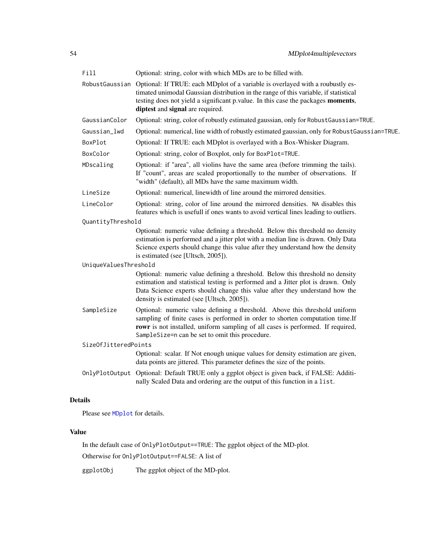| Fill                  | Optional: string, color with which MDs are to be filled with.                                                                                                                                                                                                                                                 |
|-----------------------|---------------------------------------------------------------------------------------------------------------------------------------------------------------------------------------------------------------------------------------------------------------------------------------------------------------|
|                       | RobustGaussian Optional: If TRUE: each MDplot of a variable is overlayed with a roubustly es-<br>timated unimodal Gaussian distribution in the range of this variable, if statistical<br>testing does not yield a significant p.value. In this case the packages moments,<br>diptest and signal are required. |
| GaussianColor         | Optional: string, color of robustly estimated gaussian, only for RobustGaussian=TRUE.                                                                                                                                                                                                                         |
| Gaussian_lwd          | Optional: numerical, line width of robustly estimated gaussian, only for RobustGaussian=TRUE.                                                                                                                                                                                                                 |
| BoxPlot               | Optional: If TRUE: each MDplot is overlayed with a Box-Whisker Diagram.                                                                                                                                                                                                                                       |
| BoxColor              | Optional: string, color of Boxplot, only for BoxPlot=TRUE.                                                                                                                                                                                                                                                    |
| MDscaling             | Optional: if "area", all violins have the same area (before trimming the tails).<br>If "count", areas are scaled proportionally to the number of observations. If<br>"width" (default), all MDs have the same maximum width.                                                                                  |
| LineSize              | Optional: numerical, linewidth of line around the mirrored densities.                                                                                                                                                                                                                                         |
| LineColor             | Optional: string, color of line around the mirrored densities. NA disables this<br>features which is usefull if ones wants to avoid vertical lines leading to outliers.                                                                                                                                       |
| QuantityThreshold     |                                                                                                                                                                                                                                                                                                               |
|                       | Optional: numeric value defining a threshold. Below this threshold no density<br>estimation is performed and a jitter plot with a median line is drawn. Only Data<br>Science experts should change this value after they understand how the density<br>is estimated (see [Ultsch, 2005]).                     |
| UniqueValuesThreshold |                                                                                                                                                                                                                                                                                                               |
|                       | Optional: numeric value defining a threshold. Below this threshold no density<br>estimation and statistical testing is performed and a Jitter plot is drawn. Only<br>Data Science experts should change this value after they understand how the<br>density is estimated (see [Ultsch, 2005]).                |
| SampleSize            | Optional: numeric value defining a threshold. Above this threshold uniform<br>sampling of finite cases is performed in order to shorten computation time.If<br>rowr is not installed, uniform sampling of all cases is performed. If required,<br>SampleSize=n can be set to omit this procedure.             |
| SizeOfJitteredPoints  |                                                                                                                                                                                                                                                                                                               |
|                       | Optional: scalar. If Not enough unique values for density estimation are given,<br>data points are jittered. This parameter defines the size of the points.                                                                                                                                                   |
|                       | OnlyPlotOutput Optional: Default TRUE only a ggplot object is given back, if FALSE: Additi-<br>nally Scaled Data and ordering are the output of this function in a list.                                                                                                                                      |
| <b>Details</b>        |                                                                                                                                                                                                                                                                                                               |

Please see [MDplot](#page-48-0) for details.

# Value

In the default case of OnlyPlotOutput==TRUE: The ggplot object of the MD-plot. Otherwise for OnlyPlotOutput==FALSE: A list of

ggplotObj The ggplot object of the MD-plot.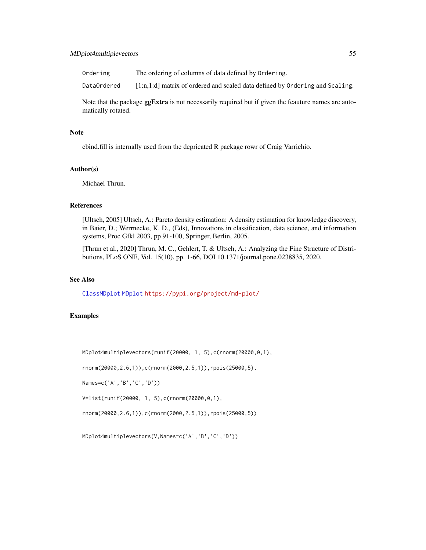# MDplot4multiplevectors 55

Ordering The ordering of columns of data defined by Ordering.

DataOrdered [1:n,1:d] matrix of ordered and scaled data defined by Ordering and Scaling.

Note that the package **ggExtra** is not necessarily required but if given the feauture names are automatically rotated.

#### Note

cbind.fill is internally used from the depricated R package rowr of Craig Varrichio.

# Author(s)

Michael Thrun.

# References

[Ultsch, 2005] Ultsch, A.: Pareto density estimation: A density estimation for knowledge discovery, in Baier, D.; Werrnecke, K. D., (Eds), Innovations in classification, data science, and information systems, Proc Gfkl 2003, pp 91-100, Springer, Berlin, 2005.

[Thrun et al., 2020] Thrun, M. C., Gehlert, T. & Ultsch, A.: Analyzing the Fine Structure of Distributions, PLoS ONE, Vol. 15(10), pp. 1-66, DOI 10.1371/journal.pone.0238835, 2020.

# See Also

[ClassMDplot](#page-16-0) [MDplot](#page-48-0) <https://pypi.org/project/md-plot/>

# Examples

MDplot4multiplevectors(runif(20000, 1, 5),c(rnorm(20000,0,1),

rnorm(20000,2.6,1)),c(rnorm(2000,2.5,1)),rpois(25000,5),

Names=c('A','B','C','D'))

V=list(runif(20000, 1, 5),c(rnorm(20000,0,1),

rnorm(20000,2.6,1)),c(rnorm(2000,2.5,1)),rpois(25000,5))

MDplot4multiplevectors(V,Names=c('A','B','C','D'))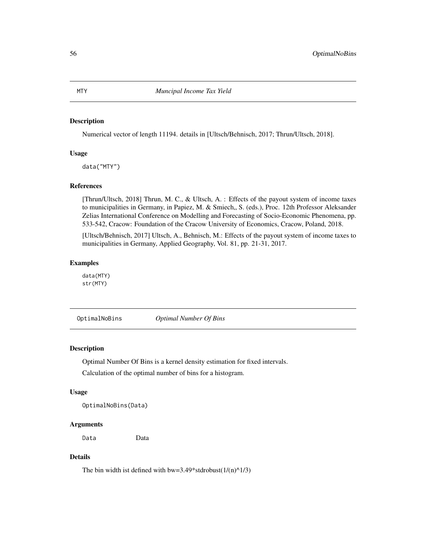#### Description

Numerical vector of length 11194. details in [Ultsch/Behnisch, 2017; Thrun/Ultsch, 2018].

#### Usage

data("MTY")

#### References

[Thrun/Ultsch, 2018] Thrun, M. C., & Ultsch, A. : Effects of the payout system of income taxes to municipalities in Germany, in Papiez, M. & Smiech,, S. (eds.), Proc. 12th Professor Aleksander Zelias International Conference on Modelling and Forecasting of Socio-Economic Phenomena, pp. 533-542, Cracow: Foundation of the Cracow University of Economics, Cracow, Poland, 2018.

[Ultsch/Behnisch, 2017] Ultsch, A., Behnisch, M.: Effects of the payout system of income taxes to municipalities in Germany, Applied Geography, Vol. 81, pp. 21-31, 2017.

# Examples

data(MTY) str(MTY)

OptimalNoBins *Optimal Number Of Bins*

#### **Description**

Optimal Number Of Bins is a kernel density estimation for fixed intervals.

Calculation of the optimal number of bins for a histogram.

#### Usage

```
OptimalNoBins(Data)
```
# Arguments

Data Data

# Details

The bin width ist defined with bw=3.49\*stdrobust( $1/(n)^{1/3}$ )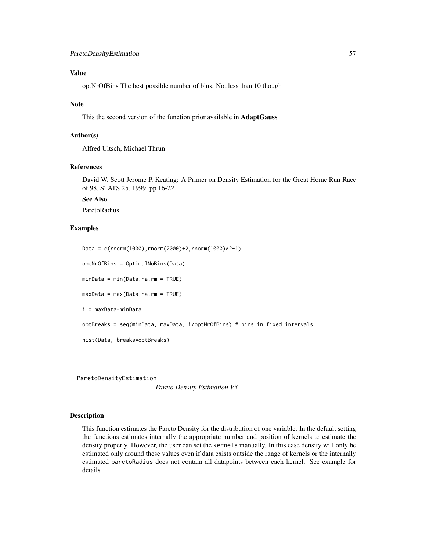# Value

optNrOfBins The best possible number of bins. Not less than 10 though

### Note

This the second version of the function prior available in AdaptGauss

# Author(s)

Alfred Ultsch, Michael Thrun

#### References

David W. Scott Jerome P. Keating: A Primer on Density Estimation for the Great Home Run Race of 98, STATS 25, 1999, pp 16-22.

See Also

ParetoRadius

#### Examples

```
Data = c(rnorm(1000),rnorm(2000)+2,rnorm(1000)*2-1)
optNrOfBins = OptimalNoBins(Data)
minData = min(Data,na.rm = TRUE)
maxData = max(Data,na.rm = TRUE)
i = maxData-minData
optBreaks = seq(minData, maxData, i/optNrOfBins) # bins in fixed intervals
hist(Data, breaks=optBreaks)
```
ParetoDensityEstimation

*Pareto Density Estimation V3*

#### Description

This function estimates the Pareto Density for the distribution of one variable. In the default setting the functions estimates internally the appropriate number and position of kernels to estimate the density properly. However, the user can set the kernels manually. In this case density will only be estimated only around these values even if data exists outside the range of kernels or the internally estimated paretoRadius does not contain all datapoints between each kernel. See example for details.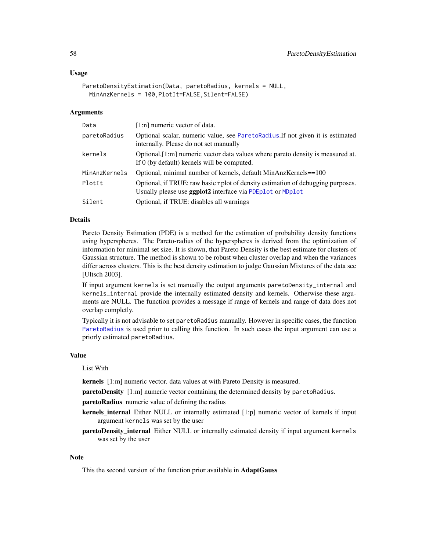#### Usage

```
ParetoDensityEstimation(Data, paretoRadius, kernels = NULL,
  MinAnzKernels = 100, PlotIt=FALSE, Silent=FALSE)
```
#### Arguments

| Data          | $[1:n]$ numeric vector of data.                                                                                                                         |
|---------------|---------------------------------------------------------------------------------------------------------------------------------------------------------|
| paretoRadius  | Optional scalar, numeric value, see ParetoRadius. If not given it is estimated<br>internally. Please do not set manually                                |
| kernels       | Optional, [1:m] numeric vector data values where pareto density is measured at.<br>If 0 (by default) kernels will be computed.                          |
| MinAnzKernels | Optional, minimal number of kernels, default MinAnzKernels==100                                                                                         |
| PlotIt        | Optional, if TRUE: raw basic r plot of density estimation of debugging purposes.<br>Usually please use <b>ggplot2</b> interface via PDE plot or MD plot |
| Silent        | Optional, if TRUE: disables all warnings                                                                                                                |

#### Details

Pareto Density Estimation (PDE) is a method for the estimation of probability density functions using hyperspheres. The Pareto-radius of the hyperspheres is derived from the optimization of information for minimal set size. It is shown, that Pareto Density is the best estimate for clusters of Gaussian structure. The method is shown to be robust when cluster overlap and when the variances differ across clusters. This is the best density estimation to judge Gaussian Mixtures of the data see [Ultsch 2003].

If input argument kernels is set manually the output arguments paretoDensity\_internal and kernels\_internal provide the internally estimated density and kernels. Otherwise these arguments are NULL. The function provides a message if range of kernels and range of data does not overlap completly.

Typically it is not advisable to set paretoRadius manually. However in specific cases, the function [ParetoRadius](#page-58-0) is used prior to calling this function. In such cases the input argument can use a priorly estimated paretoRadius.

#### Value

#### List With

kernels [1:m] numeric vector. data values at with Pareto Density is measured.

paretoDensity [1:m] numeric vector containing the determined density by paretoRadius.

paretoRadius numeric value of defining the radius

- **kernels\_internal** Either NULL or internally estimated [1:p] numeric vector of kernels if input argument kernels was set by the user
- paretoDensity\_internal Either NULL or internally estimated density if input argument kernels was set by the user

#### **Note**

This the second version of the function prior available in AdaptGauss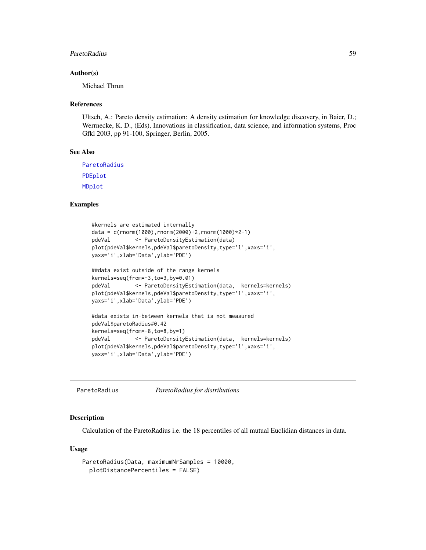#### ParetoRadius 59

#### Author(s)

Michael Thrun

#### References

Ultsch, A.: Pareto density estimation: A density estimation for knowledge discovery, in Baier, D.; Werrnecke, K. D., (Eds), Innovations in classification, data science, and information systems, Proc Gfkl 2003, pp 91-100, Springer, Berlin, 2005.

## See Also

[ParetoRadius](#page-58-0) [PDEplot](#page-60-0) [MDplot](#page-48-0)

## Examples

```
#kernels are estimated internally
data = c(rnorm(1000),rnorm(2000)+2,rnorm(1000)*2-1)
pdeVal <- ParetoDensityEstimation(data)
plot(pdeVal$kernels,pdeVal$paretoDensity,type='l',xaxs='i',
yaxs='i',xlab='Data',ylab='PDE')
##data exist outside of the range kernels
kernels=seq(from=-3,to=3,by=0.01)
pdeVal <- ParetoDensityEstimation(data, kernels=kernels)
plot(pdeVal$kernels,pdeVal$paretoDensity,type='l',xaxs='i',
yaxs='i',xlab='Data',ylab='PDE')
#data exists in-between kernels that is not measured
pdeVal$paretoRadius#0.42
kernels=seq(from=-8,to=8,by=1)
pdeVal <- ParetoDensityEstimation(data, kernels=kernels)
plot(pdeVal$kernels,pdeVal$paretoDensity,type='l',xaxs='i',
yaxs='i',xlab='Data',ylab='PDE')
```
<span id="page-58-0"></span>ParetoRadius *ParetoRadius for distributions*

#### **Description**

Calculation of the ParetoRadius i.e. the 18 percentiles of all mutual Euclidian distances in data.

#### Usage

```
ParetoRadius(Data, maximumNrSamples = 10000,
 plotDistancePercentiles = FALSE)
```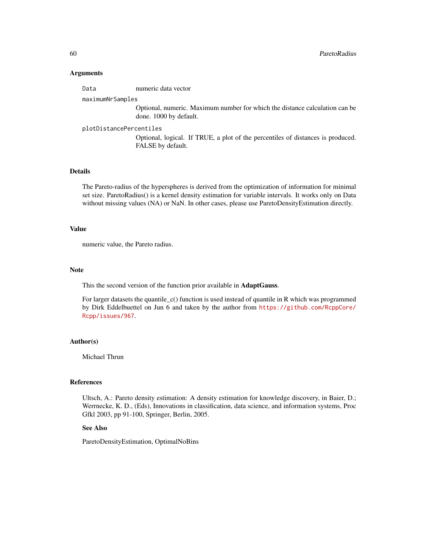## Arguments

Data numeric data vector

## maximumNrSamples

Optional, numeric. Maximum number for which the distance calculation can be done. 1000 by default.

# plotDistancePercentiles

Optional, logical. If TRUE, a plot of the percentiles of distances is produced. FALSE by default.

# Details

The Pareto-radius of the hyperspheres is derived from the optimization of information for minimal set size. ParetoRadius() is a kernel density estimation for variable intervals. It works only on Data without missing values (NA) or NaN. In other cases, please use ParetoDensityEstimation directly.

#### Value

numeric value, the Pareto radius.

#### Note

This the second version of the function prior available in AdaptGauss.

For larger datasets the quantile\_c() function is used instead of quantile in R which was programmed by Dirk Eddelbuettel on Jun 6 and taken by the author from [https://github.com/RcppCore/](https://github.com/RcppCore/Rcpp/issues/967) [Rcpp/issues/967](https://github.com/RcppCore/Rcpp/issues/967).

# Author(s)

Michael Thrun

## References

Ultsch, A.: Pareto density estimation: A density estimation for knowledge discovery, in Baier, D.; Werrnecke, K. D., (Eds), Innovations in classification, data science, and information systems, Proc Gfkl 2003, pp 91-100, Springer, Berlin, 2005.

# See Also

ParetoDensityEstimation, OptimalNoBins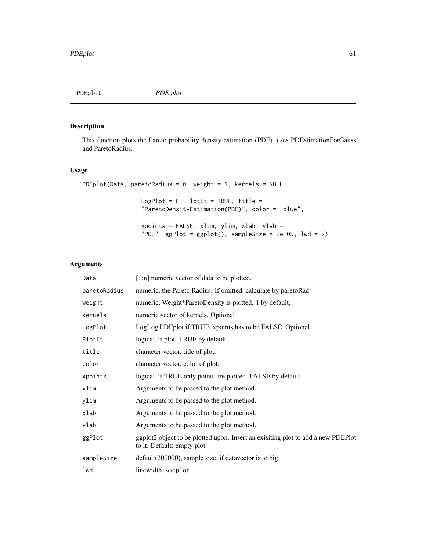<span id="page-60-0"></span>PDEplot *PDE plot*

# Description

This function plots the Pareto probability density estimation (PDE), uses PDEstimationForGauss and ParetoRadius.

# Usage

```
PDEplot(Data, paretoRadius = 0, weight = 1, kernels = NULL,
                LogPlot = F, PlotIt = TRUE, title =
                 "ParetoDensityEstimation(PDE)", color = "blue",
                xpoints = FALSE, xlim, ylim, xlab, ylab =
                 "PDE", ggPlot = ggplot(), sampleSize = 2e+05, lwd = 2)
```

| Data         | [1:n] numeric vector of data to be plotted.                                                                    |
|--------------|----------------------------------------------------------------------------------------------------------------|
| paretoRadius | numeric, the Pareto Radius. If omitted, calculate by paretoRad.                                                |
| weight       | numeric, Weight*ParetoDensity is plotted. 1 by default.                                                        |
| kernels      | numeric vector of kernels. Optional                                                                            |
| LogPlot      | LogLog PDEplot if TRUE, xpoints has to be FALSE. Optional                                                      |
| PlotIt       | logical, if plot. TRUE by default.                                                                             |
| title        | character vector, title of plot.                                                                               |
| color        | character vector, color of plot.                                                                               |
| xpoints      | logical, if TRUE only points are plotted. FALSE by default.                                                    |
| xlim         | Arguments to be passed to the plot method.                                                                     |
| ylim         | Arguments to be passed to the plot method.                                                                     |
| xlab         | Arguments to be passed to the plot method.                                                                     |
| ylab         | Arguments to be passed to the plot method.                                                                     |
| ggPlot       | ggplot2 object to be plotted upon. Insert an exisiting plot to add a new PDEPlot<br>to it. Default: empty plot |
| sampleSize   | default(200000), sample size, if datavector is to big                                                          |
| lwd          | linewidth, see plot                                                                                            |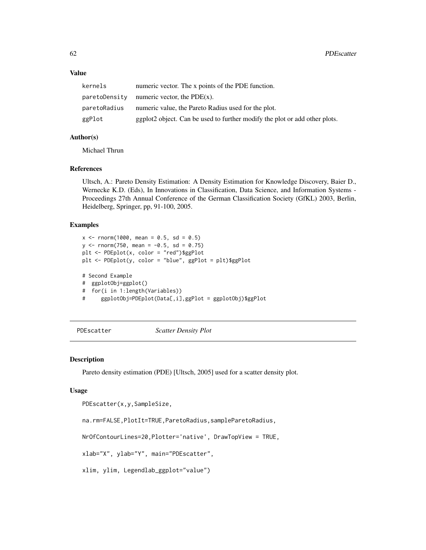# Value

| kernels       | numeric vector. The x points of the PDE function.                          |
|---------------|----------------------------------------------------------------------------|
| paretoDensity | numeric vector, the $PDE(x)$ .                                             |
| paretoRadius  | numeric value, the Pareto Radius used for the plot.                        |
| ggPlot        | ggplot2 object. Can be used to further modify the plot or add other plots. |

# Author(s)

Michael Thrun

## References

Ultsch, A.: Pareto Density Estimation: A Density Estimation for Knowledge Discovery, Baier D., Wernecke K.D. (Eds), In Innovations in Classification, Data Science, and Information Systems - Proceedings 27th Annual Conference of the German Classification Society (GfKL) 2003, Berlin, Heidelberg, Springer, pp, 91-100, 2005.

# Examples

```
x \le - rnorm(1000, mean = 0.5, sd = 0.5)
y \le - rnorm(750, mean = -0.5, sd = 0.75)
plt <- PDEplot(x, color = "red")$ggPlot
plt <- PDEplot(y, color = "blue", ggPlot = plt)$ggPlot
# Second Example
# ggplotObj=ggplot()
# for(i in 1:length(Variables))
# ggplotObj=PDEplot(Data[,i],ggPlot = ggplotObj)$ggPlot
```
PDEscatter *Scatter Density Plot*

# Description

Pareto density estimation (PDE) [Ultsch, 2005] used for a scatter density plot.

#### Usage

```
PDEscatter(x,y,SampleSize,
```
na.rm=FALSE,PlotIt=TRUE,ParetoRadius,sampleParetoRadius,

NrOfContourLines=20,Plotter='native', DrawTopView = TRUE,

xlab="X", ylab="Y", main="PDEscatter",

xlim, ylim, Legendlab\_ggplot="value")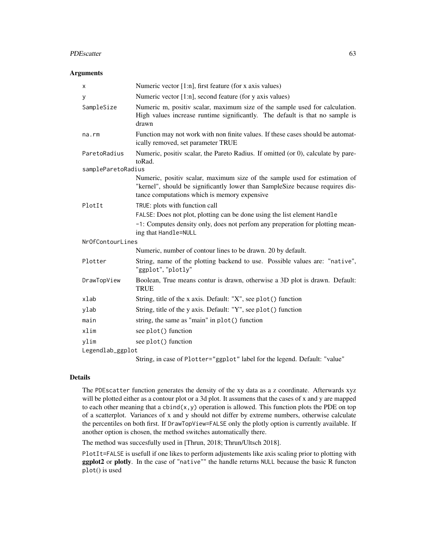#### PDEscatter 63

#### **Arguments**

| X                  | Numeric vector $[1:n]$ , first feature (for x axis values)                                                                                                                                                  |
|--------------------|-------------------------------------------------------------------------------------------------------------------------------------------------------------------------------------------------------------|
| У                  | Numeric vector $[1:n]$ , second feature (for y axis values)                                                                                                                                                 |
| SampleSize         | Numeric m, positiv scalar, maximum size of the sample used for calculation.<br>High values increase runtime significantly. The default is that no sample is<br>drawn                                        |
| na.rm              | Function may not work with non finite values. If these cases should be automat-<br>ically removed, set parameter TRUE                                                                                       |
| ParetoRadius       | Numeric, positiv scalar, the Pareto Radius. If omitted (or 0), calculate by pare-<br>toRad.                                                                                                                 |
| sampleParetoRadius |                                                                                                                                                                                                             |
|                    | Numeric, positiv scalar, maximum size of the sample used for estimation of<br>"kernel", should be significantly lower than SampleSize because requires dis-<br>tance computations which is memory expensive |
| PlotIt             | TRUE: plots with function call                                                                                                                                                                              |
|                    | FALSE: Does not plot, plotting can be done using the list element Handle                                                                                                                                    |
|                    | -1: Computes density only, does not perfom any preperation for plotting mean-<br>ing that Handle=NULL                                                                                                       |
| NrOfContourLines   |                                                                                                                                                                                                             |
|                    | Numeric, number of contour lines to be drawn. 20 by default.                                                                                                                                                |
| Plotter            | String, name of the plotting backend to use. Possible values are: "native",<br>"ggplot", "plotly"                                                                                                           |
| DrawTopView        | Boolean, True means contur is drawn, otherwise a 3D plot is drawn. Default:<br><b>TRUE</b>                                                                                                                  |
| xlab               | String, title of the x axis. Default: "X", see plot() function                                                                                                                                              |
| ylab               | String, title of the y axis. Default: "Y", see plot() function                                                                                                                                              |
| main               | string, the same as "main" in plot() function                                                                                                                                                               |
| xlim               | see plot() function                                                                                                                                                                                         |
| ylim               | see plot() function                                                                                                                                                                                         |
| Legendlab_ggplot   |                                                                                                                                                                                                             |
|                    | String, in case of Plotter="ggplot" label for the legend. Default: "value"                                                                                                                                  |

## Details

The PDEscatter function generates the density of the xy data as a z coordinate. Afterwards xyz will be plotted either as a contour plot or a 3d plot. It assumens that the cases of x and y are mapped to each other meaning that a  $\text{cbind}(x, y)$  operation is allowed. This function plots the PDE on top of a scatterplot. Variances of x and y should not differ by extreme numbers, otherwise calculate the percentiles on both first. If DrawTopView=FALSE only the plotly option is currently available. If another option is chosen, the method switches automatically there.

The method was succesfully used in [Thrun, 2018; Thrun/Ultsch 2018].

PlotIt=FALSE is usefull if one likes to perform adjustements like axis scaling prior to plotting with ggplot2 or plotly. In the case of "native"" the handle returns NULL because the basic R functon plot() is used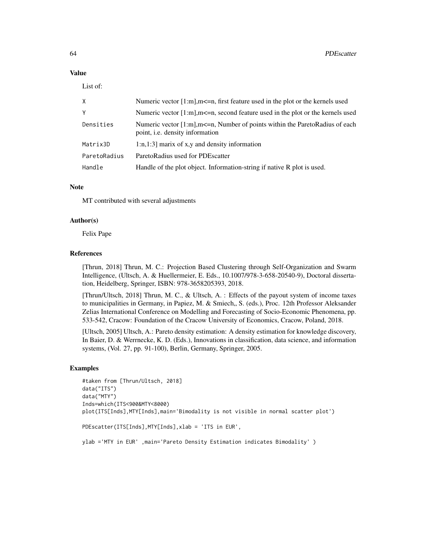# Value

List of:

| X            | Numeric vector $[1:m]$ , $m \leq n$ , first feature used in the plot or the kernels used                                        |
|--------------|---------------------------------------------------------------------------------------------------------------------------------|
| Υ            | Numeric vector $[1:m]$ , $m\leq n$ , second feature used in the plot or the kernels used                                        |
| Densities    | Numeric vector $[1:m]$ , $m \le n$ , Number of points within the ParetoRadius of each<br>point, <i>i.e.</i> density information |
| Matrix3D     | $1:n,1:3$ marix of x,y and density information                                                                                  |
| ParetoRadius | ParetoRadius used for PDEscatter                                                                                                |
| Handle       | Handle of the plot object. Information-string if native R plot is used.                                                         |

# Note

MT contributed with several adjustments

#### Author(s)

Felix Pape

## References

[Thrun, 2018] Thrun, M. C.: Projection Based Clustering through Self-Organization and Swarm Intelligence, (Ultsch, A. & Huellermeier, E. Eds., 10.1007/978-3-658-20540-9), Doctoral dissertation, Heidelberg, Springer, ISBN: 978-3658205393, 2018.

[Thrun/Ultsch, 2018] Thrun, M. C., & Ultsch, A. : Effects of the payout system of income taxes to municipalities in Germany, in Papiez, M. & Smiech,, S. (eds.), Proc. 12th Professor Aleksander Zelias International Conference on Modelling and Forecasting of Socio-Economic Phenomena, pp. 533-542, Cracow: Foundation of the Cracow University of Economics, Cracow, Poland, 2018.

[Ultsch, 2005] Ultsch, A.: Pareto density estimation: A density estimation for knowledge discovery, In Baier, D. & Werrnecke, K. D. (Eds.), Innovations in classification, data science, and information systems, (Vol. 27, pp. 91-100), Berlin, Germany, Springer, 2005.

#### Examples

```
#taken from [Thrun/Ultsch, 2018]
data("ITS")
data("MTY")
Inds=which(ITS<900&MTY<8000)
plot(ITS[Inds],MTY[Inds],main='Bimodality is not visible in normal scatter plot')
PDEscatter(ITS[Inds],MTY[Inds],xlab = 'ITS in EUR',
ylab ='MTY in EUR' ,main='Pareto Density Estimation indicates Bimodality' )
```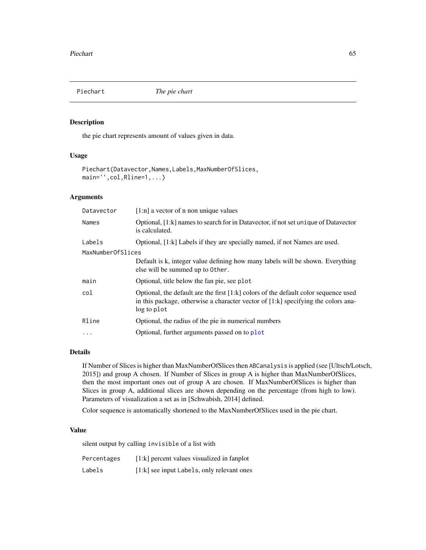# Description

the pie chart represents amount of values given in data.

## Usage

```
Piechart(Datavector,Names,Labels,MaxNumberOfSlices,
main='',col,Rline=1,...)
```
# Arguments

| Datavector        | $[1:n]$ a vector of n non unique values                                                                                                                                                   |  |
|-------------------|-------------------------------------------------------------------------------------------------------------------------------------------------------------------------------------------|--|
| Names             | Optional, [1:k] names to search for in Datavector, if not set unique of Datavector<br>is calculated.                                                                                      |  |
| Labels            | Optional, [1:k] Labels if they are specially named, if not Names are used.                                                                                                                |  |
| MaxNumberOfSlices |                                                                                                                                                                                           |  |
|                   | Default is k, integer value defining how many labels will be shown. Everything<br>else will be summed up to Other.                                                                        |  |
| main              | Optional, title below the fan pie, see plot                                                                                                                                               |  |
| col               | Optional, the default are the first $[1:k]$ colors of the default color sequence used<br>in this package, otherwise a character vector of [1:k] specifying the colors ana-<br>log to plot |  |
| Rline             | Optional, the radius of the pie in numerical numbers                                                                                                                                      |  |
| $\ddotsc$         | Optional, further arguments passed on to plot                                                                                                                                             |  |

# Details

If Number of Slices is higher than MaxNumberOfSlices then ABCanalysis is applied (see [Ultsch/Lotsch, 2015]) and group A chosen. If Number of Slices in group A is higher than MaxNumberOfSlices, then the most important ones out of group A are chosen. If MaxNumberOfSlices is higher than Slices in group A, additional slices are shown depending on the percentage (from high to low). Parameters of visualization a set as in [Schwabish, 2014] defined.

Color sequence is automatically shortened to the MaxNumberOfSlices used in the pie chart.

#### Value

silent output by calling invisible of a list with

| Percentages | $[1:k]$ percent values visualized in fanplot |
|-------------|----------------------------------------------|
| Labels      | $[1:k]$ see input Labels, only relevant ones |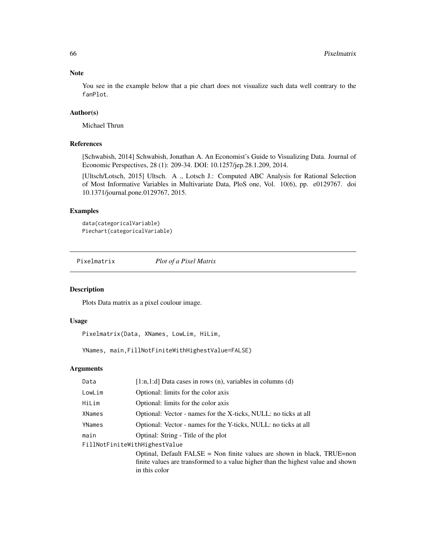## Note

You see in the example below that a pie chart does not visualize such data well contrary to the fanPlot.

# Author(s)

Michael Thrun

# References

[Schwabish, 2014] Schwabish, Jonathan A. An Economist's Guide to Visualizing Data. Journal of Economic Perspectives, 28 (1): 209-34. DOI: 10.1257/jep.28.1.209, 2014.

[Ultsch/Lotsch, 2015] Ultsch. A ., Lotsch J.: Computed ABC Analysis for Rational Selection of Most Informative Variables in Multivariate Data, PloS one, Vol. 10(6), pp. e0129767. doi 10.1371/journal.pone.0129767, 2015.

# Examples

```
data(categoricalVariable)
Piechart(categoricalVariable)
```
<span id="page-65-0"></span>Pixelmatrix *Plot of a Pixel Matrix*

### Description

Plots Data matrix as a pixel coulour image.

#### Usage

Pixelmatrix(Data, XNames, LowLim, HiLim,

YNames, main,FillNotFiniteWithHighestValue=FALSE)

| Data                          | [1:n,1:d] Data cases in rows $(n)$ , variables in columns $(d)$                  |
|-------------------------------|----------------------------------------------------------------------------------|
| LowLim                        | Optional: limits for the color axis                                              |
| HiLim                         | Optional: limits for the color axis                                              |
| XNames                        | Optional: Vector - names for the X-ticks, NULL: no ticks at all                  |
| YNames                        | Optional: Vector - names for the Y-ticks, NULL: no ticks at all                  |
| main                          | Optinal: String - Title of the plot                                              |
| FillNotFiniteWithHighestValue |                                                                                  |
|                               | Optinal, Default FALSE = Non finite values are shown in black, $TRUE=non$        |
|                               | finite values are transformed to a value higher than the highest value and shown |
|                               | in this color                                                                    |
|                               |                                                                                  |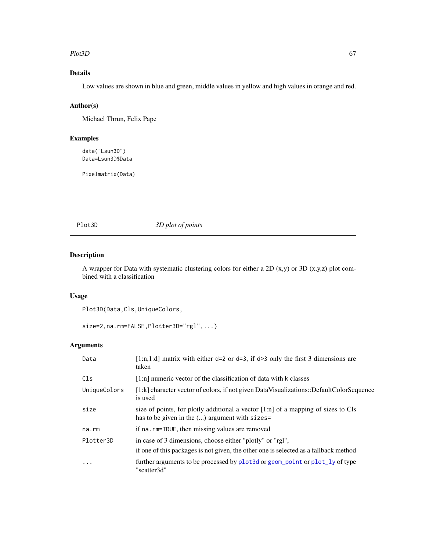#### Plot3D 67

# Details

Low values are shown in blue and green, middle values in yellow and high values in orange and red.

# Author(s)

Michael Thrun, Felix Pape

# Examples

data("Lsun3D") Data=Lsun3D\$Data

Pixelmatrix(Data)

Plot3D *3D plot of points*

# Description

A wrapper for Data with systematic clustering colors for either a 2D (x,y) or 3D (x,y,z) plot combined with a classification

# Usage

Plot3D(Data,Cls,UniqueColors,

```
size=2,na.rm=FALSE,Plotter3D="rgl",...)
```

| Data         | [1:n,1:d] matrix with either d=2 or d=3, if d>3 only the first 3 dimensions are<br>taken                                                          |
|--------------|---------------------------------------------------------------------------------------------------------------------------------------------------|
| Cls          | $[1:n]$ numeric vector of the classification of data with k classes                                                                               |
| UniqueColors | [1:k] character vector of colors, if not given DataVisualizations::DefaultColorSequence<br>is used                                                |
| size         | size of points, for plotly additional a vector [1:n] of a mapping of sizes to Cls<br>has to be given in the $()$ argument with sizes=             |
| na.rm        | if na. rm=TRUE, then missing values are removed                                                                                                   |
| Plotter3D    | in case of 3 dimensions, choose either "plotly" or "rgl",<br>if one of this packages is not given, the other one is selected as a fallback method |
| $\ddots$     | further arguments to be processed by plot 3d or geom_point or plot_ly of type<br>"scatter3d"                                                      |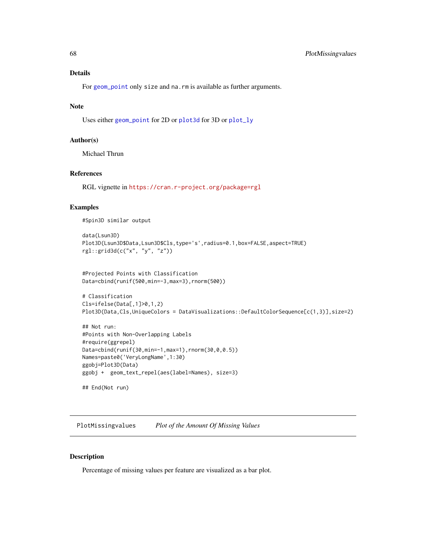# Details

For [geom\\_point](#page-0-0) only size and na.rm is available as further arguments.

# Note

Uses either [geom\\_point](#page-0-0) for 2D or [plot3d](#page-0-0) for 3D or [plot\\_ly](#page-0-0)

#### Author(s)

Michael Thrun

#### References

RGL vignette in <https://cran.r-project.org/package=rgl>

#### Examples

#Spin3D similar output

```
data(Lsun3D)
Plot3D(Lsun3D$Data,Lsun3D$Cls,type='s',radius=0.1,box=FALSE,aspect=TRUE)
rgl::grid3d(c("x", "y", "z"))
```

```
#Projected Points with Classification
Data=cbind(runif(500,min=-3,max=3),rnorm(500))
```

```
# Classification
Cls=ifelse(Data[,1]>0,1,2)
Plot3D(Data,Cls,UniqueColors = DataVisualizations::DefaultColorSequence[c(1,3)],size=2)
```

```
## Not run:
#Points with Non-Overlapping Labels
#require(ggrepel)
Data=cbind(runif(30,min=-1,max=1),rnorm(30,0,0.5))
Names=paste0('VeryLongName',1:30)
ggobj=Plot3D(Data)
ggobj + geom_text_repel(aes(label=Names), size=3)
```

```
## End(Not run)
```
PlotMissingvalues *Plot of the Amount Of Missing Values*

#### Description

Percentage of missing values per feature are visualized as a bar plot.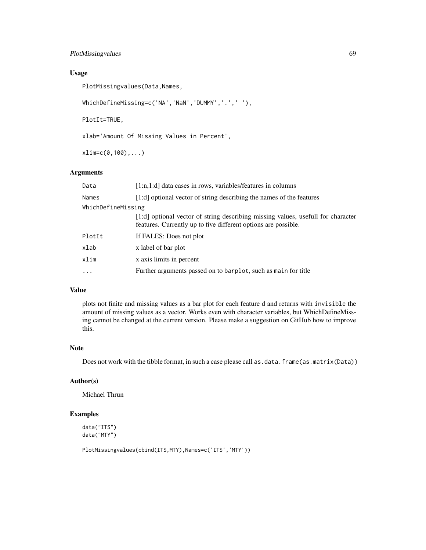# PlotMissingvalues 69

# Usage

PlotMissingvalues(Data,Names,

WhichDefineMissing=c('NA','NaN','DUMMY','.',' '),

PlotIt=TRUE,

xlab='Amount Of Missing Values in Percent',

xlim=c(0,100),...)

# Arguments

| [1:n,1:d] data cases in rows, variables/features in columns                                                                                        |  |  |  |  |
|----------------------------------------------------------------------------------------------------------------------------------------------------|--|--|--|--|
| [1:d] optional vector of string describing the names of the features                                                                               |  |  |  |  |
| WhichDefineMissing                                                                                                                                 |  |  |  |  |
| [1:d] optional vector of string describing missing values, usefull for character<br>features. Currently up to five different options are possible. |  |  |  |  |
| If FALES: Does not plot                                                                                                                            |  |  |  |  |
| x label of bar plot                                                                                                                                |  |  |  |  |
| x axis limits in percent                                                                                                                           |  |  |  |  |
| Further arguments passed on to barplot, such as main for title                                                                                     |  |  |  |  |
|                                                                                                                                                    |  |  |  |  |

# Value

plots not finite and missing values as a bar plot for each feature d and returns with invisible the amount of missing values as a vector. Works even with character variables, but WhichDefineMissing cannot be changed at the current version. Please make a suggestion on GitHub how to improve this.

## Note

Does not work with the tibble format, in such a case please call as .data.frame(as .matrix(Data))

#### Author(s)

Michael Thrun

# Examples

data("ITS") data("MTY")

PlotMissingvalues(cbind(ITS,MTY),Names=c('ITS','MTY'))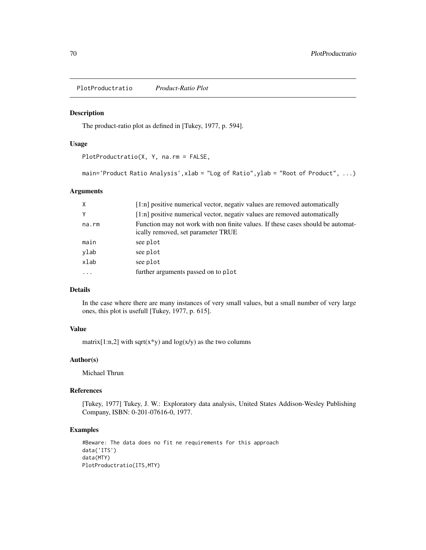PlotProductratio *Product-Ratio Plot*

# Description

The product-ratio plot as defined in [Tukey, 1977, p. 594].

### Usage

```
PlotProductratio(X, Y, na.rm = FALSE,
```

```
main='Product Ratio Analysis',xlab = "Log of Ratio",ylab = "Root of Product", ...)
```
# Arguments

| $\times$ | [1:n] positive numerical vector, negativ values are removed automatically                                             |
|----------|-----------------------------------------------------------------------------------------------------------------------|
| Y        | [1:n] positive numerical vector, negativ values are removed automatically                                             |
| na.rm    | Function may not work with non finite values. If these cases should be automat-<br>ically removed, set parameter TRUE |
| main     | see plot                                                                                                              |
| ylab     | see plot                                                                                                              |
| xlab     | see plot                                                                                                              |
| .        | further arguments passed on to plot                                                                                   |

# Details

In the case where there are many instances of very small values, but a small number of very large ones, this plot is usefull [Tukey, 1977, p. 615].

# Value

matrix[1:n,2] with sqrt(x\*y) and  $log(x/y)$  as the two columns

# Author(s)

Michael Thrun

## References

[Tukey, 1977] Tukey, J. W.: Exploratory data analysis, United States Addison-Wesley Publishing Company, ISBN: 0-201-07616-0, 1977.

# Examples

```
#Beware: The data does no fit ne requirements for this approach
data('ITS')
data(MTY)
PlotProductratio(ITS,MTY)
```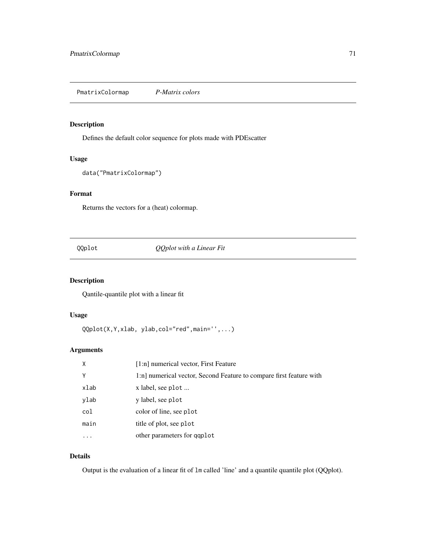PmatrixColormap *P-Matrix colors*

# Description

Defines the default color sequence for plots made with PDEscatter

#### Usage

```
data("PmatrixColormap")
```
# Format

Returns the vectors for a (heat) colormap.

# QQplot *QQplot with a Linear Fit*

# Description

Qantile-quantile plot with a linear fit

# Usage

QQplot(X,Y,xlab, ylab,col="red",main='',...)

# Arguments

| X    | [1:n] numerical vector, First Feature                               |
|------|---------------------------------------------------------------------|
| Υ    | 1:n] numerical vector, Second Feature to compare first feature with |
| xlab | x label, see plot                                                   |
| ylab | y label, see plot                                                   |
| col  | color of line, see plot                                             |
| main | title of plot, see plot                                             |
|      | other parameters for qqplot                                         |

# Details

Output is the evaluation of a linear fit of lm called 'line' and a quantile quantile plot (QQplot).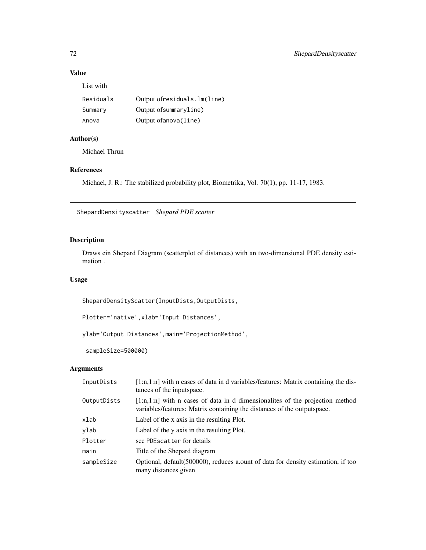# Value

| Residuals | Output ofresiduals. lm(line) |
|-----------|------------------------------|
| Summary   | Output of summaryline)       |
| Anova     | Output of anova (line)       |

# Author(s)

Michael Thrun

# References

Michael, J. R.: The stabilized probability plot, Biometrika, Vol. 70(1), pp. 11-17, 1983.

ShepardDensityscatter *Shepard PDE scatter*

# Description

Draws ein Shepard Diagram (scatterplot of distances) with an two-dimensional PDE density estimation .

# Usage

ShepardDensityScatter(InputDists,OutputDists,

Plotter='native',xlab='Input Distances',

ylab='Output Distances',main='ProjectionMethod',

sampleSize=500000)

| InputDists  | $[1:n,1:n]$ with n cases of data in d variables/features: Matrix containing the dis-<br>tances of the inputspace.                                          |
|-------------|------------------------------------------------------------------------------------------------------------------------------------------------------------|
| OutputDists | $[1:n,1:n]$ with n cases of data in d dimensionalities of the projection method<br>variables/features: Matrix containing the distances of the outputspace. |
| xlab        | Label of the x axis in the resulting Plot.                                                                                                                 |
| ylab        | Label of the y axis in the resulting Plot.                                                                                                                 |
| Plotter     | see PDE scatter for details                                                                                                                                |
| main        | Title of the Shepard diagram                                                                                                                               |
| sampleSize  | Optional, default(500000), reduces a ount of data for density estimation, if too<br>many distances given                                                   |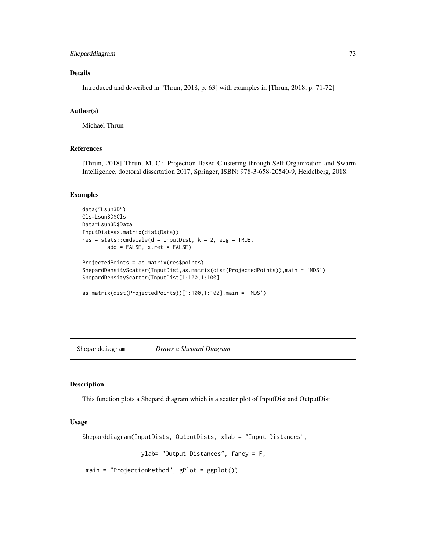## <span id="page-72-0"></span>Sheparddiagram 73

#### Details

Introduced and described in [Thrun, 2018, p. 63] with examples in [Thrun, 2018, p. 71-72]

## Author(s)

Michael Thrun

## References

[Thrun, 2018] Thrun, M. C.: Projection Based Clustering through Self-Organization and Swarm Intelligence, doctoral dissertation 2017, Springer, ISBN: 978-3-658-20540-9, Heidelberg, 2018.

#### Examples

```
data("Lsun3D")
Cls=Lsun3D$Cls
Data=Lsun3D$Data
InputDist=as.matrix(dist(Data))
res = stats::cmdscale(d = InputDist, k = 2, eig = TRUE,add = FALSE, x.ret = FALSE)
ProjectedPoints = as.matrix(res$points)
ShepardDensityScatter(InputDist,as.matrix(dist(ProjectedPoints)),main = 'MDS')
ShepardDensityScatter(InputDist[1:100,1:100],
as.matrix(dist(ProjectedPoints))[1:100,1:100],main = 'MDS')
```
Sheparddiagram *Draws a Shepard Diagram*

#### Description

This function plots a Shepard diagram which is a scatter plot of InputDist and OutputDist

#### Usage

Sheparddiagram(InputDists, OutputDists, xlab = "Input Distances",

```
ylab= "Output Distances", fancy = F,
```
main = "ProjectionMethod", gPlot = ggplot())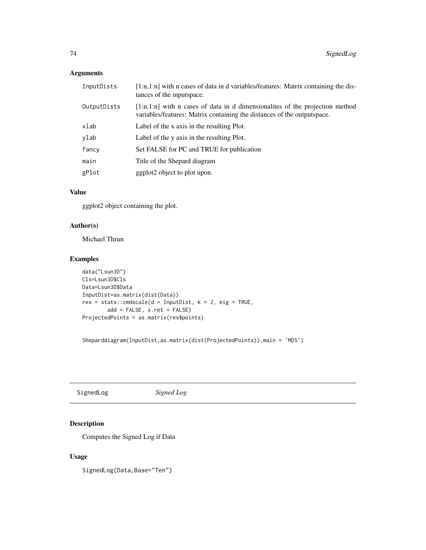## <span id="page-73-0"></span>Arguments

| InputDists  | $[1:n,1:n]$ with n cases of data in d variables/features: Matrix containing the dis-<br>tances of the inputspace.                                          |
|-------------|------------------------------------------------------------------------------------------------------------------------------------------------------------|
| OutputDists | $[1:n,1:n]$ with n cases of data in d dimensionalities of the projection method<br>variables/features: Matrix containing the distances of the outputspace. |
| xlab        | Label of the x axis in the resulting Plot.                                                                                                                 |
| ylab        | Label of the y axis in the resulting Plot.                                                                                                                 |
| fancy       | Set FALSE for PC and TRUE for publication                                                                                                                  |
| main        | Title of the Shepard diagram                                                                                                                               |
| gPlot       | ggplot2 object to plot upon.                                                                                                                               |

## Value

ggplot2 object containing the plot.

## Author(s)

Michael Thrun

## Examples

```
data("Lsun3D")
Cls=Lsun3D$Cls
Data=Lsun3D$Data
InputDist=as.matrix(dist(Data))
res = stats:: cmdscale(d = InputDist, k = 2, eig = TRUE,
        add = FALSE, x.ret = FALSE)
ProjectedPoints = as.matrix(res$points)
```
Sheparddiagram(InputDist,as.matrix(dist(ProjectedPoints)),main = 'MDS')

SignedLog *Signed Log*

## Description

Computes the Signed Log if Data

## Usage

SignedLog(Data, Base="Ten")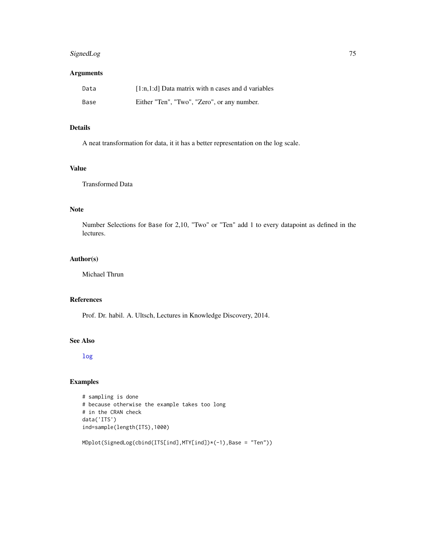## <span id="page-74-0"></span>SignedLog 75

# Arguments

| Data | [1:n,1:d] Data matrix with n cases and d variables |
|------|----------------------------------------------------|
| Base | Either "Ten", "Two", "Zero", or any number.        |

# Details

A neat transformation for data, it it has a better representation on the log scale.

## Value

Transformed Data

## Note

Number Selections for Base for 2,10, "Two" or "Ten" add 1 to every datapoint as defined in the lectures.

#### Author(s)

Michael Thrun

# References

Prof. Dr. habil. A. Ultsch, Lectures in Knowledge Discovery, 2014.

## See Also

[log](#page-0-0)

## Examples

```
# sampling is done
# because otherwise the example takes too long
# in the CRAN check
data('ITS')
ind=sample(length(ITS),1000)
```
MDplot(SignedLog(cbind(ITS[ind],MTY[ind])\*(-1),Base = "Ten"))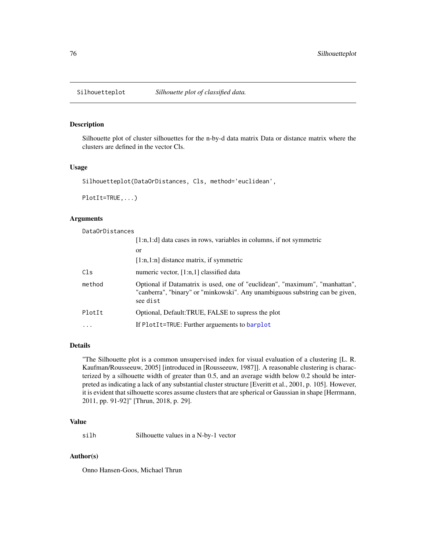<span id="page-75-0"></span>

#### Description

Silhouette plot of cluster silhouettes for the n-by-d data matrix Data or distance matrix where the clusters are defined in the vector Cls.

#### Usage

Silhouetteplot(DataOrDistances, Cls, method='euclidean',

PlotIt=TRUE,...)

# Arguments

DataOrDistances

|        | $[1:n,1:d]$ data cases in rows, variables in columns, if not symmetric                                                                                                  |
|--------|-------------------------------------------------------------------------------------------------------------------------------------------------------------------------|
|        | <sub>or</sub>                                                                                                                                                           |
|        | $[1:n,1:n]$ distance matrix, if symmetric                                                                                                                               |
| Cls    | numeric vector, [1:n,1] classified data                                                                                                                                 |
| method | Optional if Datamatrix is used, one of "euclidean", "maximum", "manhattan",<br>"canberra", "binary" or "minkowski". Any unambiguous substring can be given,<br>see dist |
| PlotIt | Optional, Default:TRUE, FALSE to supress the plot                                                                                                                       |
| .      | If PlotIt=TRUE: Further arguements to barplot                                                                                                                           |
|        |                                                                                                                                                                         |

## Details

"The Silhouette plot is a common unsupervised index for visual evaluation of a clustering [L. R. Kaufman/Rousseeuw, 2005] [introduced in [Rousseeuw, 1987]]. A reasonable clustering is characterized by a silhouette width of greater than 0.5, and an average width below 0.2 should be interpreted as indicating a lack of any substantial cluster structure [Everitt et al., 2001, p. 105]. However, it is evident that silhouette scores assume clusters that are spherical or Gaussian in shape [Herrmann, 2011, pp. 91-92]" [Thrun, 2018, p. 29].

#### Value

silh Silhouette values in a N-by-1 vector

#### Author(s)

Onno Hansen-Goos, Michael Thrun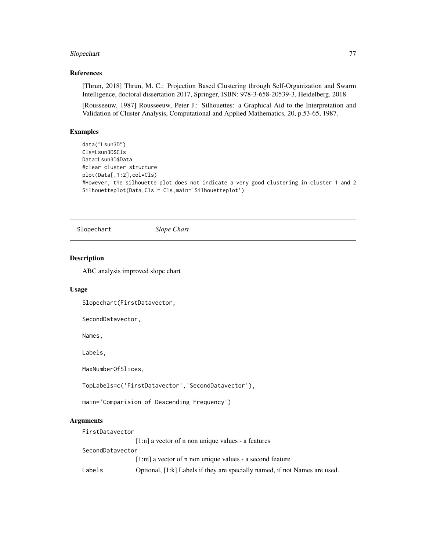## <span id="page-76-0"></span>Slopechart 77

## References

[Thrun, 2018] Thrun, M. C.: Projection Based Clustering through Self-Organization and Swarm Intelligence, doctoral dissertation 2017, Springer, ISBN: 978-3-658-20539-3, Heidelberg, 2018.

[Rousseeuw, 1987] Rousseeuw, Peter J.: Silhouettes: a Graphical Aid to the Interpretation and Validation of Cluster Analysis, Computational and Applied Mathematics, 20, p.53-65, 1987.

#### Examples

```
data("Lsun3D")
Cls=Lsun3D$Cls
Data=Lsun3D$Data
#clear cluster structure
plot(Data[,1:2],col=Cls)
#However, the silhouette plot does not indicate a very good clustering in cluster 1 and 2
Silhouetteplot(Data,Cls = Cls,main='Silhouetteplot')
```
Slopechart *Slope Chart*

#### Description

ABC analysis improved slope chart

#### Usage

Slopechart(FirstDatavector,

SecondDatavector,

Names,

Labels,

MaxNumberOfSlices,

TopLabels=c('FirstDatavector','SecondDatavector'),

main='Comparision of Descending Frequency')

#### Arguments

| FirstDatavector  |                                                                            |
|------------------|----------------------------------------------------------------------------|
|                  | $[1:n]$ a vector of n non unique values - a features                       |
| SecondDatavector |                                                                            |
|                  | $[1:m]$ a vector of n non unique values - a second feature                 |
| Labels           | Optional, [1:k] Labels if they are specially named, if not Names are used. |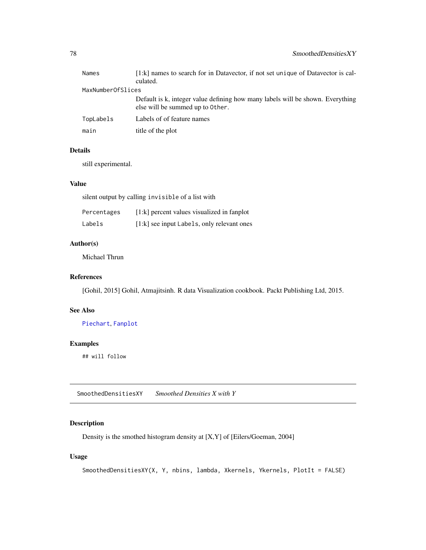<span id="page-77-0"></span>

| Names             | $[1:k]$ names to search for in Datavector, if not set unique of Datavector is cal-<br>culated.                     |
|-------------------|--------------------------------------------------------------------------------------------------------------------|
| MaxNumberOfSlices |                                                                                                                    |
|                   | Default is k, integer value defining how many labels will be shown. Everything<br>else will be summed up to 0ther. |
| TopLabels         | Labels of of feature names                                                                                         |
| main              | title of the plot                                                                                                  |

## Details

still experimental.

#### Value

silent output by calling invisible of a list with

| Percentages | $[1:k]$ percent values visualized in fanplot |
|-------------|----------------------------------------------|
| Labels      | [1:k] see input Labels, only relevant ones   |

#### Author(s)

Michael Thrun

## References

[Gohil, 2015] Gohil, Atmajitsinh. R data Visualization cookbook. Packt Publishing Ltd, 2015.

## See Also

[Piechart](#page-64-0), [Fanplot](#page-31-0)

# Examples

## will follow

SmoothedDensitiesXY *Smoothed Densities X with Y*

## Description

Density is the smothed histogram density at [X,Y] of [Eilers/Goeman, 2004]

#### Usage

SmoothedDensitiesXY(X, Y, nbins, lambda, Xkernels, Ykernels, PlotIt = FALSE)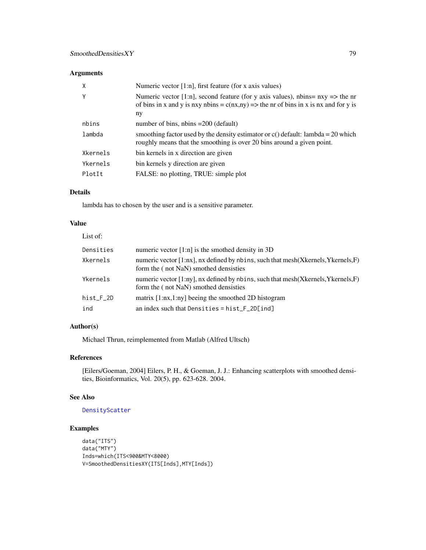# <span id="page-78-0"></span>Arguments

| X        | Numeric vector $[1:n]$ , first feature (for x axis values)                                                                                                                                 |
|----------|--------------------------------------------------------------------------------------------------------------------------------------------------------------------------------------------|
| Y        | Numeric vector [1:n], second feature (for y axis values), nbins= $nxy \Rightarrow$ the nr<br>of bins in x and y is nxy nbins = $c(nx, ny)$ => the nr of bins in x is nx and for y is<br>ny |
| nbins    | number of bins, $n \text{bins} = 200$ (default)                                                                                                                                            |
| lambda   | smoothing factor used by the density estimator or $c()$ default: lambda = 20 which<br>roughly means that the smoothing is over 20 bins around a given point.                               |
| Xkernels | bin kernels in x direction are given                                                                                                                                                       |
| Ykernels | bin kernels y direction are given                                                                                                                                                          |
| PlotIt   | FALSE: no plotting, TRUE: simple plot                                                                                                                                                      |

# Details

lambda has to chosen by the user and is a sensitive parameter.

## Value

| List of:  |                                                                                                                                  |
|-----------|----------------------------------------------------------------------------------------------------------------------------------|
| Densities | numeric vector $[1:n]$ is the smothed density in 3D                                                                              |
| Xkernels  | numeric vector [1:nx], nx defined by nbins, such that mesh(Xkernels, Ykernels, F)<br>form the (not NaN) smothed densisties       |
| Ykernels  | numeric vector $[1:ny]$ , nx defined by nbins, such that mesh (X kernels, Y kernels, F)<br>form the (not NaN) smothed densisties |
| hist_F_2D | matrix $[1:nx,1:ny]$ beeing the smoothed 2D histogram                                                                            |
| ind       | an index such that Densities = $hist_F_2D[ind]$                                                                                  |

## Author(s)

Michael Thrun, reimplemented from Matlab (Alfred Ultsch)

## References

[Eilers/Goeman, 2004] Eilers, P. H., & Goeman, J. J.: Enhancing scatterplots with smoothed densities, Bioinformatics, Vol. 20(5), pp. 623-628. 2004.

## See Also

#### [DensityScatter](#page-26-0)

# Examples

```
data("ITS")
data("MTY")
Inds=which(ITS<900&MTY<8000)
V=SmoothedDensitiesXY(ITS[Inds],MTY[Inds])
```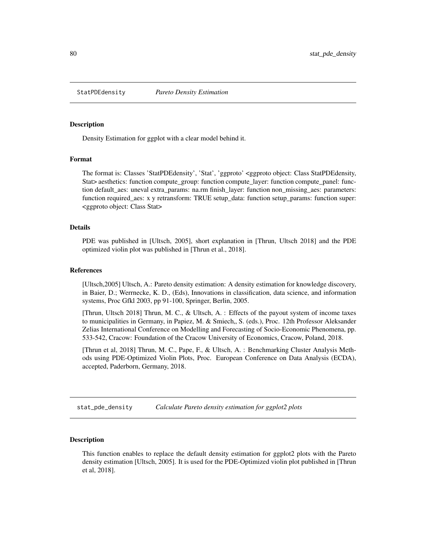<span id="page-79-0"></span>

#### **Description**

Density Estimation for ggplot with a clear model behind it.

#### Format

The format is: Classes 'StatPDEdensity', 'Stat', 'ggproto' <ggproto object: Class StatPDEdensity, Stat> aesthetics: function compute\_group: function compute\_layer: function compute\_panel: function default\_aes: uneval extra\_params: na.rm finish\_layer: function non\_missing\_aes: parameters: function required\_aes: x y retransform: TRUE setup\_data: function setup\_params: function super: <ggproto object: Class Stat>

#### Details

PDE was published in [Ultsch, 2005], short explanation in [Thrun, Ultsch 2018] and the PDE optimized violin plot was published in [Thrun et al., 2018].

#### References

[Ultsch,2005] Ultsch, A.: Pareto density estimation: A density estimation for knowledge discovery, in Baier, D.; Werrnecke, K. D., (Eds), Innovations in classification, data science, and information systems, Proc Gfkl 2003, pp 91-100, Springer, Berlin, 2005.

[Thrun, Ultsch 2018] Thrun, M. C., & Ultsch, A. : Effects of the payout system of income taxes to municipalities in Germany, in Papiez, M. & Smiech,, S. (eds.), Proc. 12th Professor Aleksander Zelias International Conference on Modelling and Forecasting of Socio-Economic Phenomena, pp. 533-542, Cracow: Foundation of the Cracow University of Economics, Cracow, Poland, 2018.

[Thrun et al, 2018] Thrun, M. C., Pape, F., & Ultsch, A. : Benchmarking Cluster Analysis Methods using PDE-Optimized Violin Plots, Proc. European Conference on Data Analysis (ECDA), accepted, Paderborn, Germany, 2018.

stat\_pde\_density *Calculate Pareto density estimation for ggplot2 plots*

#### Description

This function enables to replace the default density estimation for ggplot2 plots with the Pareto density estimation [Ultsch, 2005]. It is used for the PDE-Optimized violin plot published in [Thrun et al, 2018].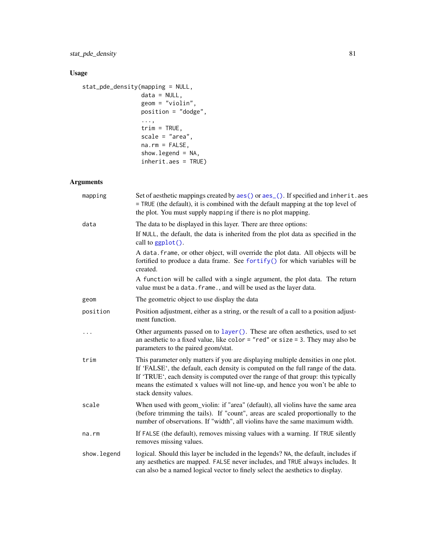# <span id="page-80-0"></span>Usage

```
stat_pde_density(mapping = NULL,
                data = NULL,
                geom = "violin",
                position = "dodge",
                 ...,
                trim = TRUE,scale = "area",
                na.rm = FALSE,show.legend = NA,
                inherit.aes = TRUE)
```
## Arguments

| mapping      | Set of aesthetic mappings created by aes() or aes_(). If specified and inherit.aes<br>= TRUE (the default), it is combined with the default mapping at the top level of<br>the plot. You must supply mapping if there is no plot mapping.                                                                                                                           |
|--------------|---------------------------------------------------------------------------------------------------------------------------------------------------------------------------------------------------------------------------------------------------------------------------------------------------------------------------------------------------------------------|
| data         | The data to be displayed in this layer. There are three options:                                                                                                                                                                                                                                                                                                    |
|              | If NULL, the default, the data is inherited from the plot data as specified in the<br>call to ggplot().                                                                                                                                                                                                                                                             |
|              | A data. frame, or other object, will override the plot data. All objects will be<br>fortified to produce a data frame. See fortify() for which variables will be<br>created.                                                                                                                                                                                        |
|              | A function will be called with a single argument, the plot data. The return<br>value must be a data. frame., and will be used as the layer data.                                                                                                                                                                                                                    |
| geom         | The geometric object to use display the data                                                                                                                                                                                                                                                                                                                        |
| position     | Position adjustment, either as a string, or the result of a call to a position adjust-<br>ment function.                                                                                                                                                                                                                                                            |
| $\cdots$     | Other arguments passed on to layer (). These are often aesthetics, used to set<br>an aesthetic to a fixed value, like color = "red" or size = 3. They may also be<br>parameters to the paired geom/stat.                                                                                                                                                            |
| trim         | This parameter only matters if you are displaying multiple densities in one plot.<br>If 'FALSE', the default, each density is computed on the full range of the data.<br>If 'TRUE', each density is computed over the range of that group: this typically<br>means the estimated x values will not line-up, and hence you won't be able to<br>stack density values. |
| scale        | When used with geom_violin: if "area" (default), all violins have the same area<br>(before trimming the tails). If "count", areas are scaled proportionally to the<br>number of observations. If "width", all violins have the same maximum width.                                                                                                                  |
| na.rm        | If FALSE (the default), removes missing values with a warning. If TRUE silently<br>removes missing values.                                                                                                                                                                                                                                                          |
| show. legend | logical. Should this layer be included in the legends? NA, the default, includes if<br>any aesthetics are mapped. FALSE never includes, and TRUE always includes. It<br>can also be a named logical vector to finely select the aesthetics to display.                                                                                                              |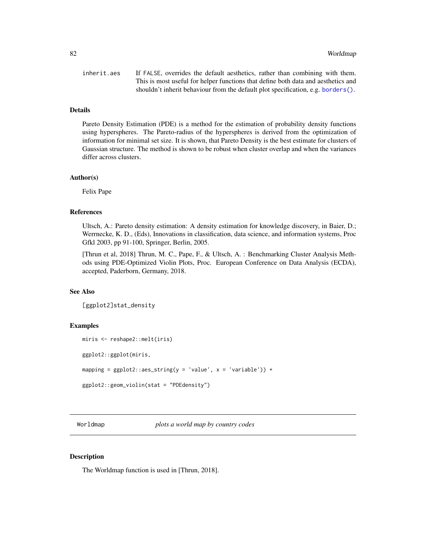<span id="page-81-0"></span>

| inherit.aes | If FALSE, overrides the default aesthetics, rather than combining with them.      |
|-------------|-----------------------------------------------------------------------------------|
|             | This is most useful for helper functions that define both data and aesthetics and |
|             | shouldn't inherit behaviour from the default plot specification, e.g. borders().  |

#### Details

Pareto Density Estimation (PDE) is a method for the estimation of probability density functions using hyperspheres. The Pareto-radius of the hyperspheres is derived from the optimization of information for minimal set size. It is shown, that Pareto Density is the best estimate for clusters of Gaussian structure. The method is shown to be robust when cluster overlap and when the variances differ across clusters.

#### Author(s)

Felix Pape

#### References

Ultsch, A.: Pareto density estimation: A density estimation for knowledge discovery, in Baier, D.; Werrnecke, K. D., (Eds), Innovations in classification, data science, and information systems, Proc Gfkl 2003, pp 91-100, Springer, Berlin, 2005.

[Thrun et al, 2018] Thrun, M. C., Pape, F., & Ultsch, A. : Benchmarking Cluster Analysis Methods using PDE-Optimized Violin Plots, Proc. European Conference on Data Analysis (ECDA), accepted, Paderborn, Germany, 2018.

#### See Also

[ggplot2]stat\_density

#### Examples

```
miris <- reshape2::melt(iris)
ggplot2::ggplot(miris,
mapping = ggplot2::aes\_string(y = 'value', x = 'variable')) +ggplot2::geom_violin(stat = "PDEdensity")
```
Worldmap *plots a world map by country codes*

#### Description

The Worldmap function is used in [Thrun, 2018].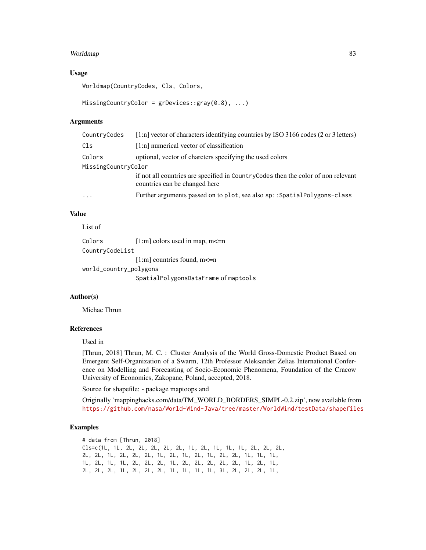#### Worldmap 83

#### Usage

Worldmap(CountryCodes, Cls, Colors,

```
MissingCountryColor = grDevices::gray(0.8), ...
```
#### Arguments

| CountryCodes        | [1:n] vector of characters identifying countries by ISO 3166 codes (2 or 3 letters)                                |  |
|---------------------|--------------------------------------------------------------------------------------------------------------------|--|
| Cls                 | [1:n] numerical vector of classification                                                                           |  |
| Colors              | optional, vector of charcters specifying the used colors                                                           |  |
| MissingCountryColor |                                                                                                                    |  |
|                     | if not all countries are specified in CountryCodes then the color of non relevant<br>countries can be changed here |  |
| $\ddotsc$           | Further arguments passed on to plot, see also sp:: SpatialPolygons-class                                           |  |

## Value

List of

| Colors                 | $[1:m]$ colors used in map, m $\leq n$ |
|------------------------|----------------------------------------|
| CountryCodeList        |                                        |
|                        | $[1:m]$ countries found, m $\leq n$    |
| world_country_polygons |                                        |
|                        | SpatialPolygonsDataFrame of maptools   |

#### Author(s)

Michae Thrun

## References

Used in

[Thrun, 2018] Thrun, M. C. : Cluster Analysis of the World Gross-Domestic Product Based on Emergent Self-Organization of a Swarm, 12th Professor Aleksander Zelias International Conference on Modelling and Forecasting of Socio-Economic Phenomena, Foundation of the Cracow University of Economics, Zakopane, Poland, accepted, 2018.

Source for shapefile: - package maptoops and

Originally 'mappinghacks.com/data/TM\_WORLD\_BORDERS\_SIMPL-0.2.zip', now available from <https://github.com/nasa/World-Wind-Java/tree/master/WorldWind/testData/shapefiles>

## Examples

# data from [Thrun, 2018] Cls=c(1L, 1L, 2L, 2L, 2L, 2L, 2L, 1L, 2L, 1L, 1L, 1L, 2L, 2L, 2L, 2L, 2L, 1L, 2L, 2L, 2L, 1L, 2L, 1L, 2L, 1L, 2L, 2L, 1L, 1L, 1L, 1L, 2L, 1L, 1L, 2L, 2L, 2L, 1L, 2L, 2L, 2L, 2L, 2L, 1L, 2L, 1L, 2L, 2L, 2L, 1L, 2L, 2L, 2L, 1L, 1L, 1L, 1L, 3L, 2L, 2L, 2L, 1L,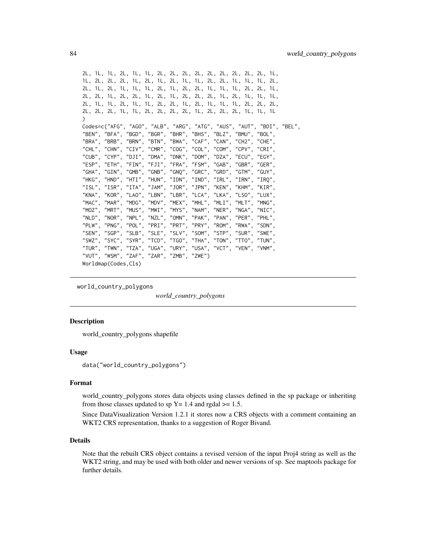```
2L, 1L, 1L, 2L, 1L, 1L, 2L, 2L, 2L, 2L, 2L, 2L, 2L, 2L, 2L, 1L,
1L, 2L, 2L, 2L, 1L, 2L, 1L, 2L, 1L, 1L, 2L, 2L, 1L, 1L, 1L, 2L,
2L, 1L, 2L, 1L, 1L, 1L, 2L, 1L, 2L, 2L, 1L, 1L, 1L, 2L, 2L, 1L,
2L, 2L, 1L, 2L, 2L, 1L, 2L, 1L, 2L, 2L, 2L, 1L, 2L, 1L, 1L, 1L,
2L, 1L, 1L, 2L, 1L, 1L, 2L, 2L, 1L, 2L, 1L, 1L, 1L, 2L, 2L, 2L,
2L, 2L, 2L, 1L, 1L, 2L, 2L, 2L, 2L, 1L, 2L, 2L, 2L, 1L, 1L, 1L
)
Codes=c("AFG", "AGO", "ALB", "ARG", "ATG", "AUS", "AUT", "BDI", "BEL",
"BEN", "BFA", "BGD", "BGR", "BHR", "BHS", "BLZ", "BMU", "BOL",
"BRA", "BRB", "BRN", "BTN", "BWA", "CAF", "CAN", "CH2", "CHE",
"CHL", "CHN", "CIV", "CMR", "COG", "COL", "COM", "CPV", "CRI"<br>"CUB", "CYP", "DJI", "DMA", "DNK", "DOM", "DZA", "ECU", "EGY"
"CUB", "CYP", "DJI", "DMA", "DNK", "DOM", "DZA",
"ESP", "ETH", "FIN", "FJI", "FRA", "FSM", "GAB", "GBR", "GER"<br>"GHA". "GIN". "GMB", "GNB", "GNQ", "GRC", "GRD", "GTM", "GUY"
"GHA", "GIN", "GMB", "GNB", "GNO", "GRC", "GRC", "GRD","HKG", "HND", "HTI", "HUN", "IDN", "IND", "IRL", "IRN", "IRQ"<br>"ISL", "ISR", "ITA", "JAM", "JOR", "JPN", "KEN", "KHM", "KIR"
"ISL", "ISR", "ITA", "JAM", "JOR", "JPN", "KEN", "KHM", "KIR",
"KNA", "KOR", "LAO", "LBN", "LBR", "LCA", "LKA", "LSO", "LUX",
"MAC", "MAR", "MDG", "MDV", "MEX", "MHL", "MLI", "MLT", "MNG",
"MOZ", "MRT", "MUS", "MWI", "MYS", "NAM", "NER", "NGA", "NIC",
"NLD", "NOR", "NPL", "NZL", "OMN", "PAK", "PAN", "PER", "PHL",
"PLW", "PNG", "POL", "PRI", "PRT", "PRY", "ROM", "RWA", "SDN",
"SEN", "SGP", "SLB", "SLE", "SLV", "SOM", "STP", "SUR", "SWE",
"SWZ", "SYC", "SYR", "TCD", "TGO", "THA", "TON", "TTO", "TUN",
"TUR", "TWN", "TZA", "UGA", "URY", "USA", "VCT", "VEN", "VNM",
"VUT", "WSM", "ZAF", "ZAR", "ZMB", "ZWE")
Worldmap(Codes,Cls)
```
world\_country\_polygons

*world\_country\_polygons*

#### Description

world\_country\_polygons shapefile

#### Usage

```
data("world_country_polygons")
```
#### Format

world country polygons stores data objects using classes defined in the sp package or inheriting from those classes updated to sp  $Y = 1.4$  and rgdal  $\geq 1.5$ .

Since DataVisualization Version 1.2.1 it stores now a CRS objects with a comment containing an WKT2 CRS representation, thanks to a suggestion of Roger Bivand.

#### Details

Note that the rebuilt CRS object contains a revised version of the input Proj4 string as well as the WKT2 string, and may be used with both older and newer versions of sp. See maptools package for further details.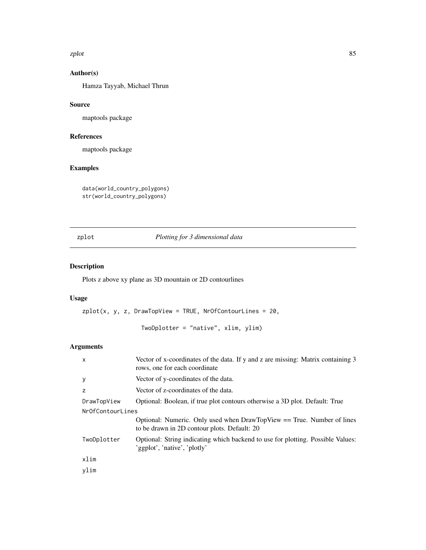<span id="page-84-0"></span>zplot 85

# Author(s)

Hamza Tayyab, Michael Thrun

## Source

maptools package

# References

maptools package

# Examples

```
data(world_country_polygons)
str(world_country_polygons)
```
zplot *Plotting for 3 dimensional data*

## Description

Plots z above xy plane as 3D mountain or 2D contourlines

# Usage

```
zplot(x, y, z, DrawTopView = TRUE, NrOfContourLines = 20,
```
TwoDplotter = "native", xlim, ylim)

## Arguments

| $\mathsf{x}$     | Vector of x-coordinates of the data. If y and z are missing: Matrix containing 3<br>rows, one for each coordinate      |
|------------------|------------------------------------------------------------------------------------------------------------------------|
| y                | Vector of y-coordinates of the data.                                                                                   |
| Z                | Vector of z-coordinates of the data.                                                                                   |
| DrawTopView      | Optional: Boolean, if true plot contours otherwise a 3D plot. Default: True                                            |
| NrOfContourLines |                                                                                                                        |
|                  | Optional: Numeric. Only used when DrawTopView == True. Number of lines<br>to be drawn in 2D contour plots. Default: 20 |
| TwoDplotter      | Optional: String indicating which backend to use for plotting. Possible Values:<br>'ggplot', 'native', 'plotly'        |
| xlim             |                                                                                                                        |
| vlim             |                                                                                                                        |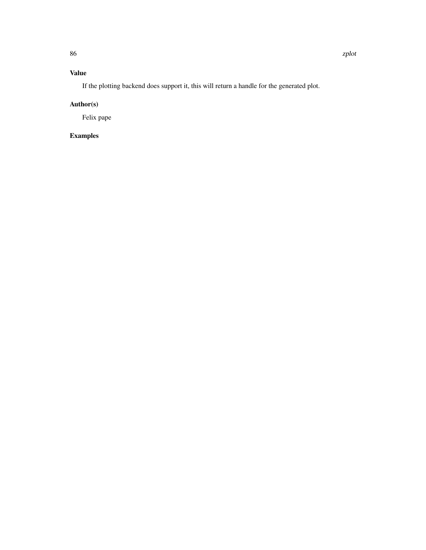If the plotting backend does support it, this will return a handle for the generated plot.

# Author(s)

Felix pape

# Examples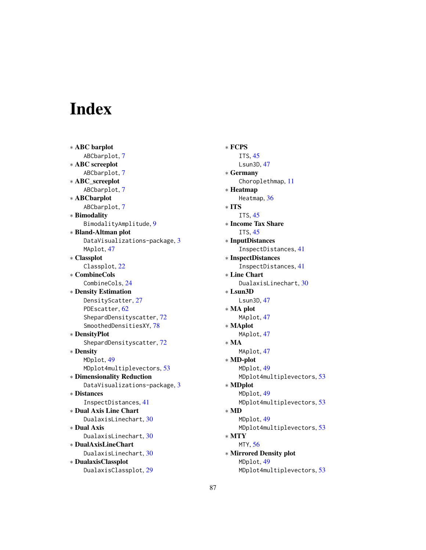# Index

∗ ABC barplot ABCbarplot, [7](#page-6-0) ∗ ABC screeplot ABCbarplot, [7](#page-6-0) ∗ ABC\_screeplot ABCbarplot, [7](#page-6-0) ∗ ABCbarplot ABCbarplot, [7](#page-6-0) ∗ Bimodality BimodalityAmplitude, [9](#page-8-0) ∗ Bland-Altman plot DataVisualizations-package, [3](#page-2-0) MAplot, [47](#page-46-0) ∗ Classplot Classplot, [22](#page-21-0) ∗ CombineCols CombineCols, [24](#page-23-0) ∗ Density Estimation DensityScatter, [27](#page-26-1) PDEscatter, [62](#page-61-0) ShepardDensityscatter, [72](#page-71-0) SmoothedDensitiesXY, [78](#page-77-0) ∗ DensityPlot ShepardDensityscatter, [72](#page-71-0) ∗ Density MDplot, [49](#page-48-0) MDplot4multiplevectors, [53](#page-52-0) ∗ Dimensionality Reduction DataVisualizations-package, [3](#page-2-0) ∗ Distances InspectDistances, [41](#page-40-0) ∗ Dual Axis Line Chart DualaxisLinechart, [30](#page-29-0) ∗ Dual Axis DualaxisLinechart, [30](#page-29-0) ∗ DualAxisLineChart DualaxisLinechart, [30](#page-29-0) ∗ DualaxisClassplot DualaxisClassplot, [29](#page-28-0)

∗ FCPS ITS, [45](#page-44-0) Lsun3D, [47](#page-46-0) ∗ Germany Choroplethmap, [11](#page-10-0) ∗ Heatmap Heatmap, [36](#page-35-0) ∗ ITS ITS, [45](#page-44-0) ∗ Income Tax Share ITS, [45](#page-44-0) ∗ InputDistances InspectDistances, [41](#page-40-0) ∗ InspectDistances InspectDistances, [41](#page-40-0) ∗ Line Chart DualaxisLinechart, [30](#page-29-0) ∗ Lsun3D Lsun3D, [47](#page-46-0) ∗ MA plot MAplot, [47](#page-46-0) ∗ MAplot MAplot, [47](#page-46-0) ∗ MA MAplot, [47](#page-46-0) ∗ MD-plot MDplot, [49](#page-48-0) MDplot4multiplevectors, [53](#page-52-0) ∗ MDplot MDplot, [49](#page-48-0) MDplot4multiplevectors, [53](#page-52-0) ∗ MD MDplot, [49](#page-48-0) MDplot4multiplevectors, [53](#page-52-0) ∗ MTY MTY, [56](#page-55-0) ∗ Mirrored Density plot MDplot, [49](#page-48-0) MDplot4multiplevectors, [53](#page-52-0)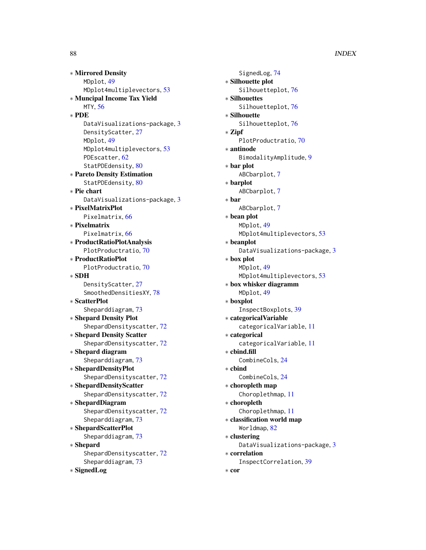∗ Mirrored Density MDplot, [49](#page-48-0) MDplot4multiplevectors, [53](#page-52-0) ∗ Muncipal Income Tax Yield MTY, [56](#page-55-0) ∗ PDE DataVisualizations-package, [3](#page-2-0) DensityScatter, [27](#page-26-1) MDplot, [49](#page-48-0) MDplot4multiplevectors, [53](#page-52-0) PDEscatter, [62](#page-61-0) StatPDEdensity, [80](#page-79-0) ∗ Pareto Density Estimation StatPDEdensity, [80](#page-79-0) ∗ Pie chart DataVisualizations-package, [3](#page-2-0) ∗ PixelMatrixPlot Pixelmatrix, [66](#page-65-0) ∗ Pixelmatrix Pixelmatrix, [66](#page-65-0) ∗ ProductRatioPlotAnalysis PlotProductratio, [70](#page-69-0) ∗ ProductRatioPlot PlotProductratio, [70](#page-69-0) ∗ SDH DensityScatter, [27](#page-26-1) SmoothedDensitiesXY, [78](#page-77-0) ∗ ScatterPlot Sheparddiagram, [73](#page-72-0) ∗ Shepard Density Plot ShepardDensityscatter, [72](#page-71-0) ∗ Shepard Density Scatter ShepardDensityscatter, [72](#page-71-0) ∗ Shepard diagram Sheparddiagram, [73](#page-72-0) ∗ ShepardDensityPlot ShepardDensityscatter, [72](#page-71-0) ∗ ShepardDensityScatter ShepardDensityscatter, [72](#page-71-0) ∗ ShepardDiagram ShepardDensityscatter, [72](#page-71-0) Sheparddiagram, [73](#page-72-0) ∗ ShepardScatterPlot Sheparddiagram, [73](#page-72-0) ∗ Shepard

ShepardDensityscatter, [72](#page-71-0) Sheparddiagram, [73](#page-72-0)

∗ SignedLog

SignedLog, [74](#page-73-0) ∗ Silhouette plot Silhouetteplot, [76](#page-75-0) ∗ Silhouettes Silhouetteplot, [76](#page-75-0) ∗ Silhouette Silhouetteplot, [76](#page-75-0) ∗ Zipf PlotProductratio, [70](#page-69-0) ∗ antinode BimodalityAmplitude, [9](#page-8-0) ∗ bar plot ABCbarplot, [7](#page-6-0) ∗ barplot ABCbarplot, [7](#page-6-0) ∗ bar ABCbarplot, [7](#page-6-0) ∗ bean plot MDplot, [49](#page-48-0) MDplot4multiplevectors, [53](#page-52-0) ∗ beanplot DataVisualizations-package, [3](#page-2-0) ∗ box plot MDplot, [49](#page-48-0) MDplot4multiplevectors, [53](#page-52-0) ∗ box whisker diagramm MDplot, [49](#page-48-0) ∗ boxplot InspectBoxplots, [39](#page-38-0) ∗ categoricalVariable categoricalVariable, [11](#page-10-0) ∗ categorical categoricalVariable, [11](#page-10-0) ∗ cbind.fill CombineCols, [24](#page-23-0) ∗ cbind CombineCols, [24](#page-23-0) ∗ choropleth map Choroplethmap, [11](#page-10-0) ∗ choropleth Choroplethmap, [11](#page-10-0) ∗ classification world map Worldmap, [82](#page-81-0) ∗ clustering DataVisualizations-package, [3](#page-2-0) ∗ correlation InspectCorrelation, [39](#page-38-0) ∗ cor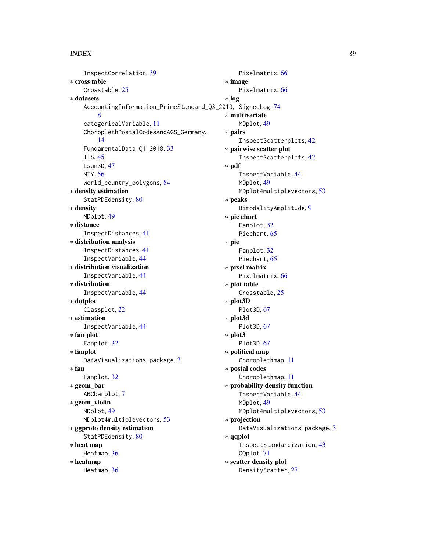#### INDEX  $89$

InspectCorrelation, [39](#page-38-0) ∗ cross table Crosstable, [25](#page-24-0) ∗ datasets AccountingInformation\_PrimeStandard\_Q3\_2019, SignedLog, [74](#page-73-0) [8](#page-7-0) categoricalVariable, [11](#page-10-0) ChoroplethPostalCodesAndAGS\_Germany, [14](#page-13-0) FundamentalData\_Q1\_2018, [33](#page-32-0) ITS, [45](#page-44-0) Lsun3D, [47](#page-46-0) MTY, [56](#page-55-0) world\_country\_polygons, [84](#page-83-0) ∗ density estimation StatPDEdensity, [80](#page-79-0) ∗ density MDplot, [49](#page-48-0) ∗ distance InspectDistances, [41](#page-40-0) ∗ distribution analysis InspectDistances, [41](#page-40-0) InspectVariable, [44](#page-43-0) ∗ distribution visualization InspectVariable, [44](#page-43-0) ∗ distribution InspectVariable, [44](#page-43-0) ∗ dotplot Classplot, [22](#page-21-0) ∗ estimation InspectVariable, [44](#page-43-0) ∗ fan plot Fanplot, [32](#page-31-1) ∗ fanplot DataVisualizations-package, [3](#page-2-0) ∗ fan Fanplot, [32](#page-31-1) ∗ geom\_bar ABCbarplot, [7](#page-6-0) ∗ geom\_violin MDplot, [49](#page-48-0) MDplot4multiplevectors, [53](#page-52-0) ∗ ggproto density estimation StatPDEdensity, [80](#page-79-0) ∗ heat map Heatmap, [36](#page-35-0) ∗ heatmap Heatmap, [36](#page-35-0)

Pixelmatrix, [66](#page-65-0) ∗ image Pixelmatrix, [66](#page-65-0) ∗ log ∗ multivariate MDplot, [49](#page-48-0) ∗ pairs InspectScatterplots, [42](#page-41-0) ∗ pairwise scatter plot InspectScatterplots, [42](#page-41-0) ∗ pdf InspectVariable, [44](#page-43-0) MDplot, [49](#page-48-0) MDplot4multiplevectors, [53](#page-52-0) ∗ peaks BimodalityAmplitude, [9](#page-8-0) ∗ pie chart Fanplot, [32](#page-31-1) Piechart, [65](#page-64-1) ∗ pie Fanplot, [32](#page-31-1) Piechart, [65](#page-64-1) ∗ pixel matrix Pixelmatrix, [66](#page-65-0) ∗ plot table Crosstable, [25](#page-24-0) ∗ plot3D Plot3D, [67](#page-66-0) ∗ plot3d Plot3D, [67](#page-66-0) ∗ plot3 Plot3D, [67](#page-66-0) ∗ political map Choroplethmap, [11](#page-10-0) ∗ postal codes Choroplethmap, [11](#page-10-0) ∗ probability density function InspectVariable, [44](#page-43-0) MDplot, [49](#page-48-0) MDplot4multiplevectors, [53](#page-52-0) ∗ projection DataVisualizations-package, [3](#page-2-0) ∗ qqplot InspectStandardization, [43](#page-42-0) QQplot, [71](#page-70-0) ∗ scatter density plot DensityScatter, [27](#page-26-1)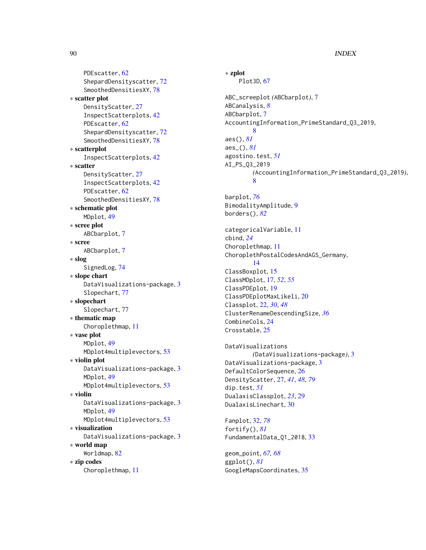90 **INDEX** 

PDEscatter, [62](#page-61-0) ShepardDensityscatter, [72](#page-71-0) SmoothedDensitiesXY, [78](#page-77-0) ∗ scatter plot DensityScatter, [27](#page-26-1) InspectScatterplots, [42](#page-41-0) PDEscatter, [62](#page-61-0) ShepardDensityscatter, [72](#page-71-0) SmoothedDensitiesXY, [78](#page-77-0) ∗ scatterplot InspectScatterplots, [42](#page-41-0) ∗ scatter DensityScatter, [27](#page-26-1) InspectScatterplots, [42](#page-41-0) PDEscatter, [62](#page-61-0) SmoothedDensitiesXY, [78](#page-77-0) ∗ schematic plot MDplot, [49](#page-48-0) ∗ scree plot ABCbarplot, [7](#page-6-0) ∗ scree ABCbarplot, [7](#page-6-0) ∗ slog SignedLog, [74](#page-73-0) ∗ slope chart DataVisualizations-package, [3](#page-2-0) Slopechart, [77](#page-76-0) ∗ slopechart Slopechart, [77](#page-76-0) ∗ thematic map Choroplethmap, [11](#page-10-0) ∗ vase plot MDplot, [49](#page-48-0) MDplot4multiplevectors, [53](#page-52-0) ∗ violin plot DataVisualizations-package, [3](#page-2-0) MDplot, [49](#page-48-0) MDplot4multiplevectors, [53](#page-52-0) ∗ violin DataVisualizations-package, [3](#page-2-0) MDplot, [49](#page-48-0) MDplot4multiplevectors, [53](#page-52-0) ∗ visualization DataVisualizations-package, [3](#page-2-0) ∗ world map Worldmap, [82](#page-81-0) ∗ zip codes Choroplethmap, [11](#page-10-0)

∗ zplot Plot3D, [67](#page-66-0) ABC\_screeplot *(*ABCbarplot*)*, [7](#page-6-0) ABCanalysis, *[8](#page-7-0)* ABCbarplot, [7](#page-6-0) AccountingInformation\_PrimeStandard\_Q3\_2019, [8](#page-7-0) aes(), *[81](#page-80-0)* aes\_(), *[81](#page-80-0)* agostino.test, *[51](#page-50-0)* AI\_PS\_Q3\_2019 *(*AccountingInformation\_PrimeStandard\_Q3\_2019*)*, [8](#page-7-0) barplot, *[76](#page-75-0)* BimodalityAmplitude, [9](#page-8-0) borders(), *[82](#page-81-0)* categoricalVariable, [11](#page-10-0) cbind, *[24](#page-23-0)* Choroplethmap, [11](#page-10-0) ChoroplethPostalCodesAndAGS\_Germany, [14](#page-13-0) ClassBoxplot, [15](#page-14-0) ClassMDplot, [17,](#page-16-0) *[52](#page-51-0)*, *[55](#page-54-0)* ClassPDEplot, [19](#page-18-0) ClassPDEplotMaxLikeli, [20](#page-19-0) Classplot, [22,](#page-21-0) *[30](#page-29-0)*, *[48](#page-47-0)* ClusterRenameDescendingSize, *[36](#page-35-0)* CombineCols, [24](#page-23-0) Crosstable, [25](#page-24-0) DataVisualizations *(*DataVisualizations-package*)*, [3](#page-2-0) DataVisualizations-package, [3](#page-2-0) DefaultColorSequence, [26](#page-25-0) DensityScatter, [27,](#page-26-1) *[41](#page-40-0)*, *[48](#page-47-0)*, *[79](#page-78-0)* dip.test, *[51](#page-50-0)* DualaxisClassplot, *[23](#page-22-0)*, [29](#page-28-0) DualaxisLinechart, [30](#page-29-0) Fanplot, [32,](#page-31-1) *[78](#page-77-0)* fortify(), *[81](#page-80-0)* FundamentalData\_Q1\_2018, [33](#page-32-0) geom\_point, *[67,](#page-66-0) [68](#page-67-0)* ggplot(), *[81](#page-80-0)* GoogleMapsCoordinates, [35](#page-34-0)